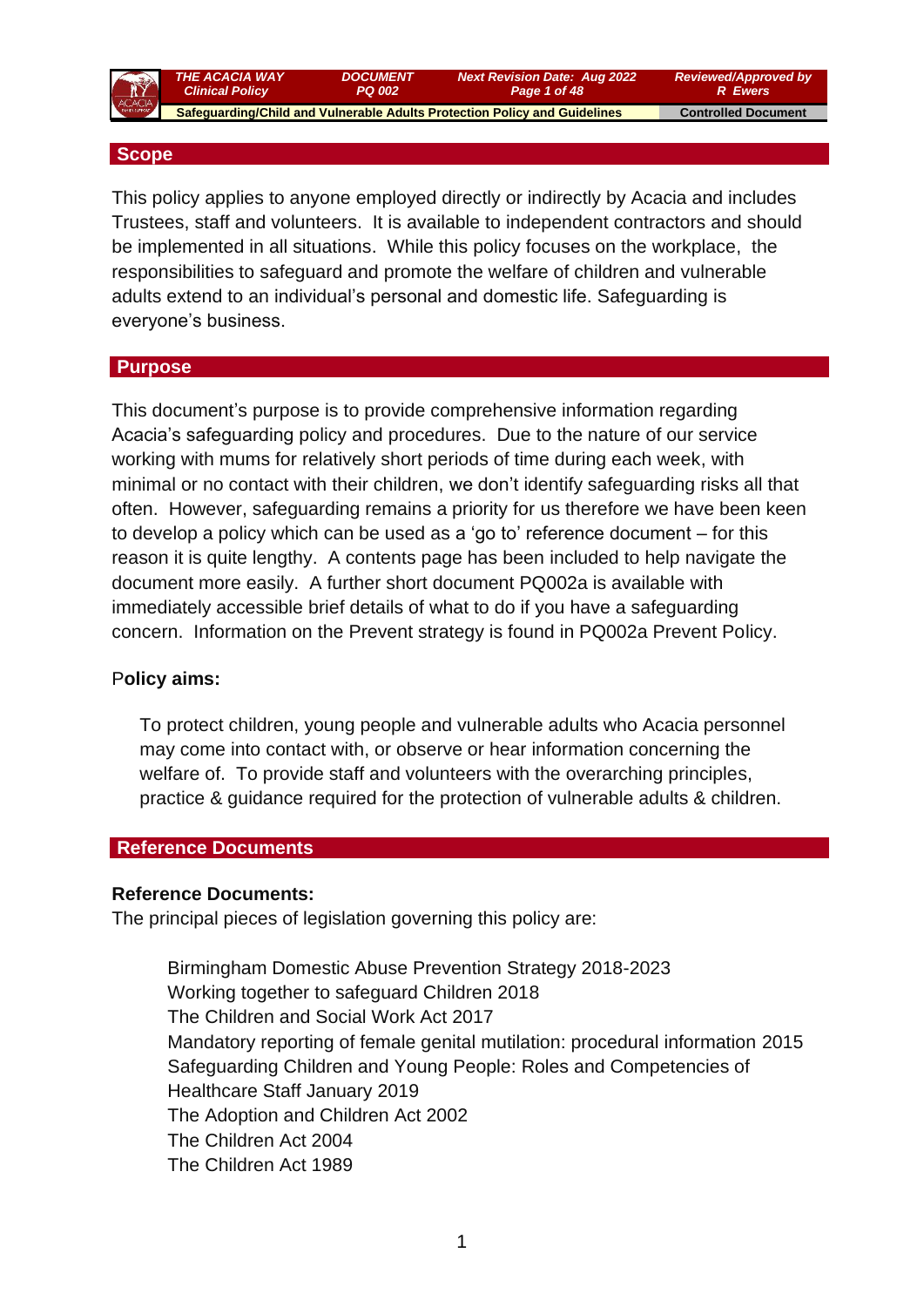

 *THE ACACIA WAY Clinical Policy*

 **Safeguarding/Child and Vulnerable Adults Protection Policy and Guidelines Controlled Document** 

*DOCUMENT PQ 002*

*Reviewed/Approved by R Ewers*

#### **Scope**

This policy applies to anyone employed directly or indirectly by Acacia and includes Trustees, staff and volunteers. It is available to independent contractors and should be implemented in all situations. While this policy focuses on the workplace, the responsibilities to safeguard and promote the welfare of children and vulnerable adults extend to an individual's personal and domestic life. Safeguarding is everyone's business.

*Next Revision Date: Aug 2022 Page 1 of 48*

#### **Purpose**

This document's purpose is to provide comprehensive information regarding Acacia's safeguarding policy and procedures. Due to the nature of our service working with mums for relatively short periods of time during each week, with minimal or no contact with their children, we don't identify safeguarding risks all that often. However, safeguarding remains a priority for us therefore we have been keen to develop a policy which can be used as a 'go to' reference document – for this reason it is quite lengthy. A contents page has been included to help navigate the document more easily. A further short document PQ002a is available with immediately accessible brief details of what to do if you have a safeguarding concern. Information on the Prevent strategy is found in PQ002a Prevent Policy.

#### P**olicy aims:**

To protect children, young people and vulnerable adults who Acacia personnel may come into contact with, or observe or hear information concerning the welfare of. To provide staff and volunteers with the overarching principles, practice & guidance required for the protection of vulnerable adults & children.

#### **Reference Documents**

#### **Reference Documents:**

The principal pieces of legislation governing this policy are:

Birmingham Domestic Abuse Prevention Strategy 2018-2023 Working together to safeguard Children 2018 The Children and Social Work Act 2017 Mandatory reporting of female genital mutilation: procedural information 2015 Safeguarding Children and Young People: Roles and Competencies of Healthcare Staff January 2019 The Adoption and Children Act 2002 The Children Act 2004 The Children Act 1989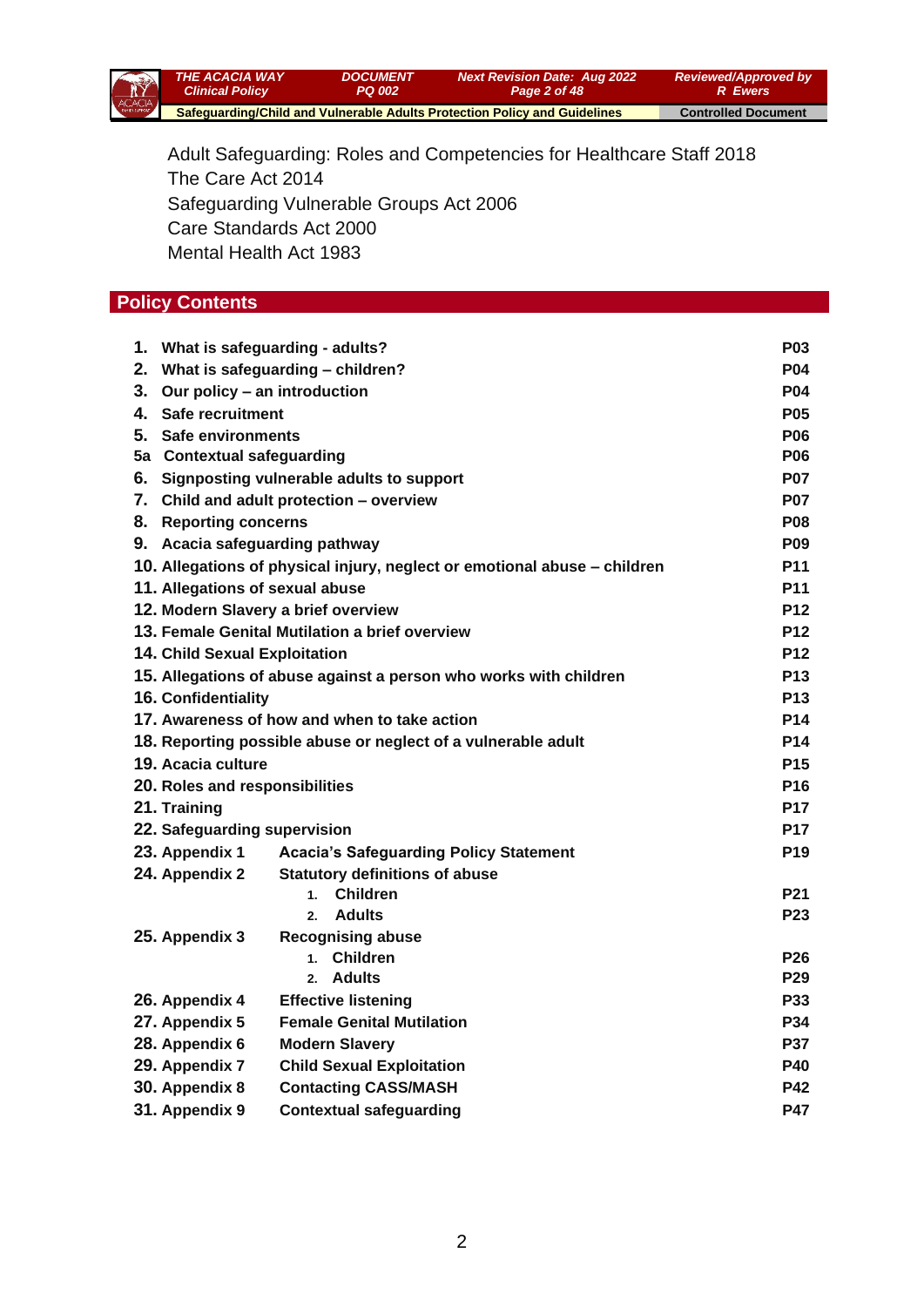

Adult Safeguarding: Roles and Competencies for Healthcare Staff 2018 The Care Act 2014 Safeguarding Vulnerable Groups Act 2006 Care Standards Act 2000 Mental Health Act 1983

## **Policy Contents**

|                                                                           | 1. What is safeguarding - adults?             |            |  |
|---------------------------------------------------------------------------|-----------------------------------------------|------------|--|
|                                                                           | 2. What is safeguarding - children?           |            |  |
| 3.                                                                        | Our policy - an introduction                  |            |  |
|                                                                           | 4. Safe recruitment                           |            |  |
|                                                                           | 5. Safe environments                          |            |  |
|                                                                           | 5a Contextual safeguarding                    |            |  |
| 6. Signposting vulnerable adults to support                               |                                               | <b>P07</b> |  |
| 7. Child and adult protection - overview                                  |                                               | <b>P07</b> |  |
|                                                                           | 8. Reporting concerns                         |            |  |
| 9. Acacia safeguarding pathway                                            |                                               | <b>P09</b> |  |
| 10. Allegations of physical injury, neglect or emotional abuse - children |                                               |            |  |
| 11. Allegations of sexual abuse                                           |                                               | <b>P11</b> |  |
| 12. Modern Slavery a brief overview                                       |                                               | <b>P12</b> |  |
| 13. Female Genital Mutilation a brief overview                            |                                               | <b>P12</b> |  |
| 14. Child Sexual Exploitation                                             |                                               | <b>P12</b> |  |
| 15. Allegations of abuse against a person who works with children         |                                               | <b>P13</b> |  |
| <b>16. Confidentiality</b>                                                |                                               | <b>P13</b> |  |
| 17. Awareness of how and when to take action                              |                                               | <b>P14</b> |  |
| 18. Reporting possible abuse or neglect of a vulnerable adult             |                                               | <b>P14</b> |  |
| 19. Acacia culture                                                        |                                               | <b>P15</b> |  |
| 20. Roles and responsibilities                                            |                                               | <b>P16</b> |  |
| 21. Training                                                              |                                               | <b>P17</b> |  |
|                                                                           | 22. Safeguarding supervision                  |            |  |
| 23. Appendix 1                                                            | <b>Acacia's Safeguarding Policy Statement</b> | <b>P19</b> |  |
| 24. Appendix 2                                                            | <b>Statutory definitions of abuse</b>         |            |  |
|                                                                           | <b>Children</b><br>1.                         | <b>P21</b> |  |
|                                                                           | <b>Adults</b><br>2.                           | P23        |  |
| 25. Appendix 3                                                            | <b>Recognising abuse</b>                      |            |  |
|                                                                           | 1. Children                                   | <b>P26</b> |  |
|                                                                           | Adults<br>2 <sup>2</sup>                      | <b>P29</b> |  |
| 26. Appendix 4                                                            | <b>Effective listening</b>                    | <b>P33</b> |  |
| 27. Appendix 5                                                            | <b>Female Genital Mutilation</b>              | P34        |  |
| 28. Appendix 6                                                            | <b>Modern Slavery</b>                         | <b>P37</b> |  |
| 29. Appendix 7                                                            | <b>Child Sexual Exploitation</b>              | <b>P40</b> |  |
| 30. Appendix 8                                                            | <b>Contacting CASS/MASH</b>                   | <b>P42</b> |  |
| 31. Appendix 9                                                            | <b>Contextual safeguarding</b>                | <b>P47</b> |  |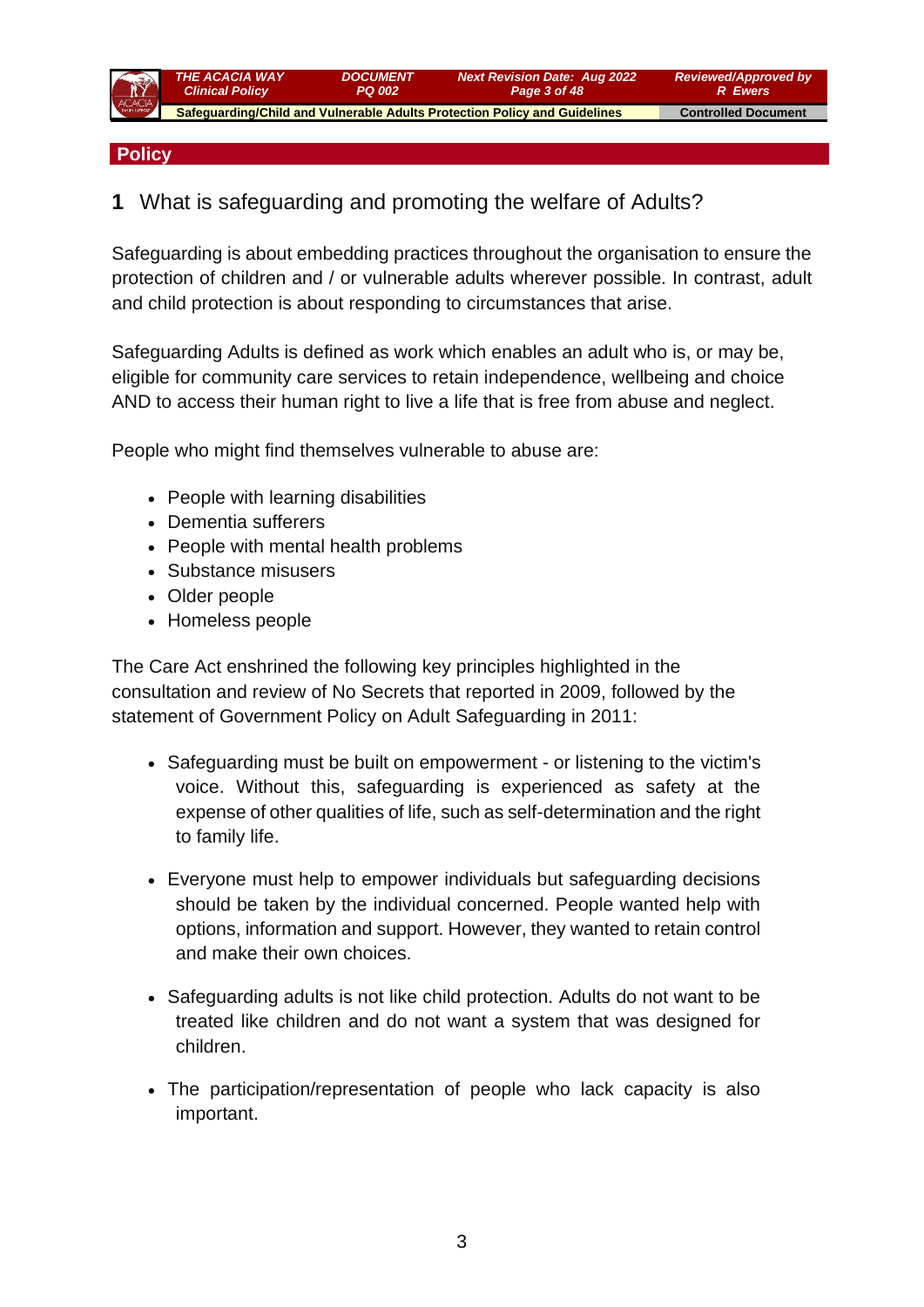

#### **Policy**

## **1** What is safeguarding and promoting the welfare of Adults?

Safeguarding is about embedding practices throughout the organisation to ensure the protection of children and / or vulnerable adults wherever possible. In contrast, adult and child protection is about responding to circumstances that arise.

Safeguarding Adults is defined as work which enables an adult who is, or may be, eligible for community care services to retain independence, wellbeing and choice AND to access their human right to live a life that is free from abuse and neglect.

People who might find themselves vulnerable to abuse are:

- People with learning disabilities
- Dementia sufferers
- People with mental health problems
- Substance misusers
- Older people
- Homeless people

The Care Act enshrined the following key principles highlighted in the consultation and review of No Secrets that reported in 2009, followed by the statement of Government Policy on Adult Safeguarding in 2011:

- Safeguarding must be built on empowerment or listening to the victim's voice. Without this, safeguarding is experienced as safety at the expense of other qualities of life, such as self-determination and the right to family life.
- Everyone must help to empower individuals but safeguarding decisions should be taken by the individual concerned. People wanted help with options, information and support. However, they wanted to retain control and make their own choices.
- Safeguarding adults is not like child protection. Adults do not want to be treated like children and do not want a system that was designed for children.
- The participation/representation of people who lack capacity is also important.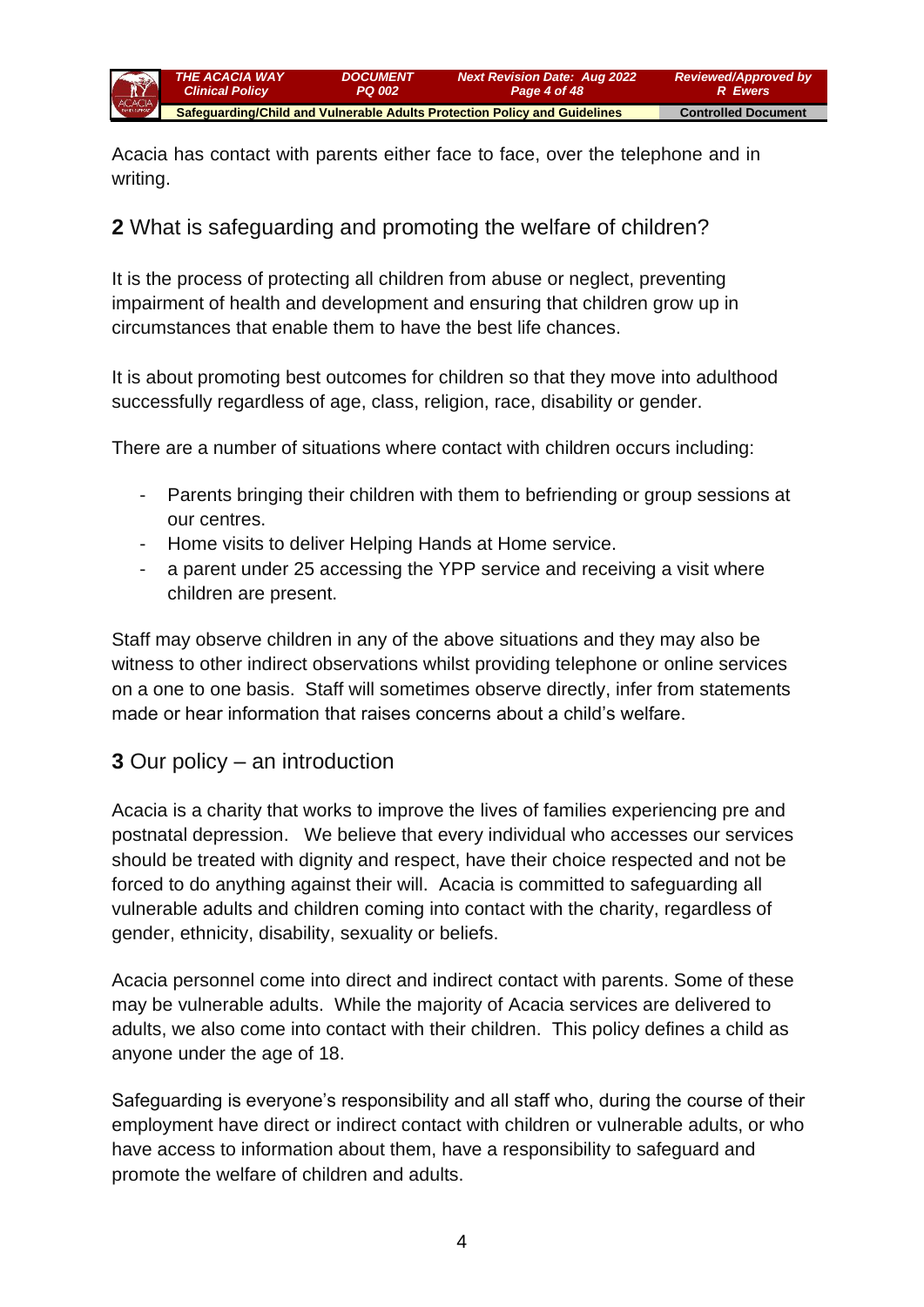

Acacia has contact with parents either face to face, over the telephone and in writing.

## **2** What is safeguarding and promoting the welfare of children?

It is the process of protecting all children from abuse or neglect, preventing impairment of health and development and ensuring that children grow up in circumstances that enable them to have the best life chances.

It is about promoting best outcomes for children so that they move into adulthood successfully regardless of age, class, religion, race, disability or gender.

There are a number of situations where contact with children occurs including:

- Parents bringing their children with them to befriending or group sessions at our centres.
- Home visits to deliver Helping Hands at Home service.
- a parent under 25 accessing the YPP service and receiving a visit where children are present.

Staff may observe children in any of the above situations and they may also be witness to other indirect observations whilst providing telephone or online services on a one to one basis. Staff will sometimes observe directly, infer from statements made or hear information that raises concerns about a child's welfare.

## **3** Our policy – an introduction

Acacia is a charity that works to improve the lives of families experiencing pre and postnatal depression. We believe that every individual who accesses our services should be treated with dignity and respect, have their choice respected and not be forced to do anything against their will. Acacia is committed to safeguarding all vulnerable adults and children coming into contact with the charity, regardless of gender, ethnicity, disability, sexuality or beliefs.

Acacia personnel come into direct and indirect contact with parents. Some of these may be vulnerable adults. While the majority of Acacia services are delivered to adults, we also come into contact with their children. This policy defines a child as anyone under the age of 18.

Safeguarding is everyone's responsibility and all staff who, during the course of their employment have direct or indirect contact with children or vulnerable adults, or who have access to information about them, have a responsibility to safeguard and promote the welfare of children and adults.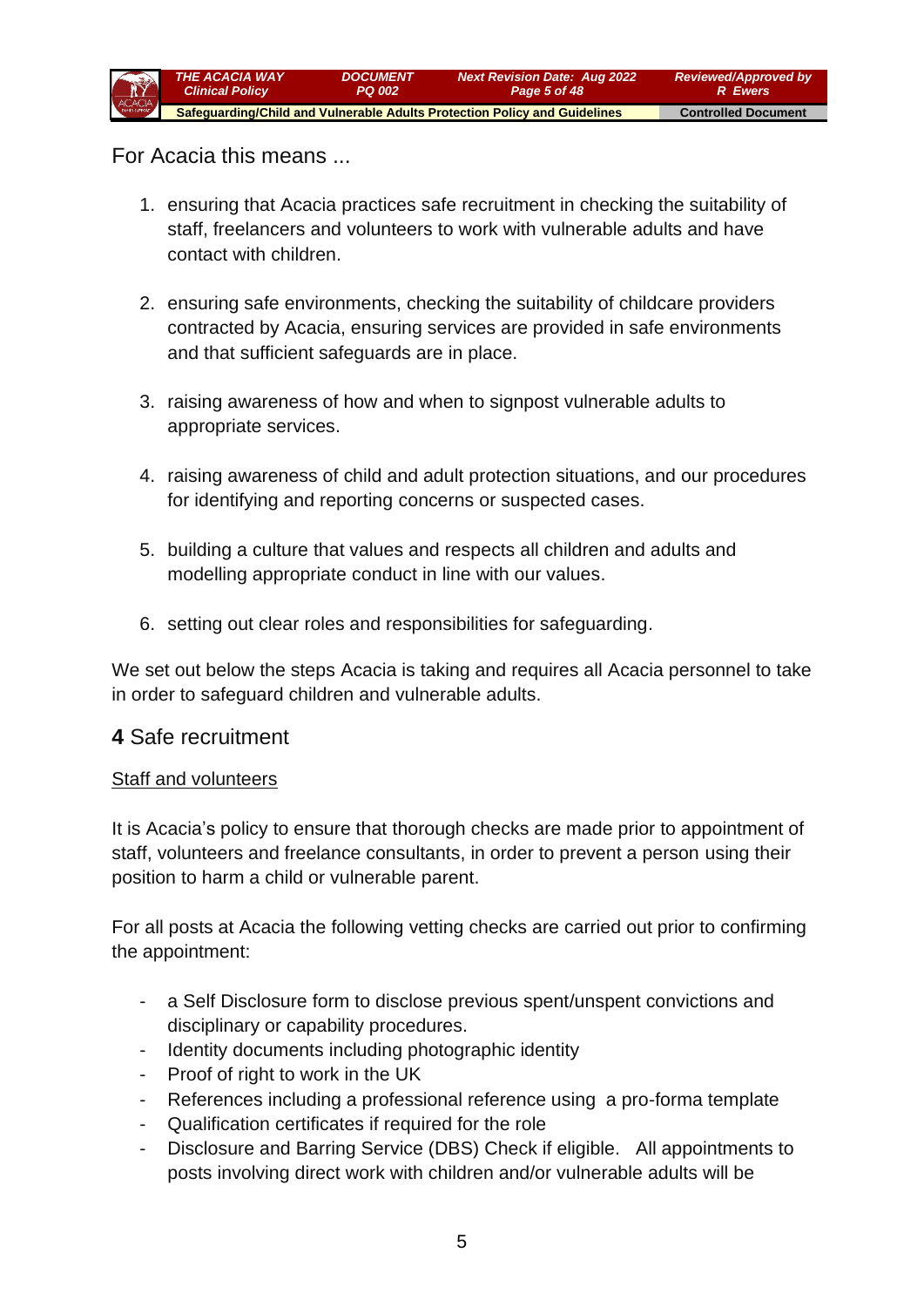

For Acacia this means ...

- 1. ensuring that Acacia practices safe recruitment in checking the suitability of staff, freelancers and volunteers to work with vulnerable adults and have contact with children.
- 2. ensuring safe environments, checking the suitability of childcare providers contracted by Acacia, ensuring services are provided in safe environments and that sufficient safeguards are in place.
- 3. raising awareness of how and when to signpost vulnerable adults to appropriate services.
- 4. raising awareness of child and adult protection situations, and our procedures for identifying and reporting concerns or suspected cases.
- 5. building a culture that values and respects all children and adults and modelling appropriate conduct in line with our values.
- 6. setting out clear roles and responsibilities for safeguarding.

We set out below the steps Acacia is taking and requires all Acacia personnel to take in order to safeguard children and vulnerable adults.

## **4** Safe recruitment

#### Staff and volunteers

It is Acacia's policy to ensure that thorough checks are made prior to appointment of staff, volunteers and freelance consultants, in order to prevent a person using their position to harm a child or vulnerable parent.

For all posts at Acacia the following vetting checks are carried out prior to confirming the appointment:

- a Self Disclosure form to disclose previous spent/unspent convictions and disciplinary or capability procedures.
- Identity documents including photographic identity
- Proof of right to work in the UK
- References including a professional reference using a pro-forma template
- Qualification certificates if required for the role
- Disclosure and Barring Service (DBS) Check if eligible. All appointments to posts involving direct work with children and/or vulnerable adults will be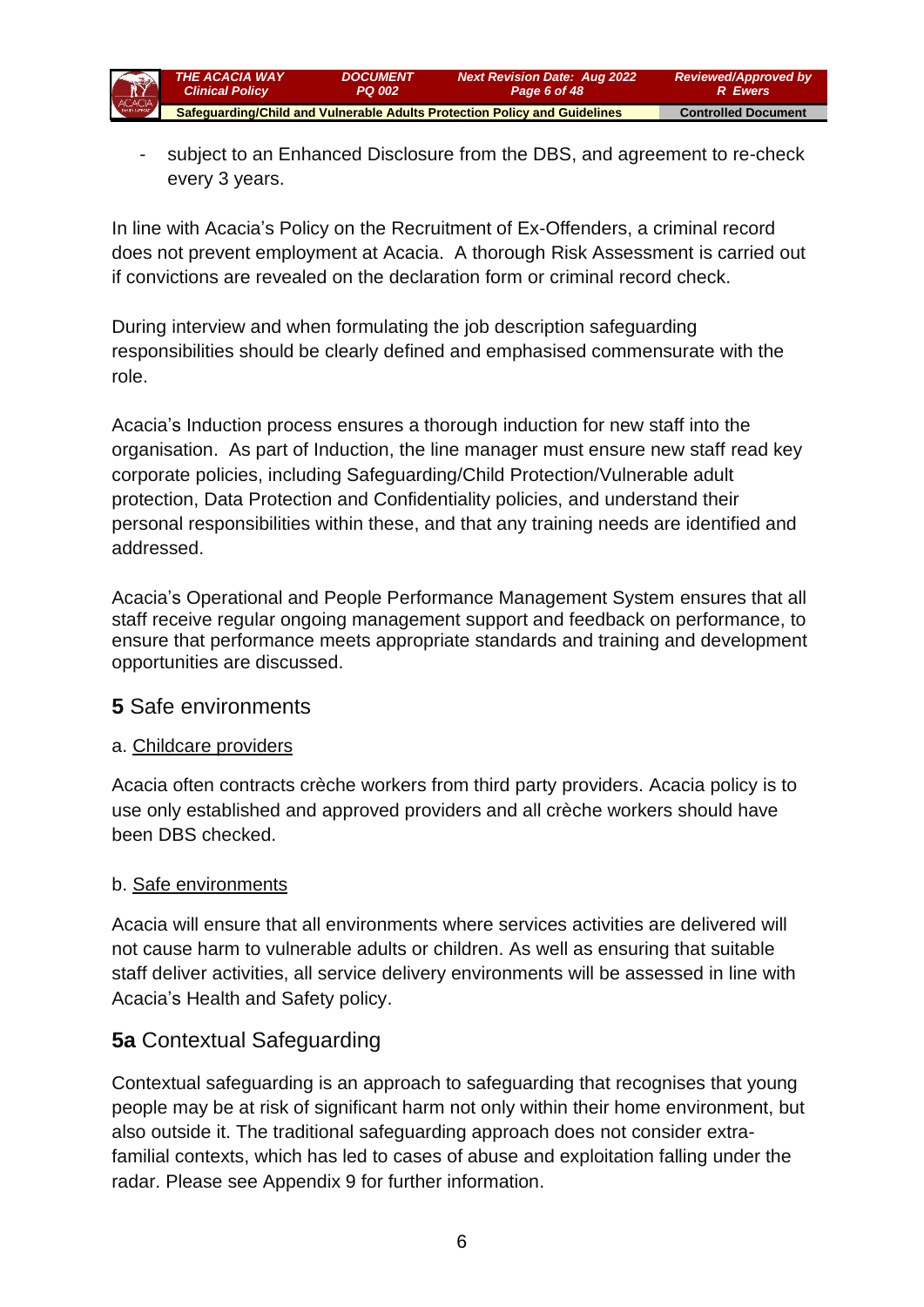

subject to an Enhanced Disclosure from the DBS, and agreement to re-check every 3 years.

In line with Acacia's [Policy on the Recruitment of Ex-Offenders,](file://///GBSRVFS/COMPANY/Corporate/Staff%20Handbook/Recruitment/Policy-on-Recruitment-of-ExOffenders%20120613.doc) a criminal record does not prevent employment at Acacia. A thorough [Risk Assessment](file://///GBSRVFS/COMPANY/Corporate/Staff%20Handbook/Recruitment/Risk%20Assessment%20Employing%20People%20with%20Criminal%20Convictions.docx) is carried out if convictions are revealed on the declaration form or criminal record check.

During interview and when formulating the job description safeguarding responsibilities should be clearly defined and emphasised commensurate with the role.

Acacia's Induction process ensures a thorough induction for new staff into the organisation. As part of Induction, the line manager must ensure new staff read key corporate policies, including Safeguarding/Child Protection/Vulnerable adult protection, Data Protection and Confidentiality policies, and understand their personal responsibilities within these, and that any training needs are identified and addressed.

Acacia's Operational and People Performance Management System ensures that all staff receive regular ongoing management support and feedback on performance, to ensure that performance meets appropriate standards and training and development opportunities are discussed.

### **5** Safe environments

### a. Childcare providers

Acacia often contracts crèche workers from third party providers. Acacia [policy](file://///Gbsrvfs/company/Corporate/Policies%20and%20procedures/Safeguarding%20and%20child%20protection/Guidance%20note%20providing%20childcare.docx) is to use only established and approved providers and all crèche workers should have been DBS checked.

### b. Safe environments

Acacia will ensure that all environments where services activities are delivered will not cause harm to vulnerable adults or children. As well as ensuring that suitable staff deliver activities, all service delivery environments will be assessed in line with Acacia's [Health and Safety policy.](file://///Gbsrvfs/company/Corporate/Staff%20Handbook/Health%20and%20Safety/Health&Safety-Policy-Statement-May2007.doc)

## **5a** Contextual Safeguarding

Contextual safeguarding is an approach to safeguarding that recognises that young people may be at risk of significant harm not only within their home environment, but also outside it. The traditional safeguarding approach does not consider extrafamilial contexts, which has led to cases of abuse and exploitation falling under the radar. Please see Appendix 9 for further information.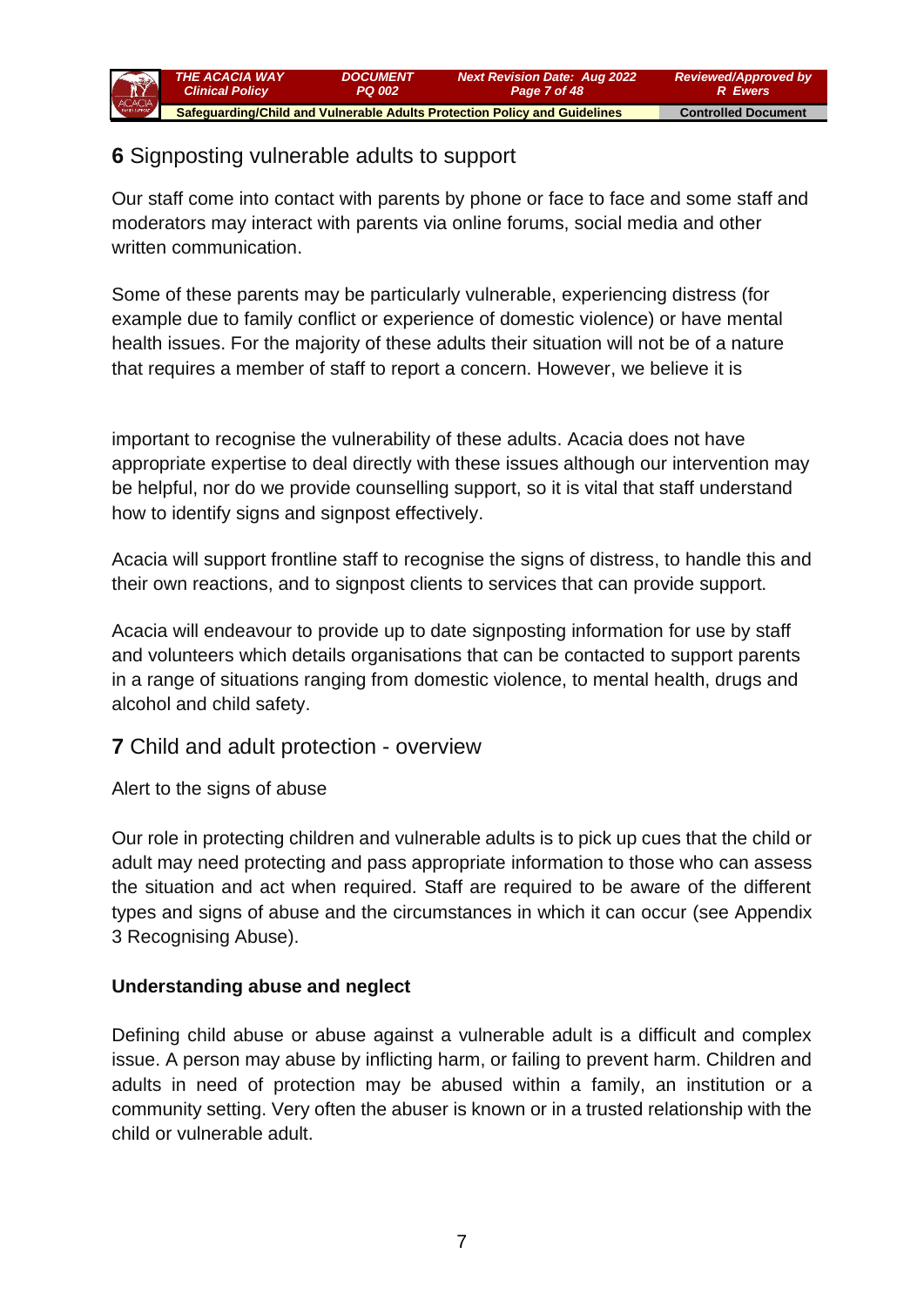

## **6** Signposting vulnerable adults to support

Our staff come into contact with parents by phone or face to face and some staff and moderators may interact with parents via online forums, social media and other written communication.

Some of these parents may be particularly vulnerable, experiencing distress (for example due to family conflict or experience of domestic violence) or have mental health issues. For the majority of these adults their situation will not be of a nature that requires a member of staff to report a concern. However, we believe it is

important to recognise the vulnerability of these adults. Acacia does not have appropriate expertise to deal directly with these issues although our intervention may be helpful, nor do we provide counselling support, so it is vital that staff understand how to identify signs and signpost effectively.

Acacia will support frontline staff to recognise the signs of distress, to handle this and their own reactions, and to signpost clients to services that can provide support.

Acacia will endeavour to provide up to date [signposting information](file://///Gbsrvfs/company/Corporate/Policies%20and%20procedures/Safeguarding%20and%20child%20protection/Guidance%20Signposting%20information%20update%20feb%202013.docx) for use by staff and volunteers which details organisations that can be contacted to support parents in a range of situations ranging from domestic violence, to mental health, drugs and alcohol and child safety.

## **7** Child and adult protection - overview

Alert to the signs of abuse

Our role in protecting children and vulnerable adults is to pick up cues that the child or adult may need protecting and pass appropriate information to those who can assess the situation and act when required. Staff are required to be aware of the different types and signs of abuse and the circumstances in which it can occur (see Appendix 3 [Recognising Abuse\)](file://///Gbsrvfs/company/Corporate/Policies%20and%20procedures/Safeguarding%20and%20child%20protection/Guidance%20What%20is%20Abuse.docx).

### **Understanding abuse and neglect**

Defining child abuse or abuse against a vulnerable adult is a difficult and complex issue. A person may abuse by inflicting harm, or failing to prevent harm. Children and adults in need of protection may be abused within a family, an institution or a community setting. Very often the abuser is known or in a trusted relationship with the child or vulnerable adult.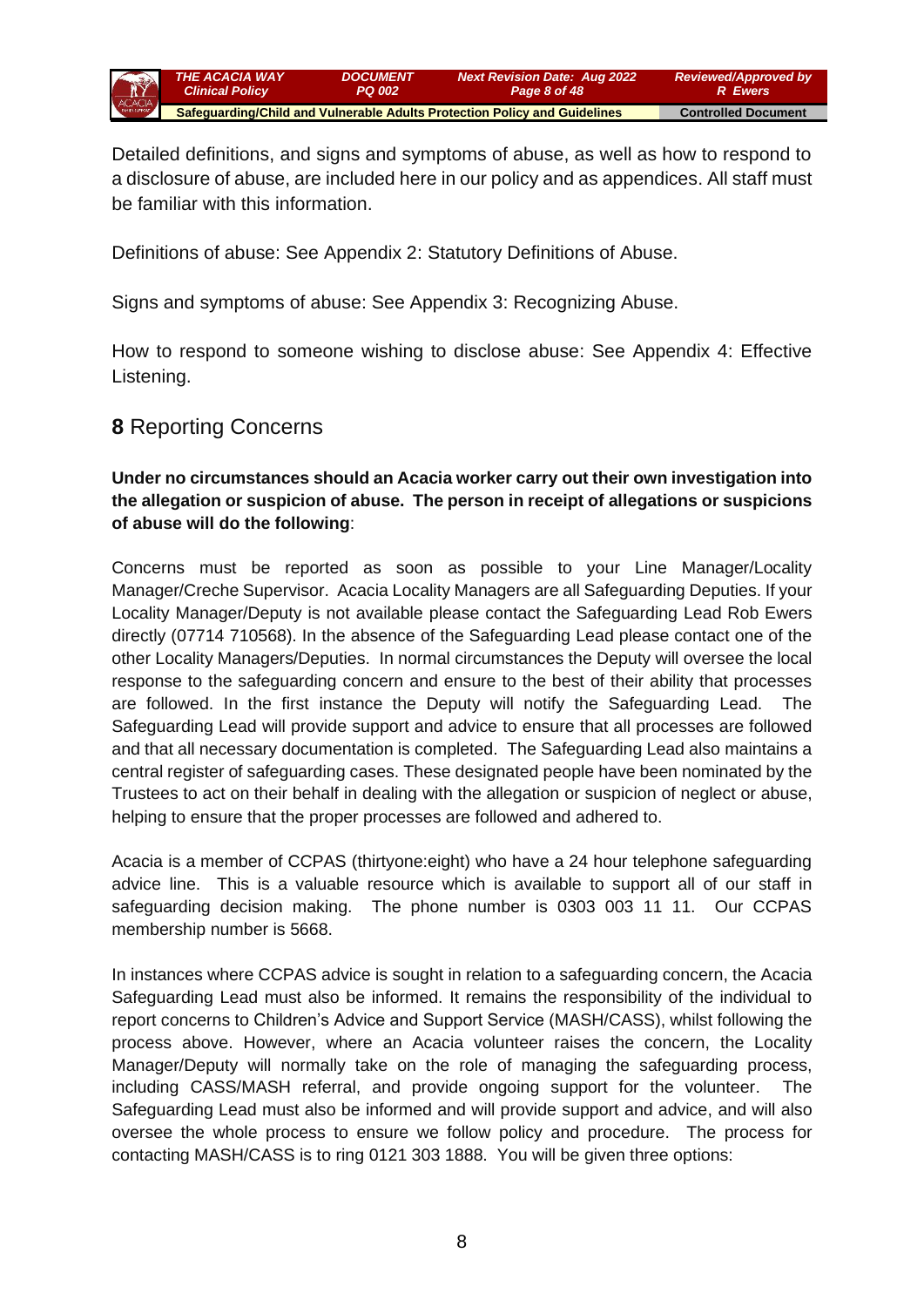

Detailed definitions, and signs and symptoms of abuse, as well as how to respond to a disclosure of abuse, are included here in our policy and as appendices. All staff must be familiar with this information.

Definitions of abuse: See Appendix 2: Statutory Definitions of Abuse.

Signs and symptoms of abuse: See Appendix 3: Recognizing Abuse.

How to respond to someone wishing to disclose abuse: See Appendix 4: Effective Listening.

## **8** Reporting Concerns

#### **Under no circumstances should an Acacia worker carry out their own investigation into the allegation or suspicion of abuse. The person in receipt of allegations or suspicions of abuse will do the following**:

Concerns must be reported as soon as possible to your Line Manager/Locality Manager/Creche Supervisor. Acacia Locality Managers are all Safeguarding Deputies. If your Locality Manager/Deputy is not available please contact the Safeguarding Lead Rob Ewers directly (07714 710568). In the absence of the Safeguarding Lead please contact one of the other Locality Managers/Deputies. In normal circumstances the Deputy will oversee the local response to the safeguarding concern and ensure to the best of their ability that processes are followed. In the first instance the Deputy will notify the Safeguarding Lead. Safeguarding Lead will provide support and advice to ensure that all processes are followed and that all necessary documentation is completed. The Safeguarding Lead also maintains a central register of safeguarding cases. These designated people have been nominated by the Trustees to act on their behalf in dealing with the allegation or suspicion of neglect or abuse, helping to ensure that the proper processes are followed and adhered to.

Acacia is a member of CCPAS (thirtyone:eight) who have a 24 hour telephone safeguarding advice line. This is a valuable resource which is available to support all of our staff in safeguarding decision making. The phone number is 0303 003 11 11. Our CCPAS membership number is 5668.

In instances where CCPAS advice is sought in relation to a safeguarding concern, the Acacia Safeguarding Lead must also be informed. It remains the responsibility of the individual to report concerns to Children's Advice and Support Service (MASH/CASS), whilst following the process above. However, where an Acacia volunteer raises the concern, the Locality Manager/Deputy will normally take on the role of managing the safeguarding process, including CASS/MASH referral, and provide ongoing support for the volunteer. The Safeguarding Lead must also be informed and will provide support and advice, and will also oversee the whole process to ensure we follow policy and procedure. The process for contacting MASH/CASS is to ring 0121 303 1888. You will be given three options: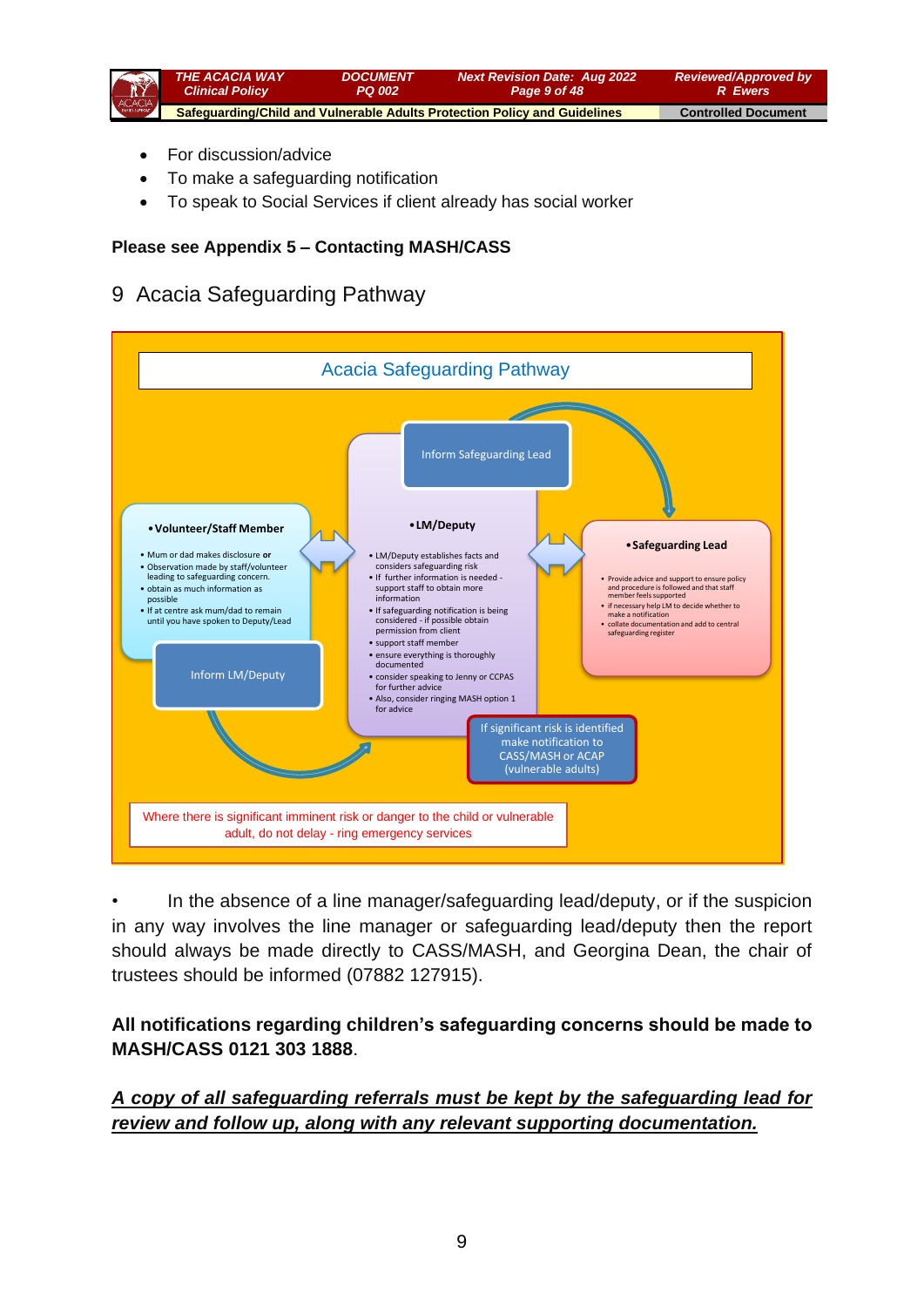

- For discussion/advice
- To make a safeguarding notification
- To speak to Social Services if client already has social worker

#### **Please see Appendix 5 – Contacting MASH/CASS**

## 9 Acacia Safeguarding Pathway



• In the absence of a line manager/safeguarding lead/deputy, or if the suspicion in any way involves the line manager or safeguarding lead/deputy then the report should always be made directly to CASS/MASH, and Georgina Dean, the chair of trustees should be informed (07882 127915).

### **All notifications regarding children's safeguarding concerns should be made to MASH/CASS 0121 303 1888**.

*A copy of all safeguarding referrals must be kept by the safeguarding lead for review and follow up, along with any relevant supporting documentation.*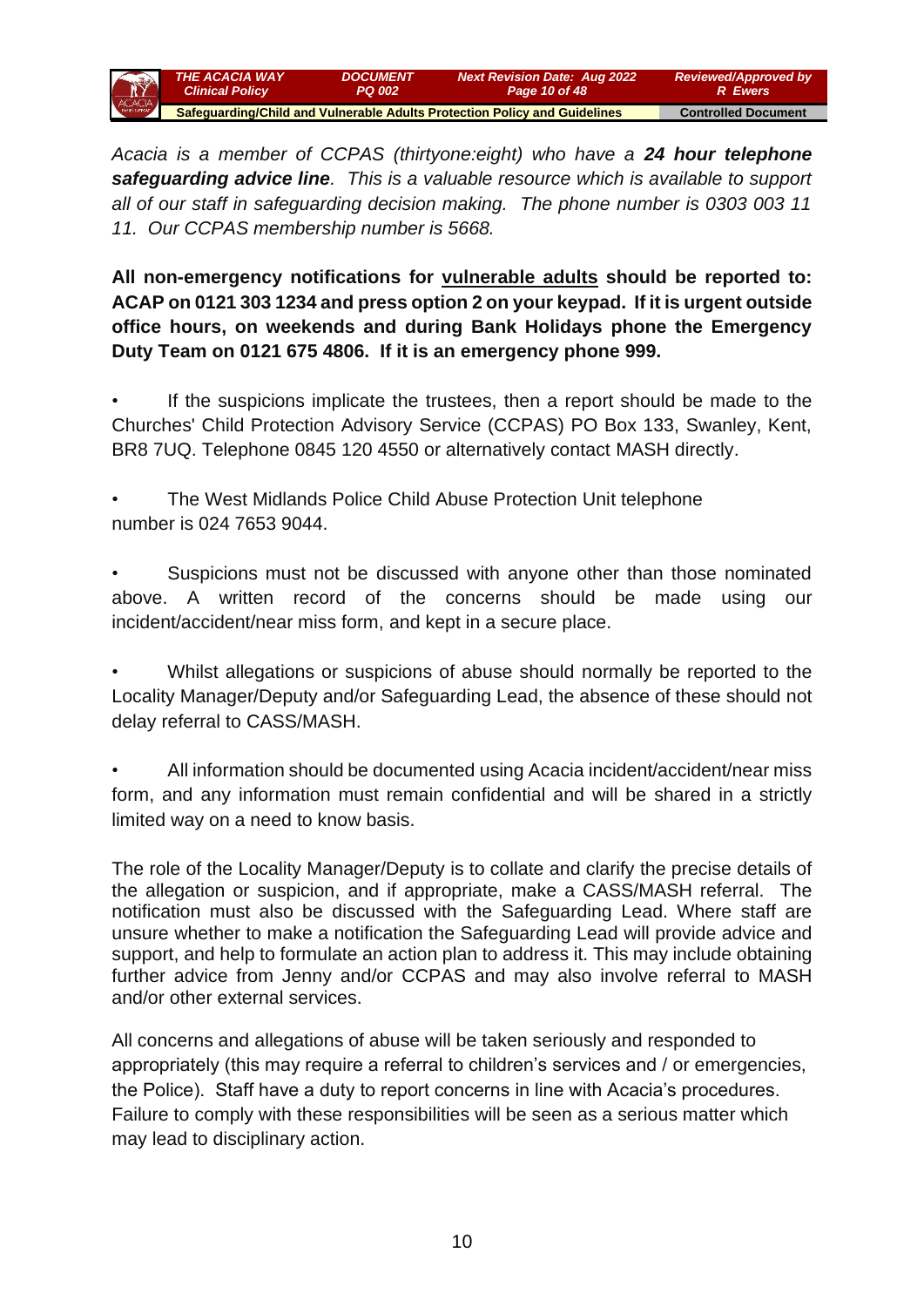

*Acacia is a member of CCPAS (thirtyone:eight) who have a 24 hour telephone safeguarding advice line. This is a valuable resource which is available to support all of our staff in safeguarding decision making. The phone number is 0303 003 11 11. Our CCPAS membership number is 5668.*

**All non-emergency notifications for vulnerable adults should be reported to: ACAP on 0121 303 1234 and press option 2 on your keypad. If it is urgent outside office hours, on weekends and during Bank Holidays phone the Emergency Duty Team on 0121 675 4806. If it is an emergency phone 999.**

If the suspicions implicate the trustees, then a report should be made to the Churches' Child Protection Advisory Service (CCPAS) PO Box 133, Swanley, Kent, BR8 7UQ. Telephone 0845 120 4550 or alternatively contact MASH directly.

• The West Midlands Police Child Abuse Protection Unit telephone number is 024 7653 9044.

• Suspicions must not be discussed with anyone other than those nominated above. A written record of the concerns should be made using our incident/accident/near miss form, and kept in a secure place.

• Whilst allegations or suspicions of abuse should normally be reported to the Locality Manager/Deputy and/or Safeguarding Lead, the absence of these should not delay referral to CASS/MASH.

• All information should be documented using Acacia incident/accident/near miss form, and any information must remain confidential and will be shared in a strictly limited way on a need to know basis.

The role of the Locality Manager/Deputy is to collate and clarify the precise details of the allegation or suspicion, and if appropriate, make a CASS/MASH referral. The notification must also be discussed with the Safeguarding Lead. Where staff are unsure whether to make a notification the Safeguarding Lead will provide advice and support, and help to formulate an action plan to address it. This may include obtaining further advice from Jenny and/or CCPAS and may also involve referral to MASH and/or other external services.

All concerns and allegations of abuse will be taken seriously and responded to appropriately (this may require a referral to children's services and / or emergencies, the Police). Staff have a duty to report concerns in line with Acacia's procedures. Failure to comply with these responsibilities will be seen as a serious matter which may lead to disciplinary action.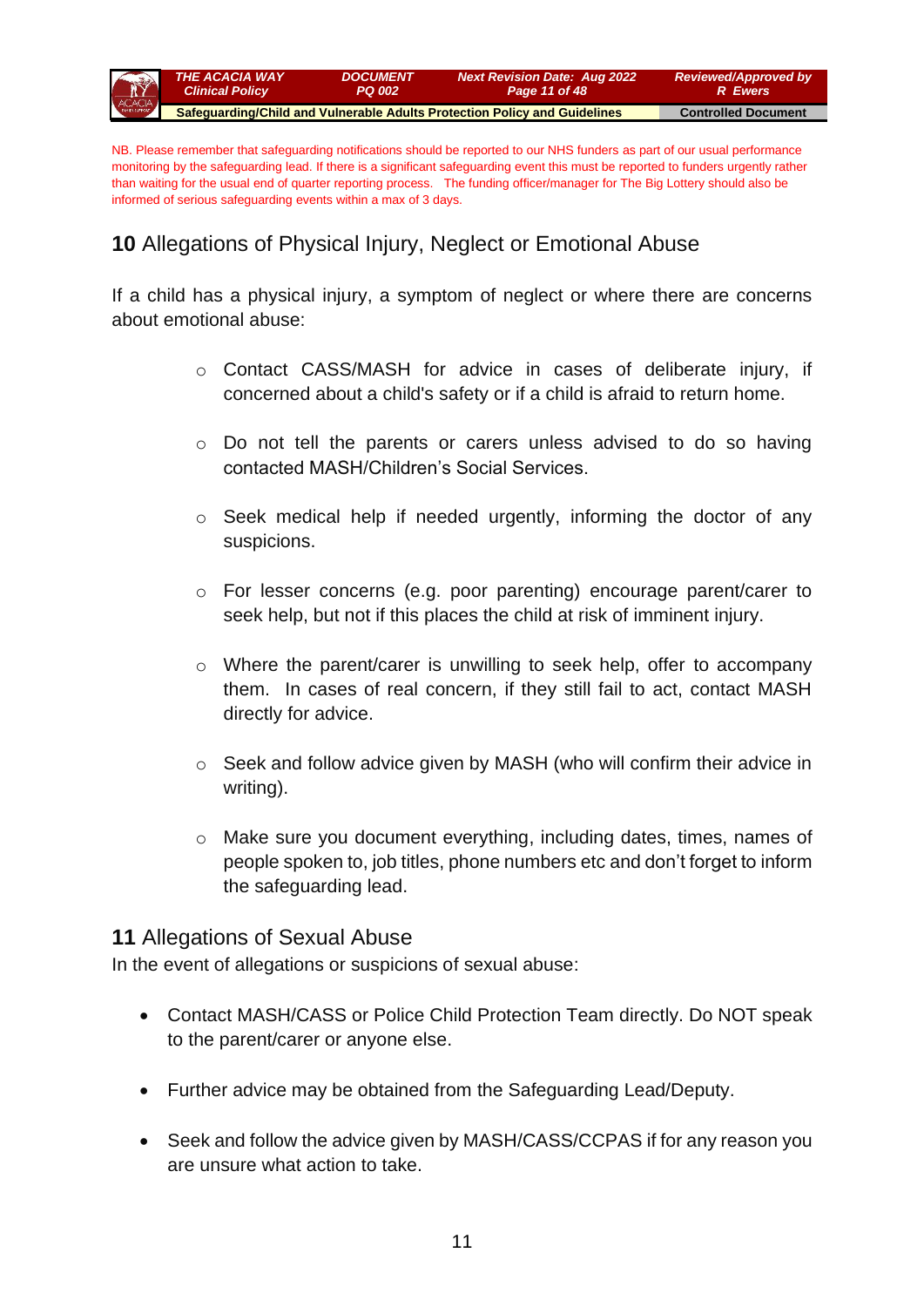

NB. Please remember that safeguarding notifications should be reported to our NHS funders as part of our usual performance monitoring by the safeguarding lead. If there is a significant safeguarding event this must be reported to funders urgently rather than waiting for the usual end of quarter reporting process. The funding officer/manager for The Big Lottery should also be informed of serious safeguarding events within a max of 3 days.

# **10** Allegations of Physical Injury, Neglect or Emotional Abuse

If a child has a physical injury, a symptom of neglect or where there are concerns about emotional abuse:

- $\circ$  Contact CASS/MASH for advice in cases of deliberate injury, if concerned about a child's safety or if a child is afraid to return home.
- o Do not tell the parents or carers unless advised to do so having contacted MASH/Children's Social Services.
- o Seek medical help if needed urgently, informing the doctor of any suspicions.
- o For lesser concerns (e.g. poor parenting) encourage parent/carer to seek help, but not if this places the child at risk of imminent injury.
- o Where the parent/carer is unwilling to seek help, offer to accompany them. In cases of real concern, if they still fail to act, contact MASH directly for advice.
- o Seek and follow advice given by MASH (who will confirm their advice in writing).
- o Make sure you document everything, including dates, times, names of people spoken to, job titles, phone numbers etc and don't forget to inform the safeguarding lead.

## **11** Allegations of Sexual Abuse

In the event of allegations or suspicions of sexual abuse:

- Contact MASH/CASS or Police Child Protection Team directly. Do NOT speak to the parent/carer or anyone else.
- Further advice may be obtained from the Safeguarding Lead/Deputy.
- Seek and follow the advice given by MASH/CASS/CCPAS if for any reason you are unsure what action to take.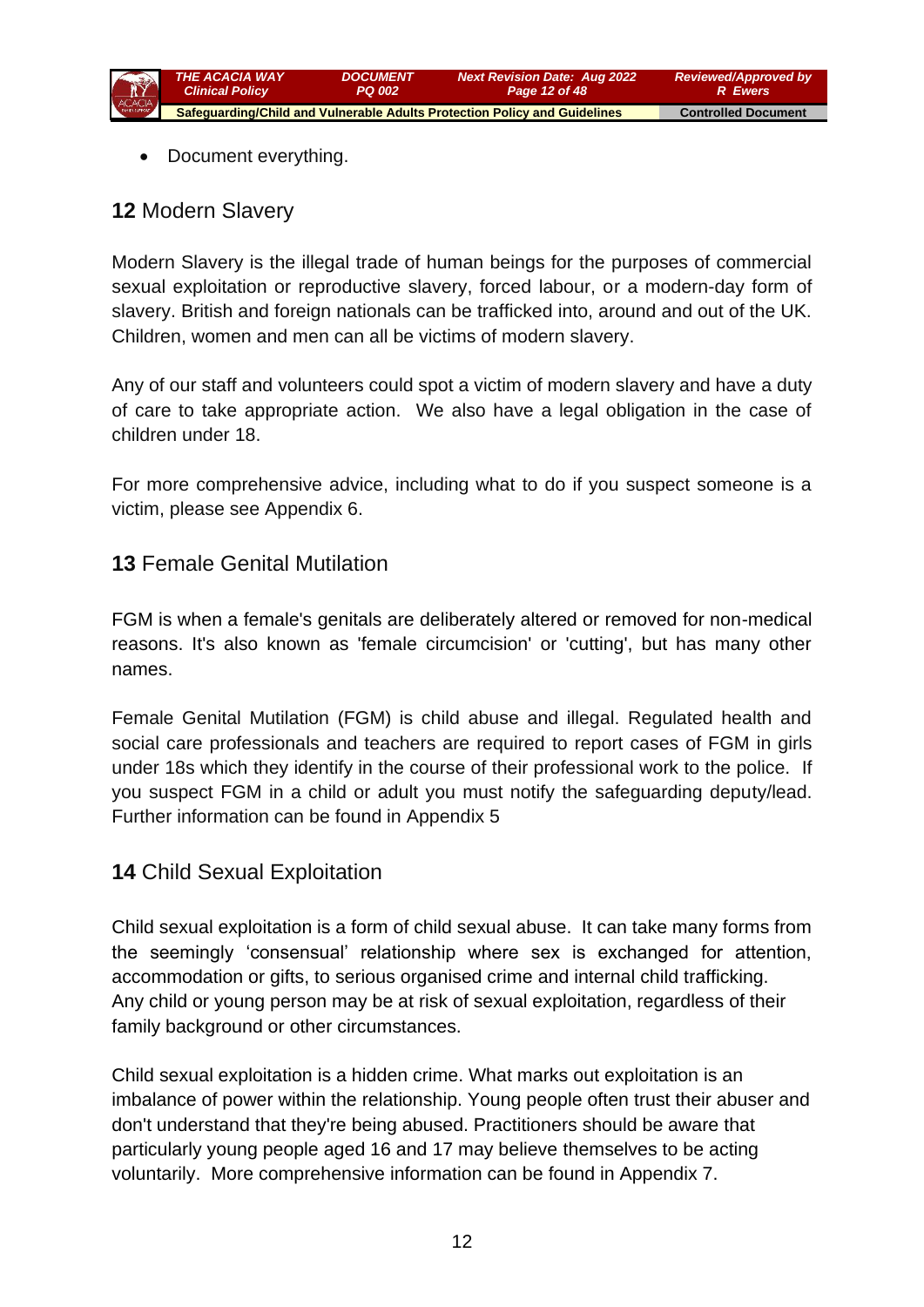

• Document everything.

## **12** Modern Slavery

Modern Slavery is the illegal trade of human beings for the purposes of commercial sexual exploitation or reproductive slavery, forced labour, or a modern-day form of slavery. British and foreign nationals can be trafficked into, around and out of the UK. Children, women and men can all be victims of modern slavery.

Any of our staff and volunteers could spot a victim of modern slavery and have a duty of care to take appropriate action. We also have a legal obligation in the case of children under 18.

For more comprehensive advice, including what to do if you suspect someone is a victim, please see Appendix 6.

## **13** Female Genital Mutilation

FGM is when a female's genitals are deliberately altered or removed for non-medical reasons. It's also known as 'female circumcision' or 'cutting', but has many other names.

Female Genital Mutilation (FGM) is child abuse and illegal. Regulated health and social care professionals and teachers are required to report cases of FGM in girls under 18s which they identify in the course of their professional work to the police. If you suspect FGM in a child or adult you must notify the safeguarding deputy/lead. Further information can be found in Appendix 5

## **14** Child Sexual Exploitation

Child sexual exploitation is a form of child sexual abuse. It can take many forms from the seemingly 'consensual' relationship where sex is exchanged for attention, accommodation or gifts, to serious organised crime and internal child trafficking. Any child or young person may be at risk of sexual exploitation, regardless of their family background or other circumstances.

Child sexual exploitation is a hidden crime. What marks out exploitation is an imbalance of power within the relationship. Young people often trust their abuser and don't understand that they're being abused. Practitioners should be aware that particularly young people aged 16 and 17 may believe themselves to be acting voluntarily. More comprehensive information can be found in Appendix 7.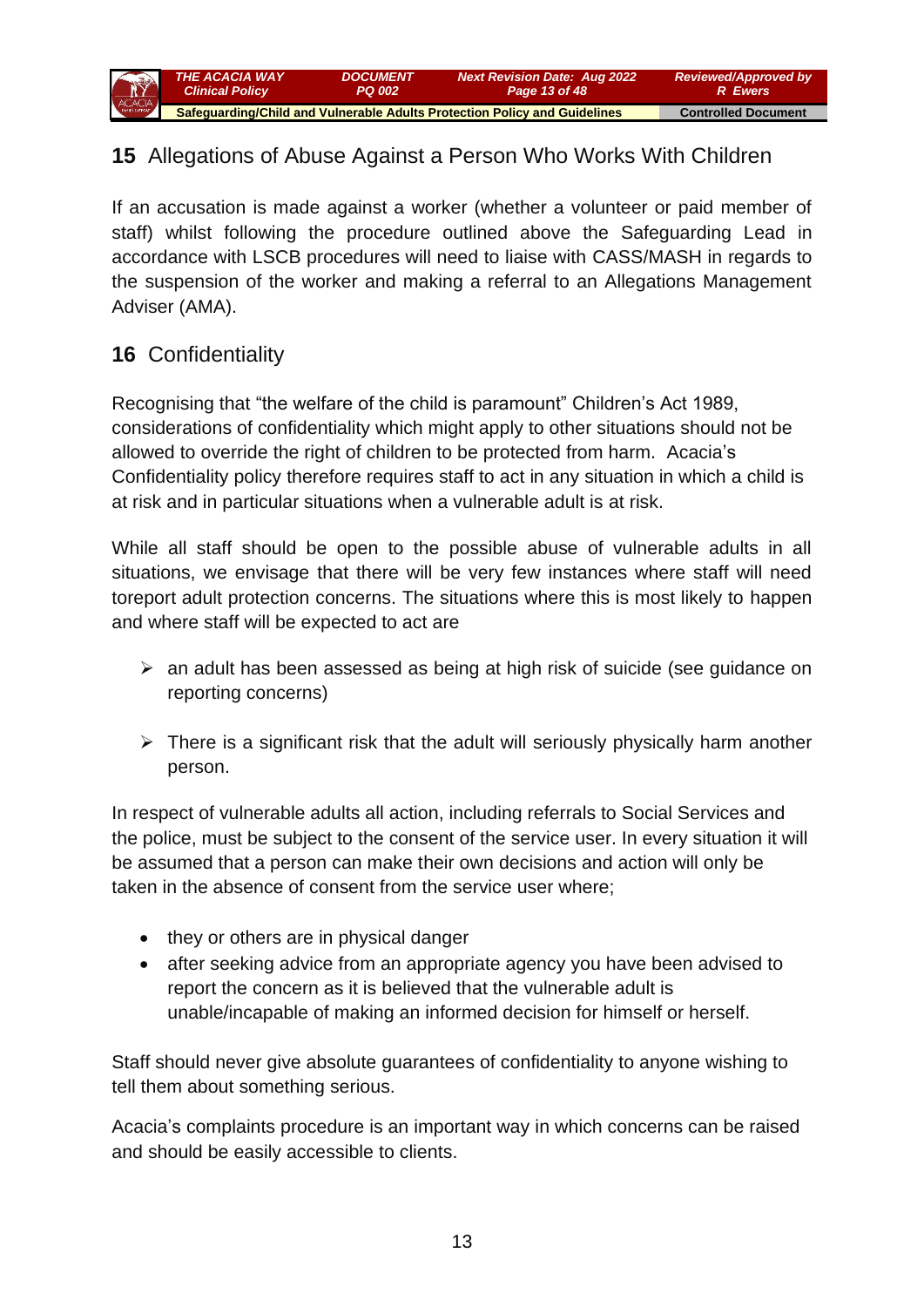

## **15** Allegations of Abuse Against a Person Who Works With Children

If an accusation is made against a worker (whether a volunteer or paid member of staff) whilst following the procedure outlined above the Safeguarding Lead in accordance with LSCB procedures will need to liaise with CASS/MASH in regards to the suspension of the worker and making a referral to an Allegations Management Adviser (AMA).

# **16** Confidentiality

Recognising that "the welfare of the child is paramount" Children's Act 1989, considerations of confidentiality which might apply to other situations should not be allowed to override the right of children to be protected from harm. Acacia's [Confidentiality policy](file://///Gbsrvfs/company/Corporate/Staff%20Handbook/ConfidentialityPolicy-Mar09.doc) therefore requires staff to act in any situation in which a child is at risk and in particular situations when a vulnerable adult is at risk.

While all staff should be open to the possible abuse of vulnerable adults in all situations, we envisage that there will be very few instances where staff will need toreport adult protection concerns. The situations where this is most likely to happen and where staff will be expected to act are

- ➢ an adult has been assessed as being at high risk of suicide (see guidance on reporting concerns)
- $\triangleright$  There is a significant risk that the adult will seriously physically harm another person.

In respect of vulnerable adults all action, including referrals to Social Services and the police, must be subject to the consent of the service user. In every situation it will be assumed that a person can make their own decisions and action will only be taken in the absence of consent from the service user where;

- they or others are in physical danger
- after seeking advice from an appropriate agency you have been advised to report the concern as it is believed that the vulnerable adult is unable/incapable of making an informed decision for himself or herself.

Staff should never give absolute guarantees of confidentiality to anyone wishing to tell them about something serious.

Acacia's [complaints](file://///Gbsrvfs/company/Corporate/Policies%20and%20procedures/Complaints/Gingerbread%20complaints%20policy%202011%20staff%20version%20110510.doc) procedure is an important way in which concerns can be raised and should be easily accessible to clients.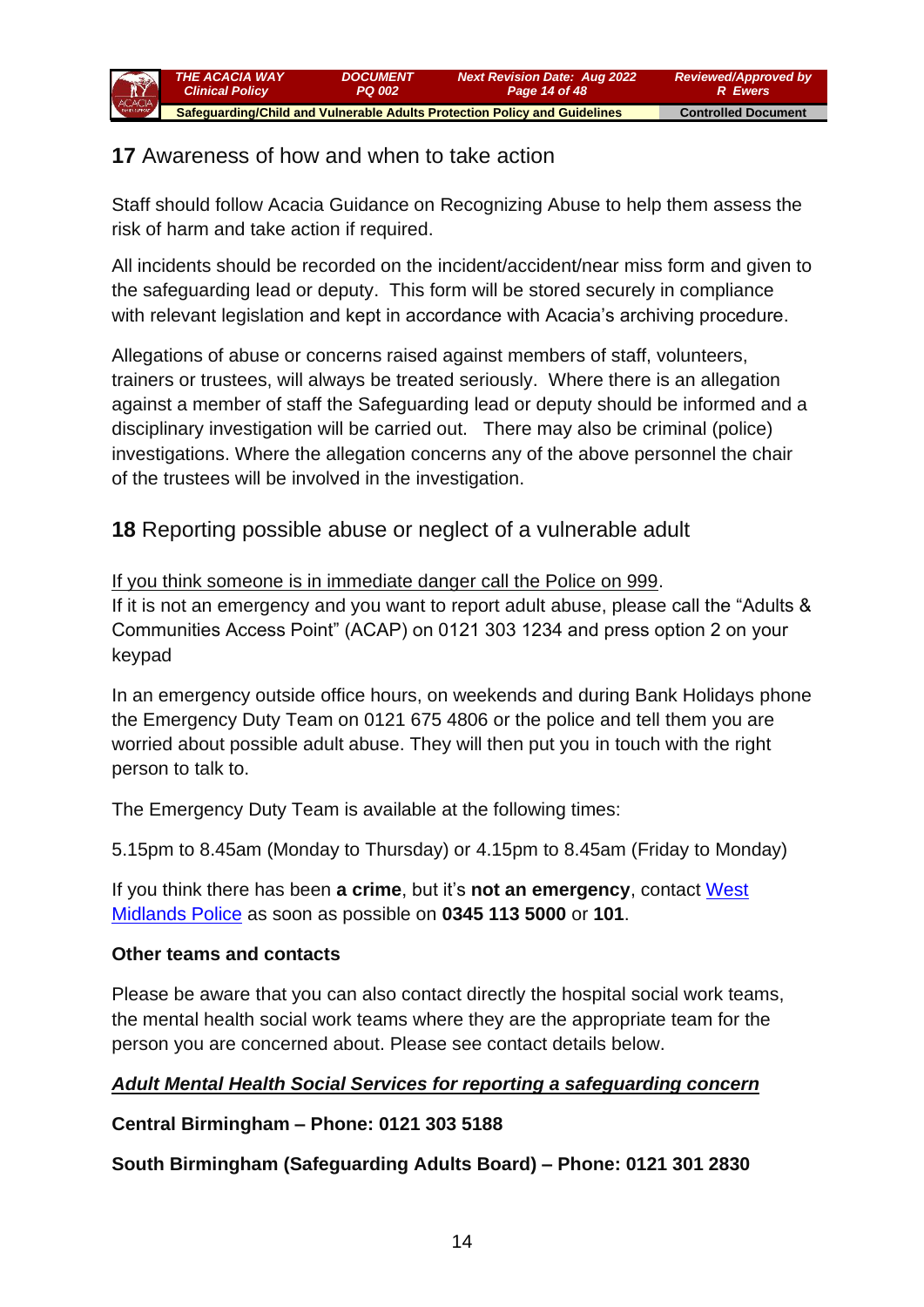# **17** Awareness of how and when to take action

Staff should follow Acacia Guidance on Recognizing Abuse to help them assess the risk of harm and take action if required.

All incidents should be recorded on the incident/accident/near miss form and given to the safeguarding lead or deputy. This form will be stored securely in compliance with relevant legislation and kept in accordance with Acacia's archiving procedure.

Allegations of abuse or concerns raised against members of staff, volunteers, trainers or trustees, will always be treated seriously. Where there is an allegation against a member of staff the Safeguarding lead or deputy should be informed and a disciplinary investigation will be carried out. There may also be criminal (police) investigations. Where the allegation concerns any of the above personnel the chair of the trustees will be involved in the investigation.

**18** Reporting possible abuse or neglect of a vulnerable adult

## If you think someone is in immediate danger call the Police on 999.

If it is not an emergency and you want to report adult abuse, please call the "Adults & Communities Access Point" (ACAP) on 0121 303 1234 and press option 2 on your keypad

In an emergency outside office hours, on weekends and during Bank Holidays phone the Emergency Duty Team on 0121 675 4806 or the police and tell them you are worried about possible adult abuse. They will then put you in touch with the right person to talk to.

The Emergency Duty Team is available at the following times:

5.15pm to 8.45am (Monday to Thursday) or 4.15pm to 8.45am (Friday to Monday)

If you think there has been **a crime**, but it's **not an emergency**, contact [West](http://www.west-midlands.police.uk/)  [Midlands Police](http://www.west-midlands.police.uk/) as soon as possible on **0345 113 5000** or **101**.

## **Other teams and contacts**

Please be aware that you can also contact directly the hospital social work teams, the mental health social work teams where they are the appropriate team for the person you are concerned about. Please see contact details below.

## *Adult Mental Health Social Services for reporting a safeguarding concern*

## **Central Birmingham – Phone: 0121 303 5188**

**South Birmingham (Safeguarding Adults Board) – Phone: 0121 301 2830**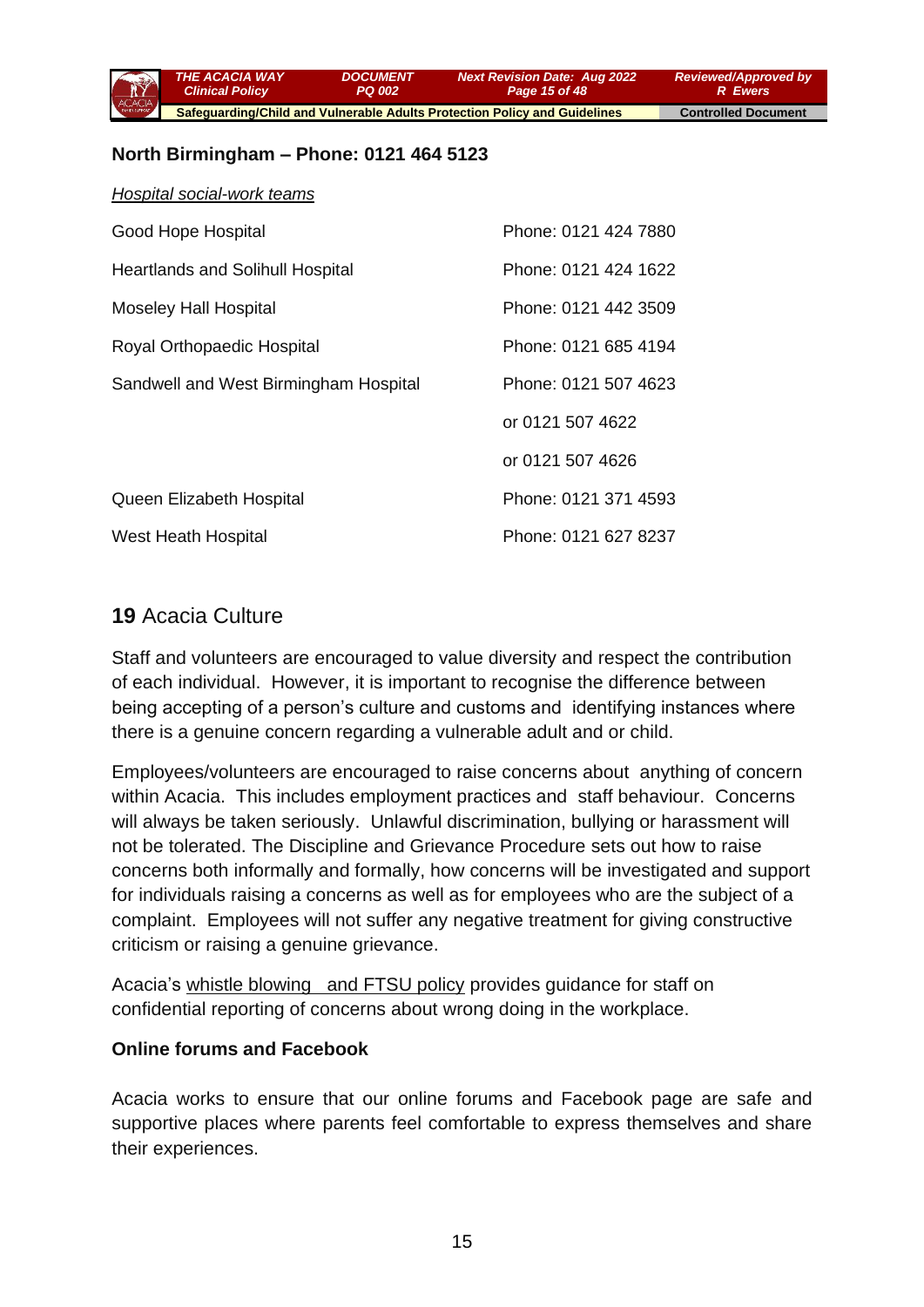*THE ACACIA WAY Clinical Policy DOCUMENT PQ 002 Next Revision Date: Aug 2022 Page 15 of 48 Reviewed/Approved by*

 **Safeguarding/Child and Vulnerable Adults Protection Policy and Guidelines Controlled Document** 

*R Ewers*

### **North Birmingham – Phone: 0121 464 5123**

| Hospital social-work teams              |                      |
|-----------------------------------------|----------------------|
| Good Hope Hospital                      | Phone: 0121 424 7880 |
| <b>Heartlands and Solihull Hospital</b> | Phone: 0121 424 1622 |
| <b>Moseley Hall Hospital</b>            | Phone: 0121 442 3509 |
| Royal Orthopaedic Hospital              | Phone: 0121 685 4194 |
| Sandwell and West Birmingham Hospital   | Phone: 0121 507 4623 |
|                                         | or 0121 507 4622     |
|                                         | or 0121 507 4626     |
| Queen Elizabeth Hospital                | Phone: 0121 371 4593 |
| West Heath Hospital                     | Phone: 0121 627 8237 |

## **19** Acacia Culture

Staff and volunteers are encouraged to value diversity and respect the contribution of each individual. However, it is important to recognise the difference between being accepting of a person's culture and customs and identifying instances where there is a genuine concern regarding a vulnerable adult and or child.

Employees/volunteers are encouraged to raise concerns about anything of concern within Acacia. This includes employment practices and staff behaviour. Concerns will always be taken seriously. Unlawful discrimination, bullying or harassment will not be tolerated. The Discipline and Grievance Procedure sets out how to raise concerns both informally and formally, how concerns will be investigated and support for individuals raising a concerns as well as for employees who are the subject of a complaint. Employees will not suffer any negative treatment for giving constructive criticism or raising a genuine grievance.

Acacia's [whistle blowing and FTSU policy](file://///Gbsrvfs/company/Corporate/Staff%20Handbook/Section%202%20Code%20of%20Conduct/WHISTLEBLOWING.doc) provides guidance for staff on confidential reporting of concerns about wrong doing in the workplace.

### **Online forums and Facebook**

Acacia works to ensure that our online forums and Facebook page are safe and supportive places where parents feel comfortable to express themselves and share their experiences.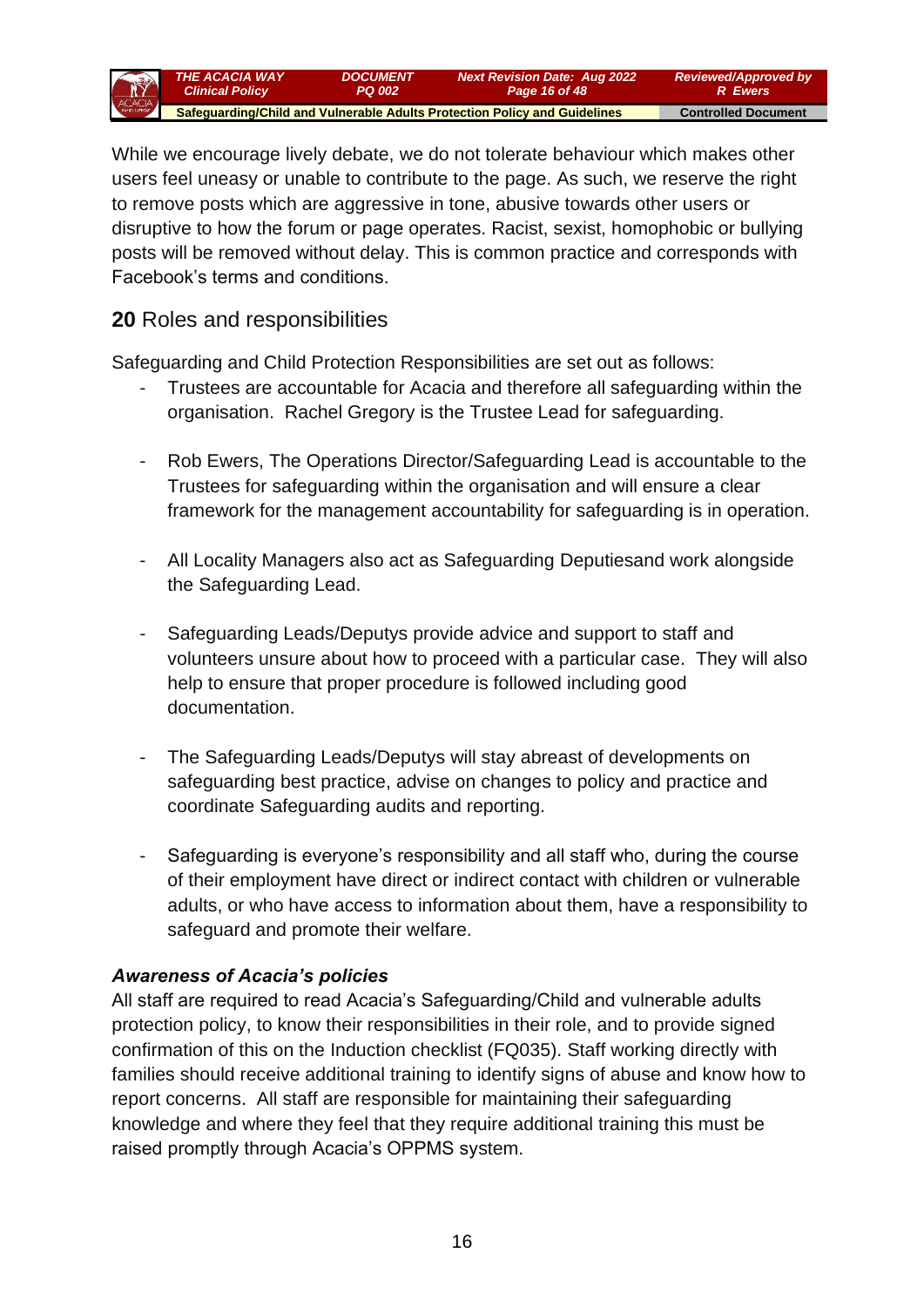

While we encourage lively debate, we do not tolerate behaviour which makes other users feel uneasy or unable to contribute to the page. As such, we reserve the right to remove posts which are aggressive in tone, abusive towards other users or disruptive to how the forum or page operates. Racist, sexist, homophobic or bullying posts will be removed without delay. This is common practice and corresponds with Facebook's terms and conditions.

## **20** Roles and responsibilities

Safeguarding and Child Protection Responsibilities are set out as follows:

- Trustees are accountable for Acacia and therefore all safeguarding within the organisation. Rachel Gregory is the Trustee Lead for safeguarding.
- Rob Ewers, The Operations Director/Safeguarding Lead is accountable to the Trustees for safeguarding within the organisation and will ensure a clear framework for the management accountability for safeguarding is in operation.
- All Locality Managers also act as Safeguarding Deputiesand work alongside the Safeguarding Lead.
- Safeguarding Leads/Deputys provide advice and support to staff and volunteers unsure about how to proceed with a particular case. They will also help to ensure that proper procedure is followed including good documentation.
- The Safeguarding Leads/Deputys will stay abreast of developments on safeguarding best practice, advise on changes to policy and practice and coordinate Safeguarding audits and reporting.
- Safeguarding is everyone's responsibility and all staff who, during the course of their employment have direct or indirect contact with children or vulnerable adults, or who have access to information about them, have a responsibility to safeguard and promote their welfare.

### *Awareness of Acacia's policies*

All staff are required to read Acacia's Safeguarding/Child and vulnerable adults protection policy, to know their responsibilities in their role, and to provide signed confirmation of this on the Induction checklist (FQ035). Staff working directly with families should receive additional training to identify signs of abuse and know how to report concerns. All staff are responsible for maintaining their safeguarding knowledge and where they feel that they require additional training this must be raised promptly through Acacia's OPPMS system.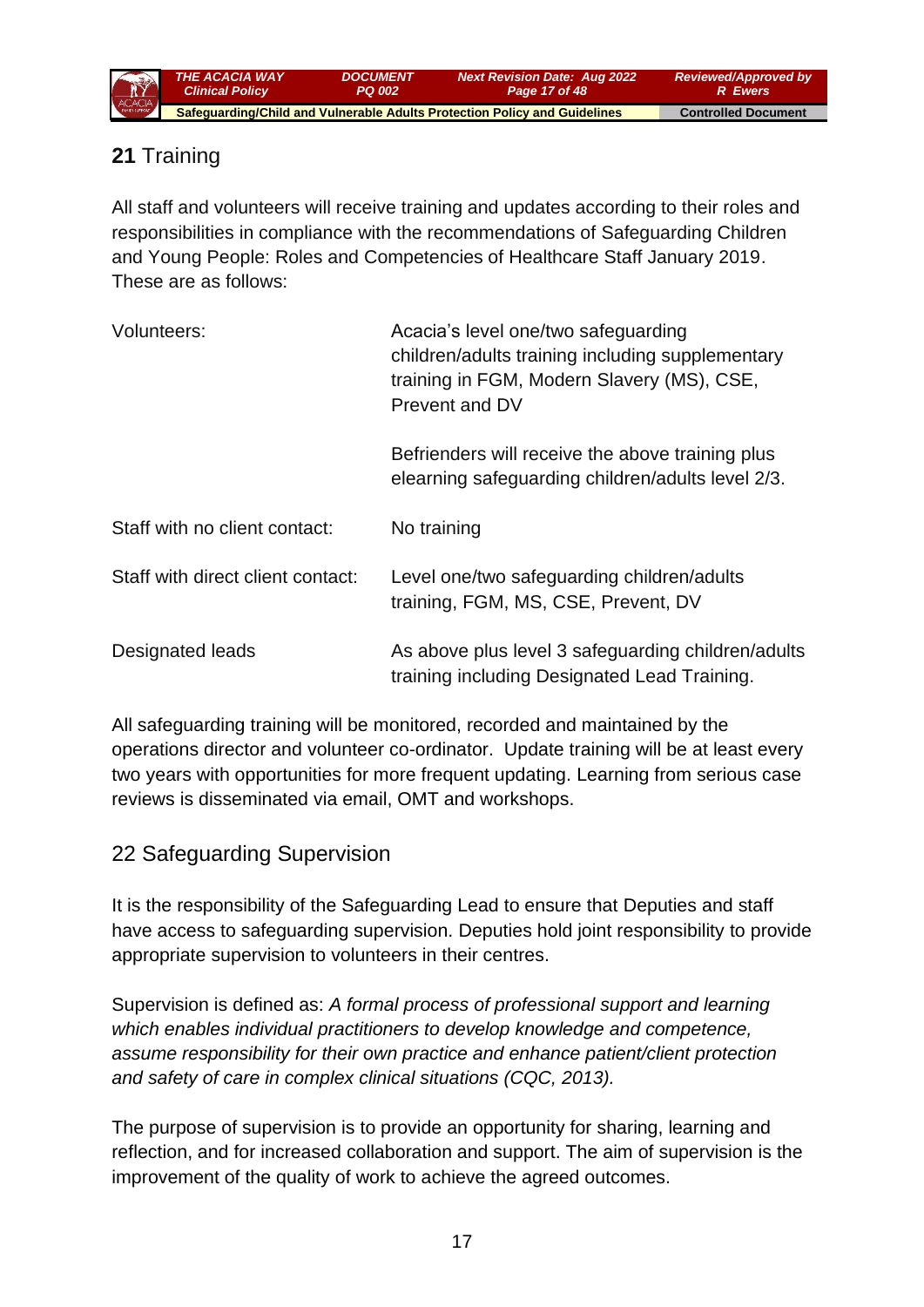

# **21** Training

All staff and volunteers will receive training and updates according to their roles and responsibilities in compliance with the recommendations of Safeguarding Children and Young People: Roles and Competencies of Healthcare Staff January 2019. These are as follows:

| Volunteers:                       | Acacia's level one/two safeguarding<br>children/adults training including supplementary<br>training in FGM, Modern Slavery (MS), CSE,<br>Prevent and DV |  |
|-----------------------------------|---------------------------------------------------------------------------------------------------------------------------------------------------------|--|
|                                   | Befrienders will receive the above training plus<br>elearning safeguarding children/adults level 2/3.                                                   |  |
| Staff with no client contact:     | No training                                                                                                                                             |  |
| Staff with direct client contact: | Level one/two safeguarding children/adults<br>training, FGM, MS, CSE, Prevent, DV                                                                       |  |
| Designated leads                  | As above plus level 3 safeguarding children/adults<br>training including Designated Lead Training.                                                      |  |

All safeguarding training will be monitored, recorded and maintained by the operations director and volunteer co-ordinator. Update training will be at least every two years with opportunities for more frequent updating. Learning from serious case reviews is disseminated via email, OMT and workshops.

## 22 Safeguarding Supervision

It is the responsibility of the Safeguarding Lead to ensure that Deputies and staff have access to safeguarding supervision. Deputies hold joint responsibility to provide appropriate supervision to volunteers in their centres.

Supervision is defined as: *A formal process of professional support and learning which enables individual practitioners to develop knowledge and competence, assume responsibility for their own practice and enhance patient/client protection and safety of care in complex clinical situations (CQC, 2013).*

The purpose of supervision is to provide an opportunity for sharing, learning and reflection, and for increased collaboration and support. The aim of supervision is the improvement of the quality of work to achieve the agreed outcomes.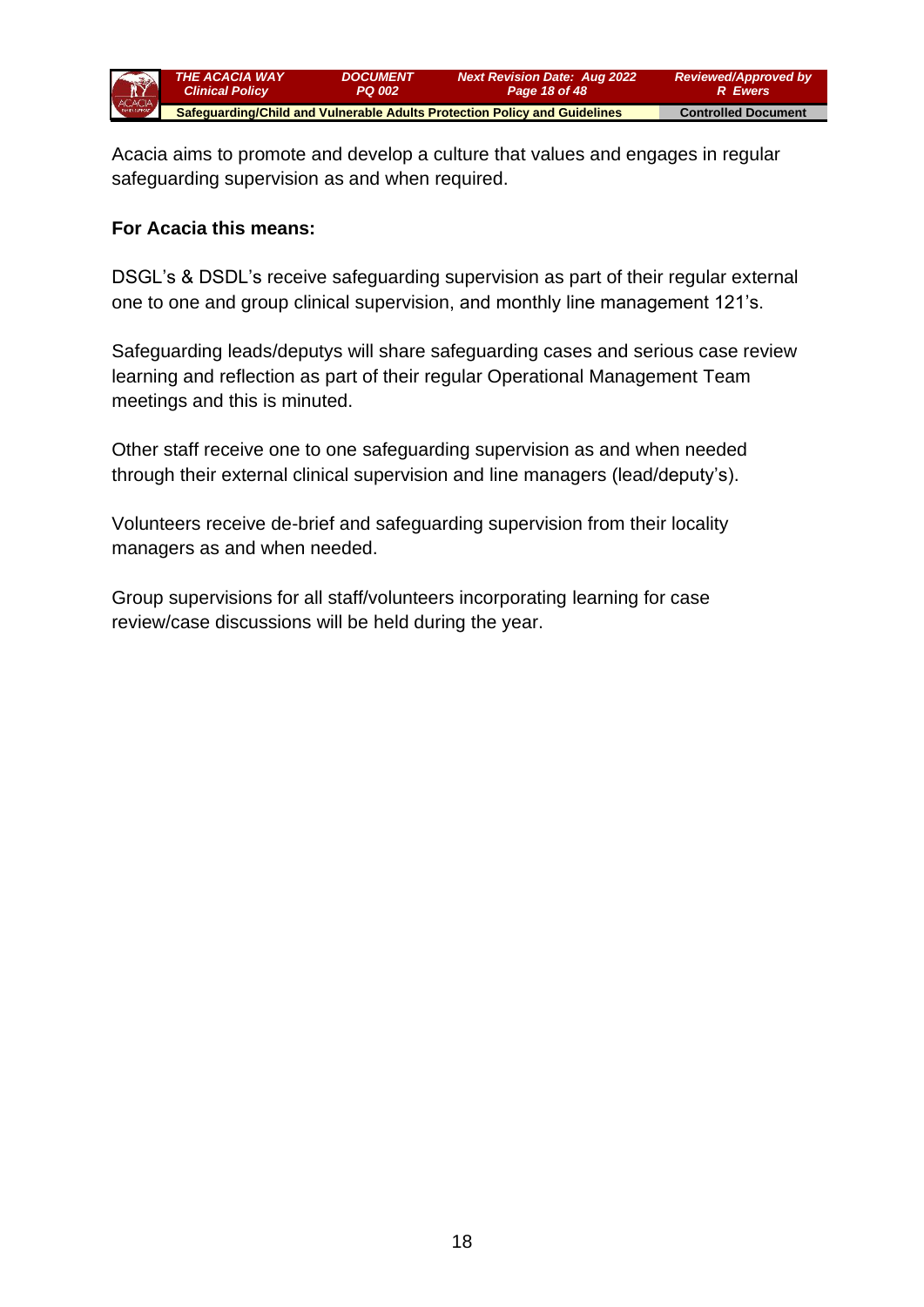

Acacia aims to promote and develop a culture that values and engages in regular safeguarding supervision as and when required.

#### **For Acacia this means:**

DSGL's & DSDL's receive safeguarding supervision as part of their regular external one to one and group clinical supervision, and monthly line management 121's.

Safeguarding leads/deputys will share safeguarding cases and serious case review learning and reflection as part of their regular Operational Management Team meetings and this is minuted.

Other staff receive one to one safeguarding supervision as and when needed through their external clinical supervision and line managers (lead/deputy's).

Volunteers receive de-brief and safeguarding supervision from their locality managers as and when needed.

Group supervisions for all staff/volunteers incorporating learning for case review/case discussions will be held during the year.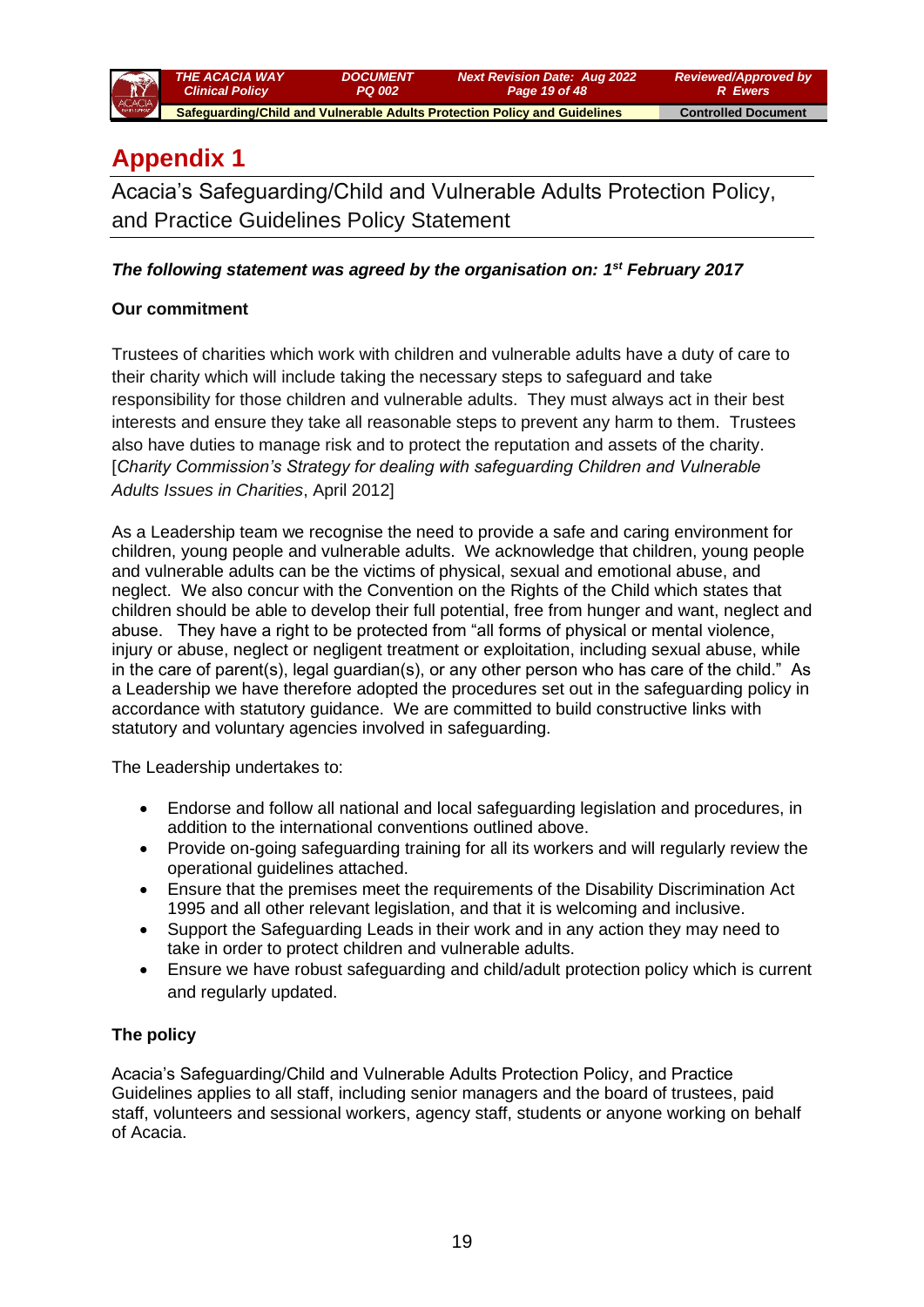

# **Appendix 1**

Acacia's Safeguarding/Child and Vulnerable Adults Protection Policy, and Practice Guidelines Policy Statement

#### *The following statement was agreed by the organisation on: 1st February 2017*

#### **Our commitment**

Trustees of charities which work with children and vulnerable adults have a duty of care to their charity which will include taking the necessary steps to safeguard and take responsibility for those children and vulnerable adults. They must always act in their best interests and ensure they take all reasonable steps to prevent any harm to them. Trustees also have duties to manage risk and to protect the reputation and assets of the charity. [*Charity Commission's Strategy for dealing with safeguarding Children and Vulnerable Adults Issues in Charities*, April 2012]

As a Leadership team we recognise the need to provide a safe and caring environment for children, young people and vulnerable adults. We acknowledge that children, young people and vulnerable adults can be the victims of physical, sexual and emotional abuse, and neglect. We also concur with the Convention on the Rights of the Child which states that children should be able to develop their full potential, free from hunger and want, neglect and abuse. They have a right to be protected from "all forms of physical or mental violence, injury or abuse, neglect or negligent treatment or exploitation, including sexual abuse, while in the care of parent(s), legal guardian(s), or any other person who has care of the child." As a Leadership we have therefore adopted the procedures set out in the safeguarding policy in accordance with statutory guidance. We are committed to build constructive links with statutory and voluntary agencies involved in safeguarding.

The Leadership undertakes to:

- Endorse and follow all national and local safeguarding legislation and procedures, in addition to the international conventions outlined above.
- Provide on-going safeguarding training for all its workers and will regularly review the operational guidelines attached.
- Ensure that the premises meet the requirements of the Disability Discrimination Act 1995 and all other relevant legislation, and that it is welcoming and inclusive.
- Support the Safeguarding Leads in their work and in any action they may need to take in order to protect children and vulnerable adults.
- Ensure we have robust safeguarding and child/adult protection policy which is current and regularly updated.

#### **The policy**

Acacia's Safeguarding/Child and Vulnerable Adults Protection Policy, and Practice Guidelines applies to all staff, including senior managers and the board of trustees, paid staff, volunteers and sessional workers, agency staff, students or anyone working on behalf of Acacia.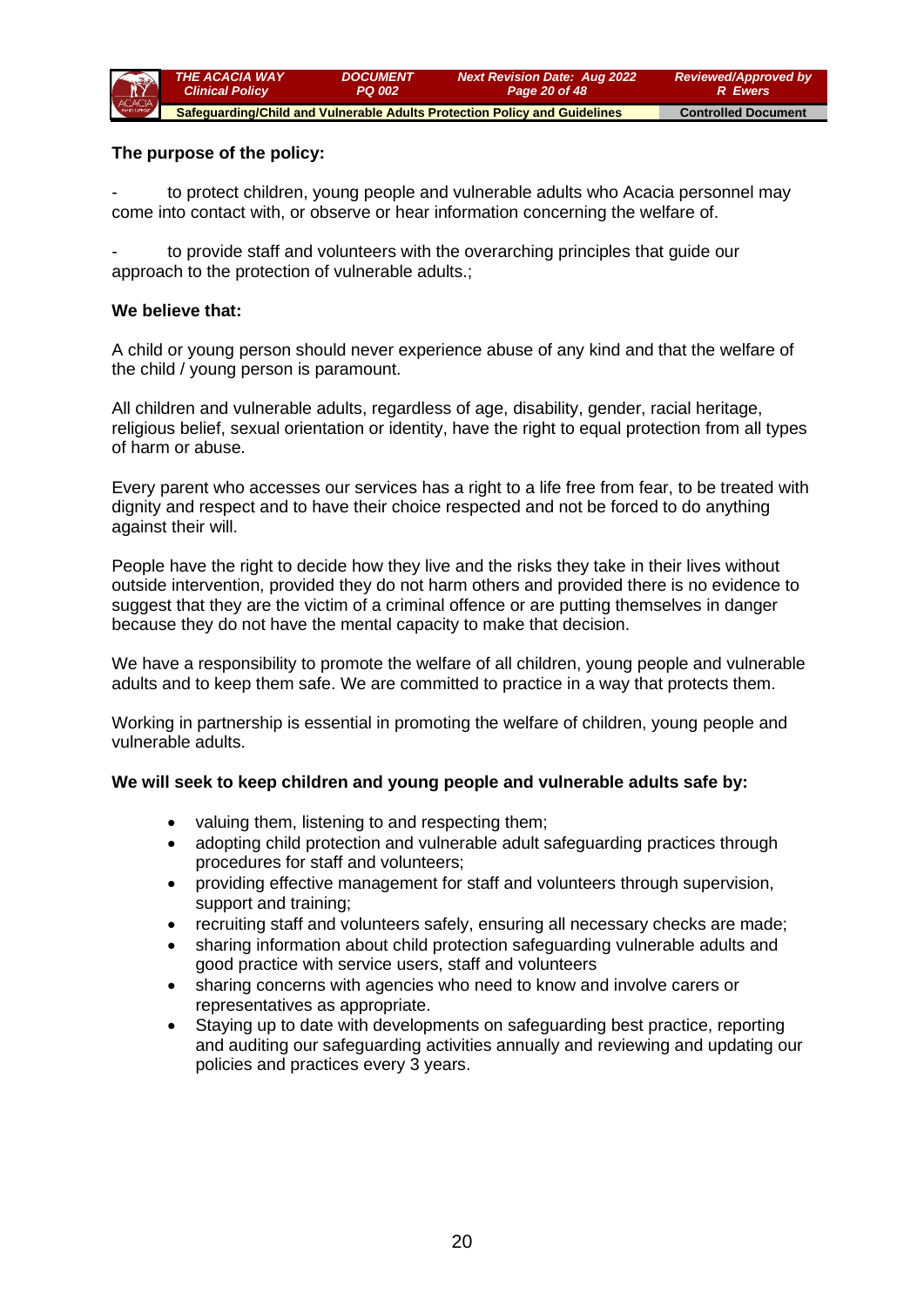

#### **The purpose of the policy:**

to protect children, young people and vulnerable adults who Acacia personnel may come into contact with, or observe or hear information concerning the welfare of.

to provide staff and volunteers with the overarching principles that quide our approach to the protection of vulnerable adults.;

#### **We believe that:**

A child or young person should never experience abuse of any kind and that the welfare of the child / young person is paramount.

All children and vulnerable adults, regardless of age, disability, gender, racial heritage, religious belief, sexual orientation or identity, have the right to equal protection from all types of harm or abuse.

Every parent who accesses our services has a right to a life free from fear, to be treated with dignity and respect and to have their choice respected and not be forced to do anything against their will.

People have the right to decide how they live and the risks they take in their lives without outside intervention, provided they do not harm others and provided there is no evidence to suggest that they are the victim of a criminal offence or are putting themselves in danger because they do not have the mental capacity to make that decision.

We have a responsibility to promote the welfare of all children, young people and vulnerable adults and to keep them safe. We are committed to practice in a way that protects them.

Working in partnership is essential in promoting the welfare of children, young people and vulnerable adults.

#### **We will seek to keep children and young people and vulnerable adults safe by:**

- valuing them, listening to and respecting them;
- adopting child protection and vulnerable adult safeguarding practices through procedures for staff and volunteers;
- providing effective management for staff and volunteers through supervision, support and training;
- recruiting staff and volunteers safely, ensuring all necessary checks are made;
- sharing information about child protection safeguarding vulnerable adults and good practice with service users, staff and volunteers
- sharing concerns with agencies who need to know and involve carers or representatives as appropriate.
- Staying up to date with developments on safeguarding best practice, reporting and auditing our safeguarding activities annually and reviewing and updating our policies and practices every 3 years.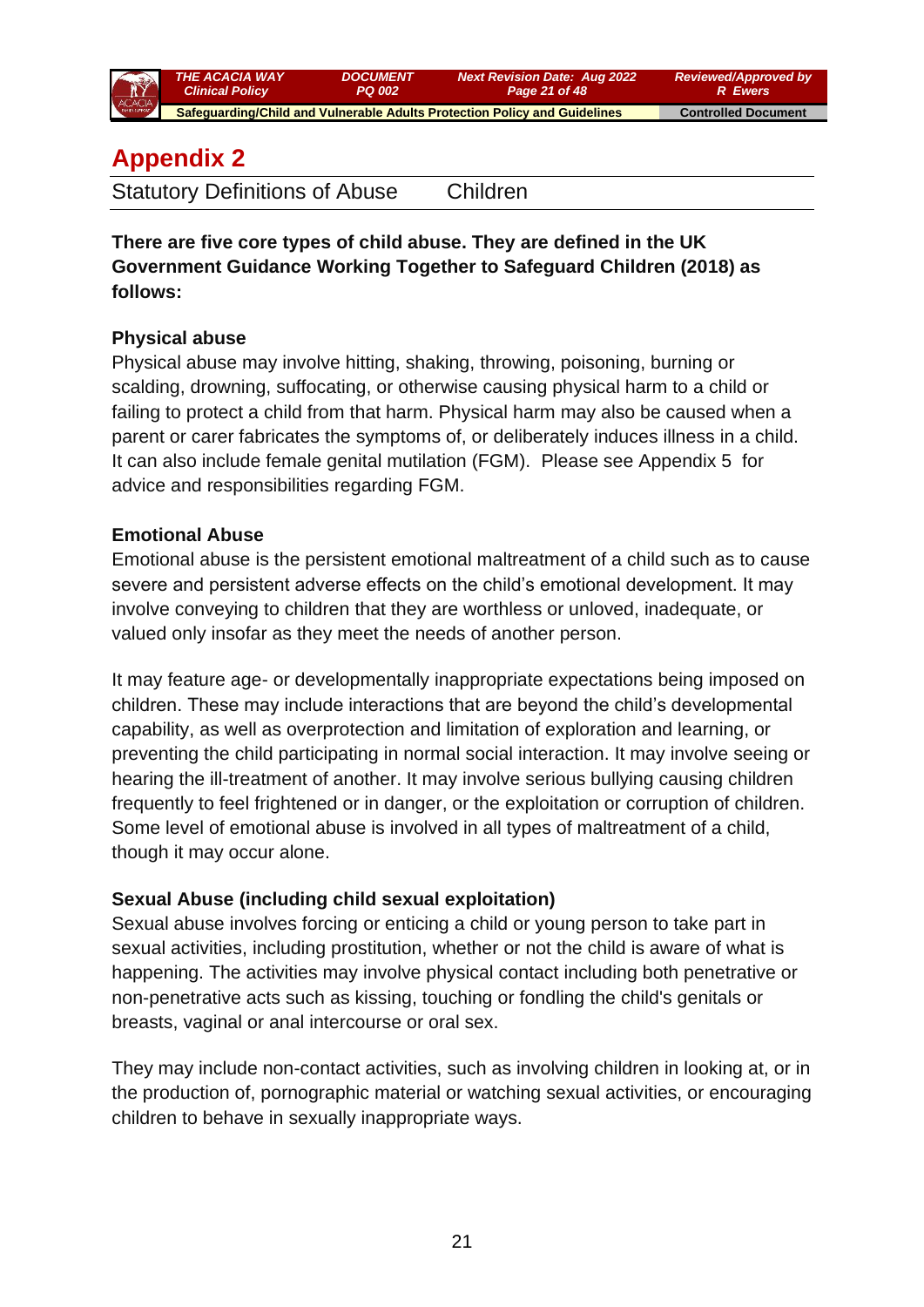

# **Appendix 2**

**There are five core types of child abuse. They are defined in the UK Government Guidance Working Together to Safeguard Children (2018) as follows:** 

## **Physical abuse**

Physical abuse may involve hitting, shaking, throwing, poisoning, burning or scalding, drowning, suffocating, or otherwise causing physical harm to a child or failing to protect a child from that harm. Physical harm may also be caused when a parent or carer fabricates the symptoms of, or deliberately induces illness in a child. It can also include female genital mutilation (FGM). Please see Appendix 5 for advice and responsibilities regarding FGM.

## **Emotional Abuse**

Emotional abuse is the persistent emotional maltreatment of a child such as to cause severe and persistent adverse effects on the child's emotional development. It may involve conveying to children that they are worthless or unloved, inadequate, or valued only insofar as they meet the needs of another person.

It may feature age- or developmentally inappropriate expectations being imposed on children. These may include interactions that are beyond the child's developmental capability, as well as overprotection and limitation of exploration and learning, or preventing the child participating in normal social interaction. It may involve seeing or hearing the ill-treatment of another. It may involve serious bullying causing children frequently to feel frightened or in danger, or the exploitation or corruption of children. Some level of emotional abuse is involved in all types of maltreatment of a child, though it may occur alone.

## **Sexual Abuse (including child sexual exploitation)**

Sexual abuse involves forcing or enticing a child or young person to take part in sexual activities, including prostitution, whether or not the child is aware of what is happening. The activities may involve physical contact including both penetrative or non-penetrative acts such as kissing, touching or fondling the child's genitals or breasts, vaginal or anal intercourse or oral sex.

They may include non-contact activities, such as involving children in looking at, or in the production of, pornographic material or watching sexual activities, or encouraging children to behave in sexually inappropriate ways.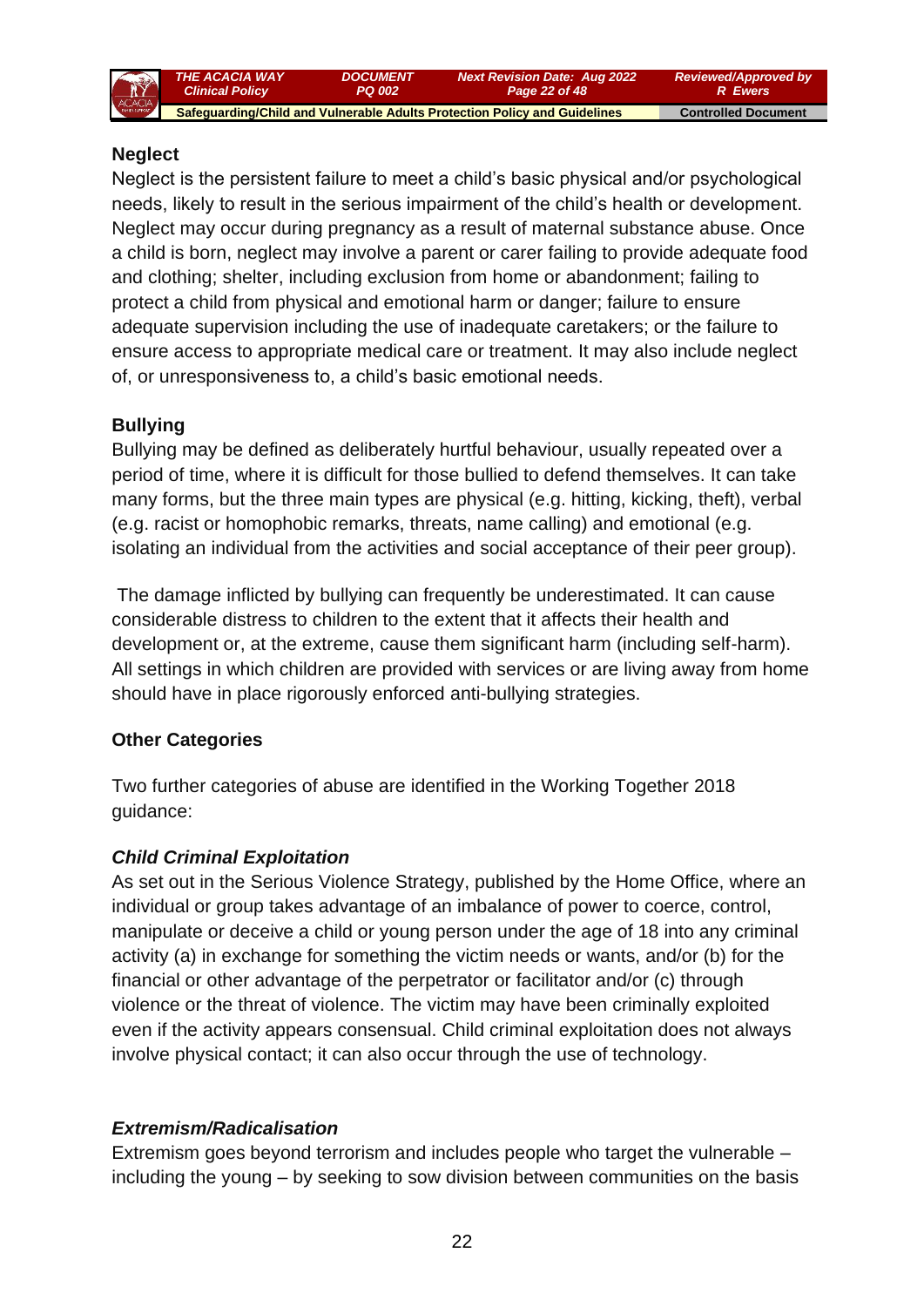

### **Neglect**

Neglect is the persistent failure to meet a child's basic physical and/or psychological needs, likely to result in the serious impairment of the child's health or development. Neglect may occur during pregnancy as a result of maternal substance abuse. Once a child is born, neglect may involve a parent or carer failing to provide adequate food and clothing; shelter, including exclusion from home or abandonment; failing to protect a child from physical and emotional harm or danger; failure to ensure adequate supervision including the use of inadequate caretakers; or the failure to ensure access to appropriate medical care or treatment. It may also include neglect of, or unresponsiveness to, a child's basic emotional needs.

### **Bullying**

Bullying may be defined as deliberately hurtful behaviour, usually repeated over a period of time, where it is difficult for those bullied to defend themselves. It can take many forms, but the three main types are physical (e.g. hitting, kicking, theft), verbal (e.g. racist or homophobic remarks, threats, name calling) and emotional (e.g. isolating an individual from the activities and social acceptance of their peer group).

The damage inflicted by bullying can frequently be underestimated. It can cause considerable distress to children to the extent that it affects their health and development or, at the extreme, cause them significant harm (including self-harm). All settings in which children are provided with services or are living away from home should have in place rigorously enforced anti-bullying strategies.

### **Other Categories**

Two further categories of abuse are identified in the Working Together 2018 guidance:

### *Child Criminal Exploitation*

As set out in the Serious Violence Strategy, published by the Home Office, where an individual or group takes advantage of an imbalance of power to coerce, control, manipulate or deceive a child or young person under the age of 18 into any criminal activity (a) in exchange for something the victim needs or wants, and/or (b) for the financial or other advantage of the perpetrator or facilitator and/or (c) through violence or the threat of violence. The victim may have been criminally exploited even if the activity appears consensual. Child criminal exploitation does not always involve physical contact; it can also occur through the use of technology.

### *Extremism/Radicalisation*

Extremism goes beyond terrorism and includes people who target the vulnerable – including the young – by seeking to sow division between communities on the basis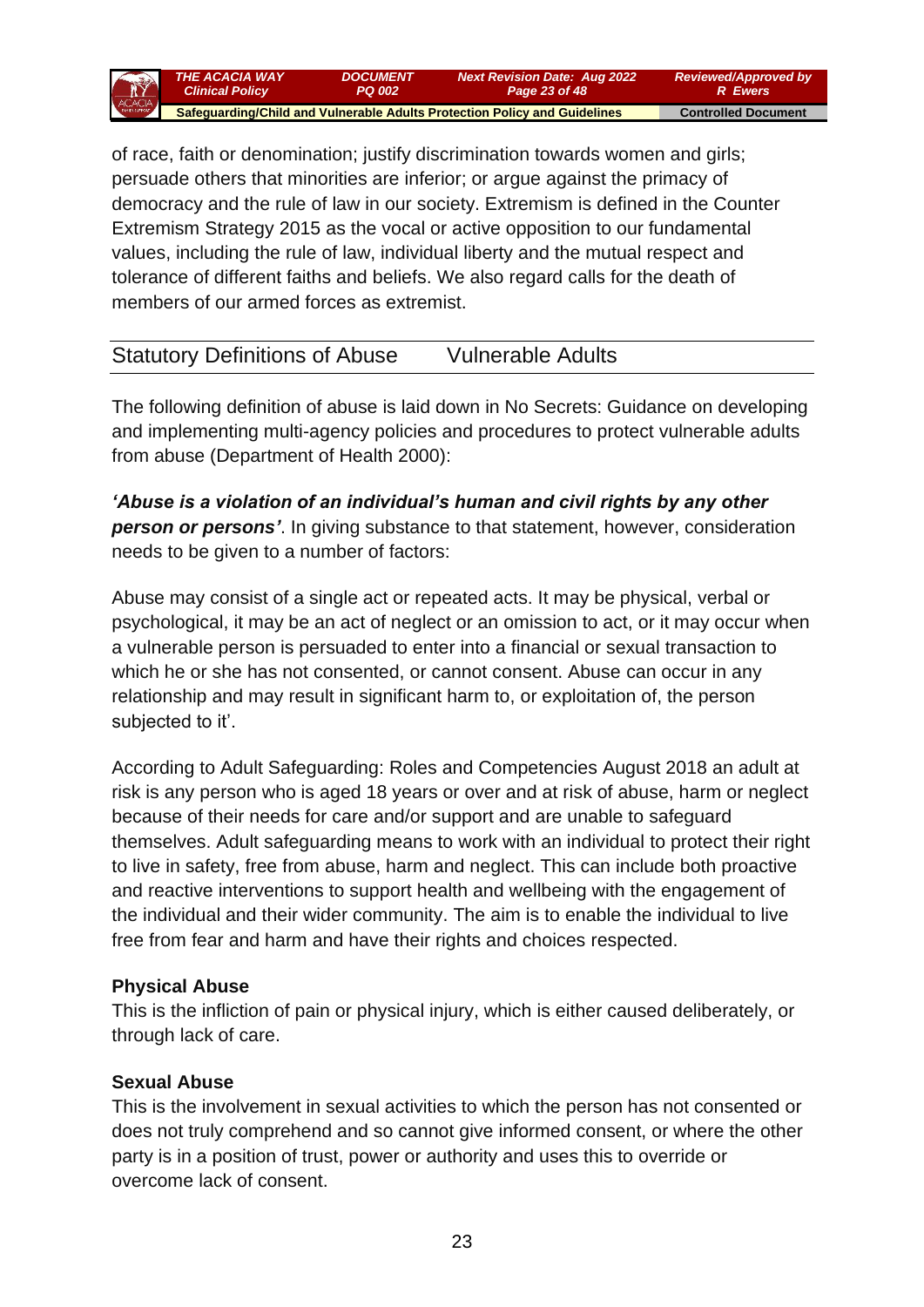

of race, faith or denomination; justify discrimination towards women and girls; persuade others that minorities are inferior; or argue against the primacy of democracy and the rule of law in our society. Extremism is defined in the Counter Extremism Strategy 2015 as the vocal or active opposition to our fundamental values, including the rule of law, individual liberty and the mutual respect and tolerance of different faiths and beliefs. We also regard calls for the death of members of our armed forces as extremist.

## Statutory Definitions of Abuse Vulnerable Adults

The following definition of abuse is laid down in No Secrets: Guidance on developing and implementing multi-agency policies and procedures to protect vulnerable adults from abuse (Department of Health 2000):

*'Abuse is a violation of an individual's human and civil rights by any other person or persons'*. In giving substance to that statement, however, consideration needs to be given to a number of factors:

Abuse may consist of a single act or repeated acts. It may be physical, verbal or psychological, it may be an act of neglect or an omission to act, or it may occur when a vulnerable person is persuaded to enter into a financial or sexual transaction to which he or she has not consented, or cannot consent. Abuse can occur in any relationship and may result in significant harm to, or exploitation of, the person subjected to it'.

According to Adult Safeguarding: Roles and Competencies August 2018 an adult at risk is any person who is aged 18 years or over and at risk of abuse, harm or neglect because of their needs for care and/or support and are unable to safeguard themselves. Adult safeguarding means to work with an individual to protect their right to live in safety, free from abuse, harm and neglect. This can include both proactive and reactive interventions to support health and wellbeing with the engagement of the individual and their wider community. The aim is to enable the individual to live free from fear and harm and have their rights and choices respected.

### **Physical Abuse**

This is the infliction of pain or physical injury, which is either caused deliberately, or through lack of care.

### **Sexual Abuse**

This is the involvement in sexual activities to which the person has not consented or does not truly comprehend and so cannot give informed consent, or where the other party is in a position of trust, power or authority and uses this to override or overcome lack of consent.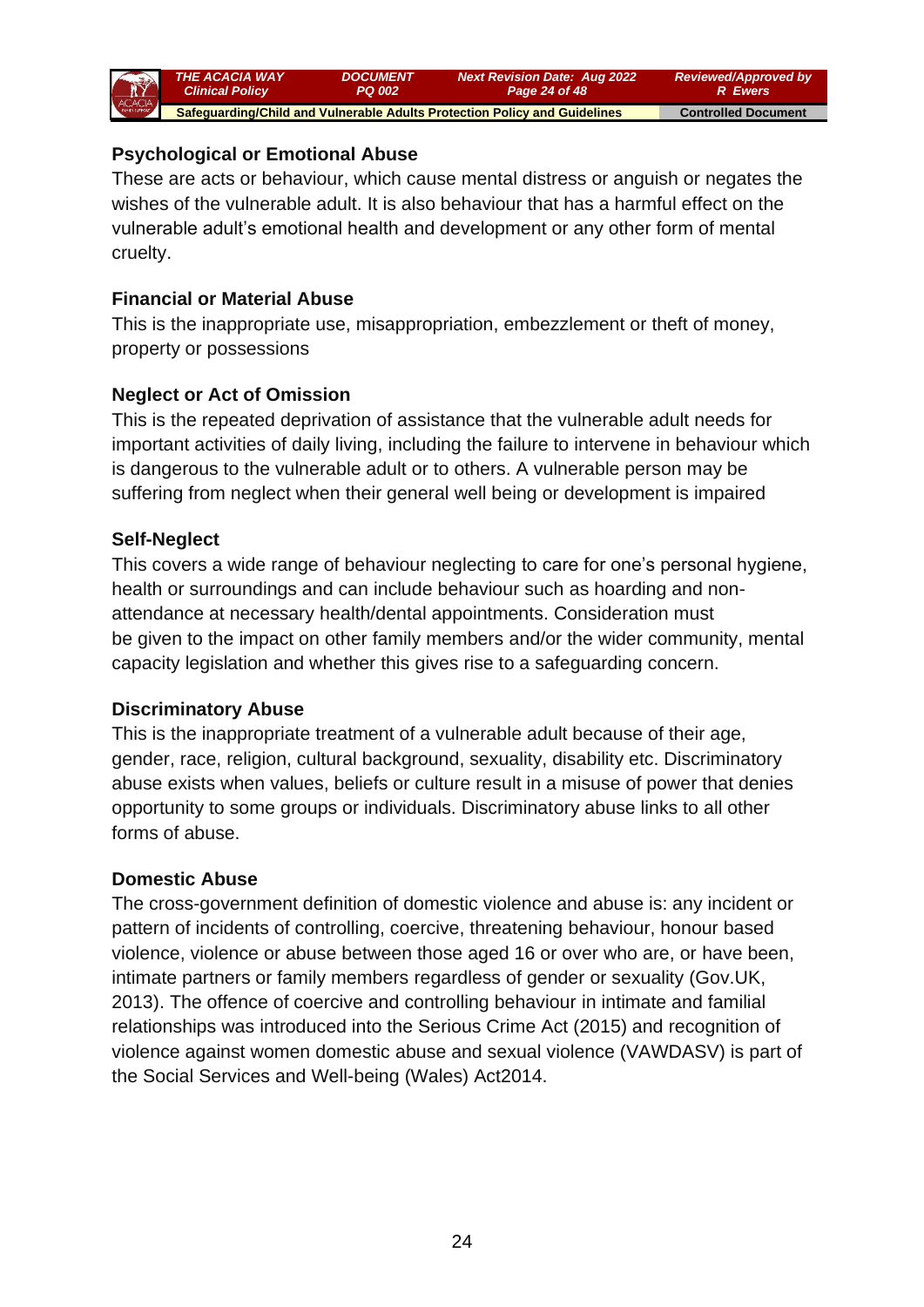

## **Psychological or Emotional Abuse**

These are acts or behaviour, which cause mental distress or anguish or negates the wishes of the vulnerable adult. It is also behaviour that has a harmful effect on the vulnerable adult's emotional health and development or any other form of mental cruelty.

#### **Financial or Material Abuse**

This is the inappropriate use, misappropriation, embezzlement or theft of money, property or possessions

### **Neglect or Act of Omission**

This is the repeated deprivation of assistance that the vulnerable adult needs for important activities of daily living, including the failure to intervene in behaviour which is dangerous to the vulnerable adult or to others. A vulnerable person may be suffering from neglect when their general well being or development is impaired

### **Self-Neglect**

This covers a wide range of behaviour neglecting to care for one's personal hygiene, health or surroundings and can include behaviour such as hoarding and nonattendance at necessary health/dental appointments. Consideration must be given to the impact on other family members and/or the wider community, mental capacity legislation and whether this gives rise to a safeguarding concern.

### **Discriminatory Abuse**

This is the inappropriate treatment of a vulnerable adult because of their age, gender, race, religion, cultural background, sexuality, disability etc. Discriminatory abuse exists when values, beliefs or culture result in a misuse of power that denies opportunity to some groups or individuals. Discriminatory abuse links to all other forms of abuse.

### **Domestic Abuse**

The cross-government definition of domestic violence and abuse is: any incident or pattern of incidents of controlling, coercive, threatening behaviour, honour based violence, violence or abuse between those aged 16 or over who are, or have been, intimate partners or family members regardless of gender or sexuality (Gov.UK, 2013). The offence of coercive and controlling behaviour in intimate and familial relationships was introduced into the Serious Crime Act (2015) and recognition of violence against women domestic abuse and sexual violence (VAWDASV) is part of the Social Services and Well-being (Wales) Act2014.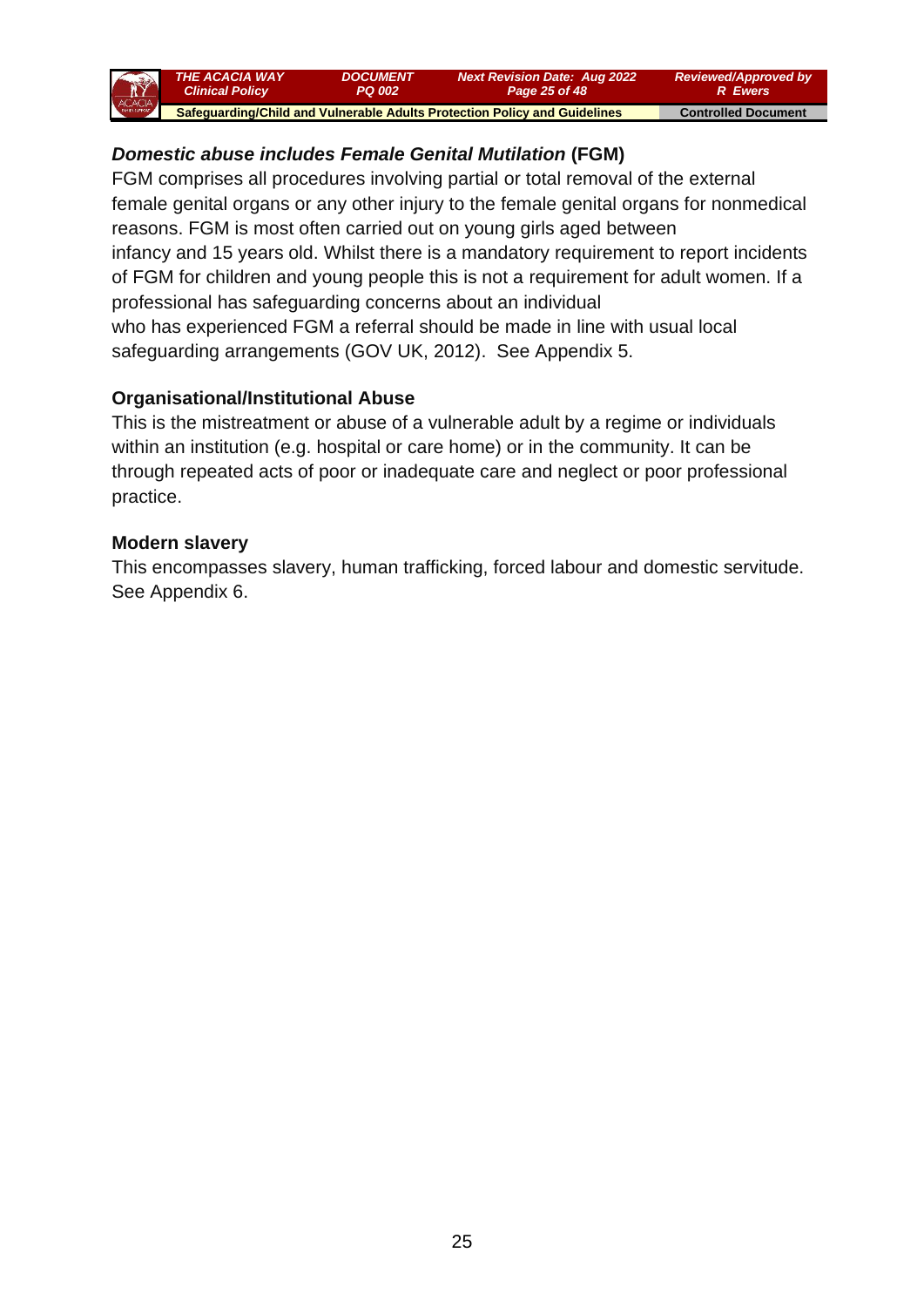

# *Domestic abuse includes Female Genital Mutilation* **(FGM)**

FGM comprises all procedures involving partial or total removal of the external female genital organs or any other injury to the female genital organs for nonmedical reasons. FGM is most often carried out on young girls aged between infancy and 15 years old. Whilst there is a mandatory requirement to report incidents of FGM for children and young people this is not a requirement for adult women. If a professional has safeguarding concerns about an individual who has experienced FGM a referral should be made in line with usual local safeguarding arrangements (GOV UK, 2012). See Appendix 5.

## **Organisational/Institutional Abuse**

This is the mistreatment or abuse of a vulnerable adult by a regime or individuals within an institution (e.g. hospital or care home) or in the community. It can be through repeated acts of poor or inadequate care and neglect or poor professional practice.

### **Modern slavery**

This encompasses slavery, human trafficking, forced labour and domestic servitude. See Appendix 6.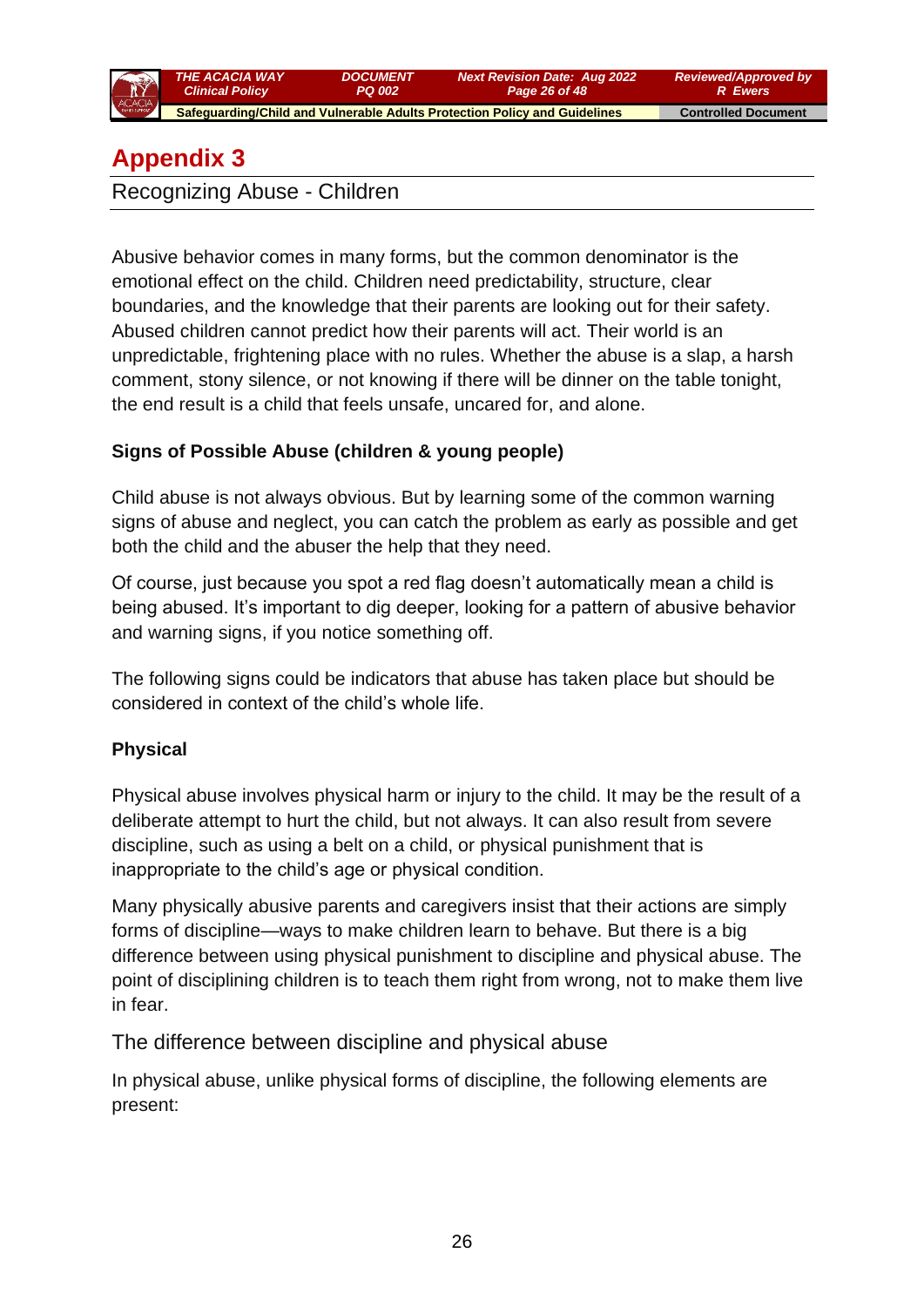

*Next Revision Date: Aug 2022 Page 26 of 48*

 **Safeguarding/Child and Vulnerable Adults Protection Policy and Guidelines Controlled Document** 

# **Appendix 3**

Recognizing Abuse - Children

Abusive behavior comes in many forms, but the common denominator is the emotional effect on the child. Children need predictability, structure, clear boundaries, and the knowledge that their parents are looking out for their safety. Abused children cannot predict how their parents will act. Their world is an unpredictable, frightening place with no rules. Whether the abuse is a slap, a harsh comment, stony silence, or not knowing if there will be dinner on the table tonight, the end result is a child that feels unsafe, uncared for, and alone.

## **Signs of Possible Abuse (children & young people)**

Child abuse is not always obvious. But by learning some of the common warning signs of abuse and neglect, you can catch the problem as early as possible and get both the child and the abuser the help that they need.

Of course, just because you spot a red flag doesn't automatically mean a child is being abused. It's important to dig deeper, looking for a pattern of abusive behavior and warning signs, if you notice something off.

The following signs could be indicators that abuse has taken place but should be considered in context of the child's whole life.

## **Physical**

Physical abuse involves physical harm or injury to the child. It may be the result of a deliberate attempt to hurt the child, but not always. It can also result from severe discipline, such as using a belt on a child, or physical punishment that is inappropriate to the child's age or physical condition.

Many physically abusive parents and caregivers insist that their actions are simply forms of discipline—ways to make children learn to behave. But there is a big difference between using physical punishment to discipline and physical abuse. The point of disciplining children is to teach them right from wrong, not to make them live in fear.

The difference between discipline and physical abuse

In physical abuse, unlike physical forms of discipline, the following elements are present: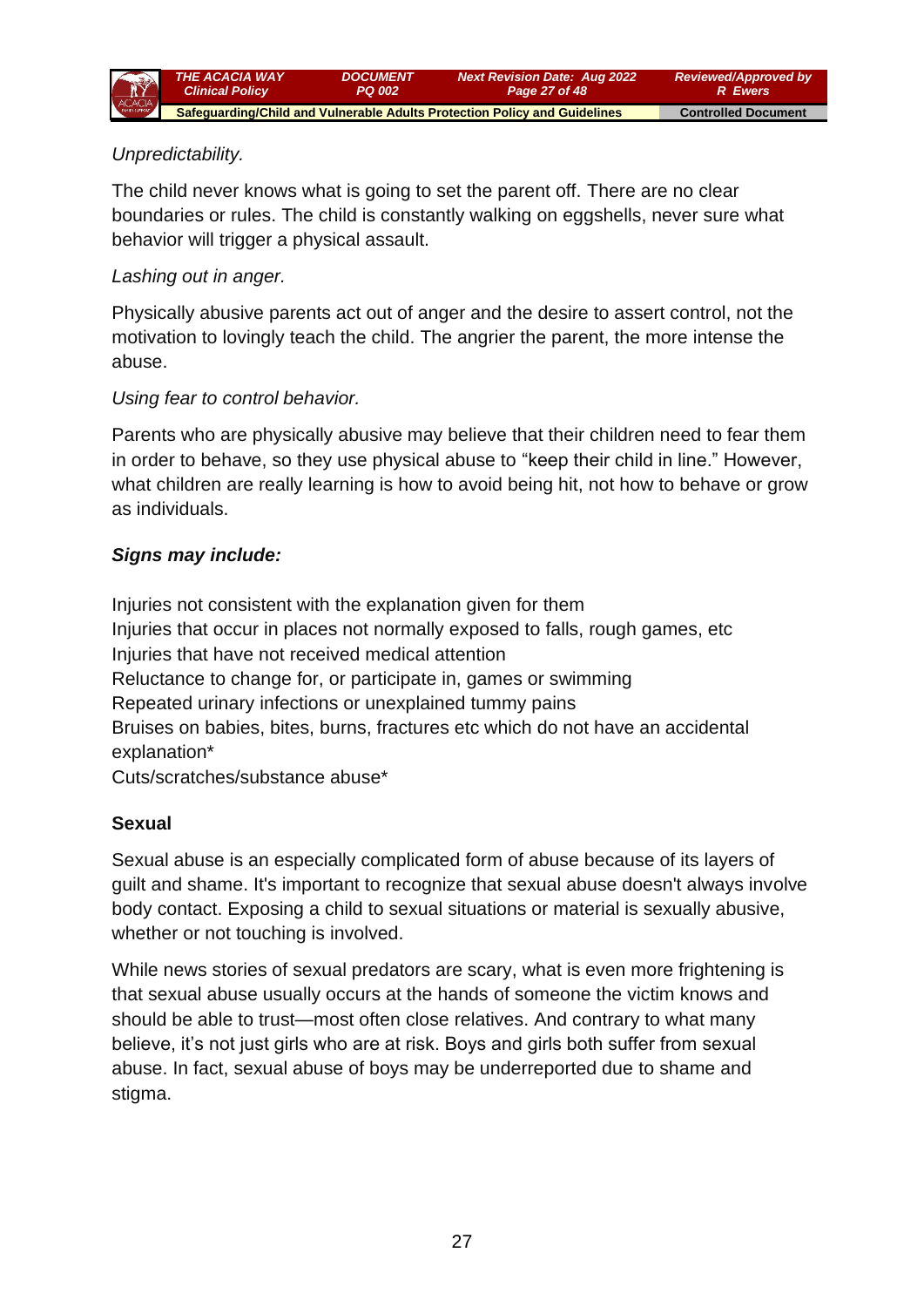

## *Unpredictability.*

The child never knows what is going to set the parent off. There are no clear boundaries or rules. The child is constantly walking on eggshells, never sure what behavior will trigger a physical assault.

#### *Lashing out in anger.*

Physically abusive parents act out of anger and the desire to assert control, not the motivation to lovingly teach the child. The angrier the parent, the more intense the abuse.

#### *Using fear to control behavior.*

Parents who are physically abusive may believe that their children need to fear them in order to behave, so they use physical abuse to "keep their child in line." However, what children are really learning is how to avoid being hit, not how to behave or grow as individuals.

#### *Signs may include:*

Injuries not consistent with the explanation given for them Injuries that occur in places not normally exposed to falls, rough games, etc Injuries that have not received medical attention Reluctance to change for, or participate in, games or swimming Repeated urinary infections or unexplained tummy pains Bruises on babies, bites, burns, fractures etc which do not have an accidental explanation\*

Cuts/scratches/substance abuse\*

### **Sexual**

Sexual abuse is an especially complicated form of abuse because of its layers of guilt and shame. It's important to recognize that sexual abuse doesn't always involve body contact. Exposing a child to sexual situations or material is sexually abusive, whether or not touching is involved.

While news stories of sexual predators are scary, what is even more frightening is that sexual abuse usually occurs at the hands of someone the victim knows and should be able to trust—most often close relatives. And contrary to what many believe, it's not just girls who are at risk. Boys and girls both suffer from sexual abuse. In fact, sexual abuse of boys may be underreported due to shame and stigma.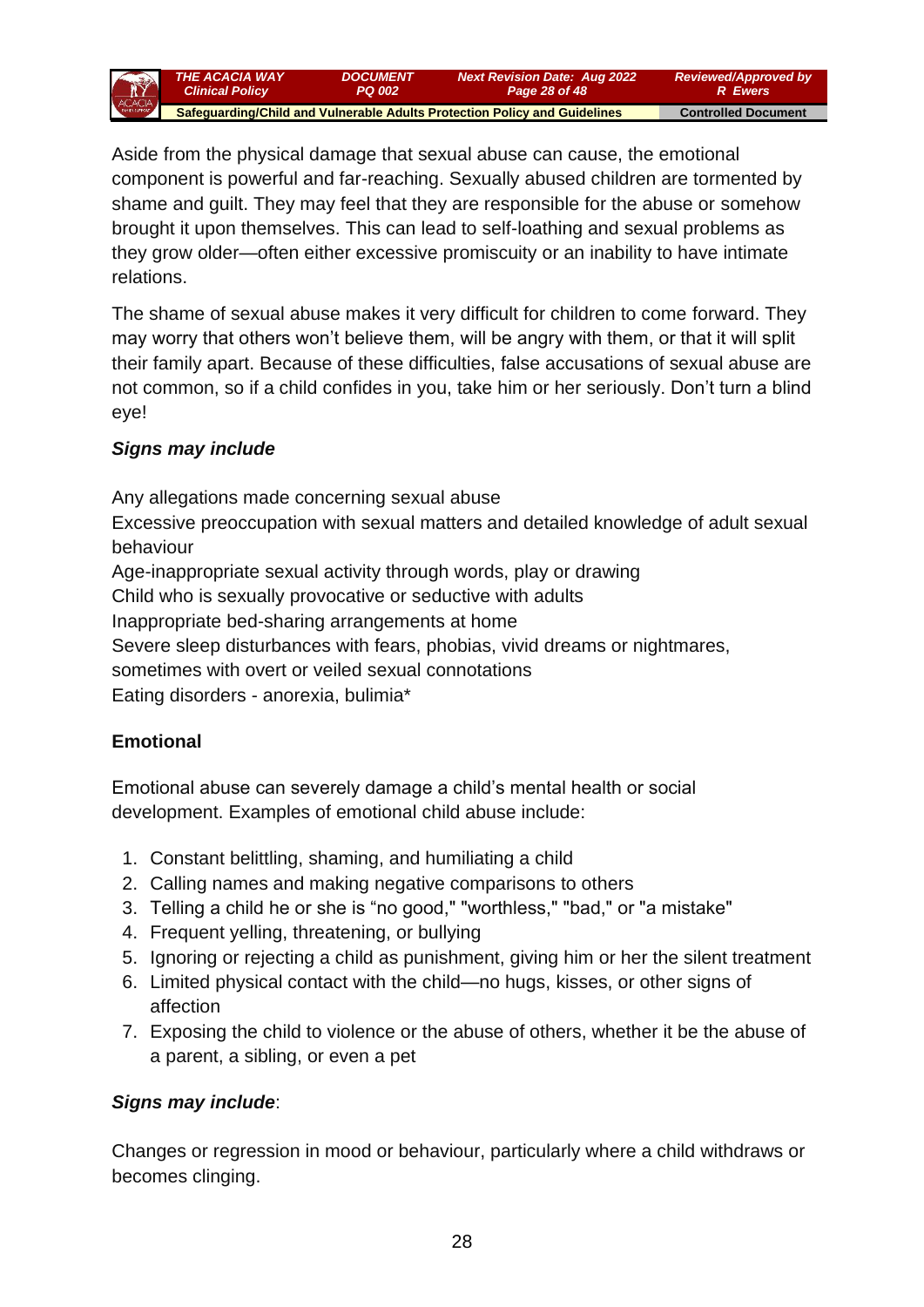*THE ACACIA WAY Clinical Policy DOCUMENT PQ 002 Next Revision Date: Aug 2022 Page 28 of 48 Reviewed/Approved by R Ewers*  **Safeguarding/Child and Vulnerable Adults Protection Policy and Guidelines Controlled Document** 

Aside from the physical damage that sexual abuse can cause, the emotional component is powerful and far-reaching. Sexually abused children are tormented by shame and guilt. They may feel that they are responsible for the abuse or somehow brought it upon themselves. This can lead to self-loathing and sexual problems as they grow older—often either excessive promiscuity or an inability to have intimate relations.

The shame of sexual abuse makes it very difficult for children to come forward. They may worry that others won't believe them, will be angry with them, or that it will split their family apart. Because of these difficulties, false accusations of sexual abuse are not common, so if a child confides in you, take him or her seriously. Don't turn a blind eye!

## *Signs may include*

Any allegations made concerning sexual abuse Excessive preoccupation with sexual matters and detailed knowledge of adult sexual behaviour Age-inappropriate sexual activity through words, play or drawing Child who is sexually provocative or seductive with adults Inappropriate bed-sharing arrangements at home Severe sleep disturbances with fears, phobias, vivid dreams or nightmares, sometimes with overt or veiled sexual connotations Eating disorders - anorexia, bulimia\*

## **Emotional**

Emotional abuse can severely damage a child's mental health or social development. Examples of emotional child abuse include:

- 1. Constant belittling, shaming, and humiliating a child
- 2. Calling names and making negative comparisons to others
- 3. Telling a child he or she is "no good," "worthless," "bad," or "a mistake"
- 4. Frequent yelling, threatening, or bullying
- 5. Ignoring or rejecting a child as punishment, giving him or her the silent treatment
- 6. Limited physical contact with the child—no hugs, kisses, or other signs of affection
- 7. Exposing the child to violence or the abuse of others, whether it be the abuse of a parent, a sibling, or even a pet

## *Signs may include*:

Changes or regression in mood or behaviour, particularly where a child withdraws or becomes clinging.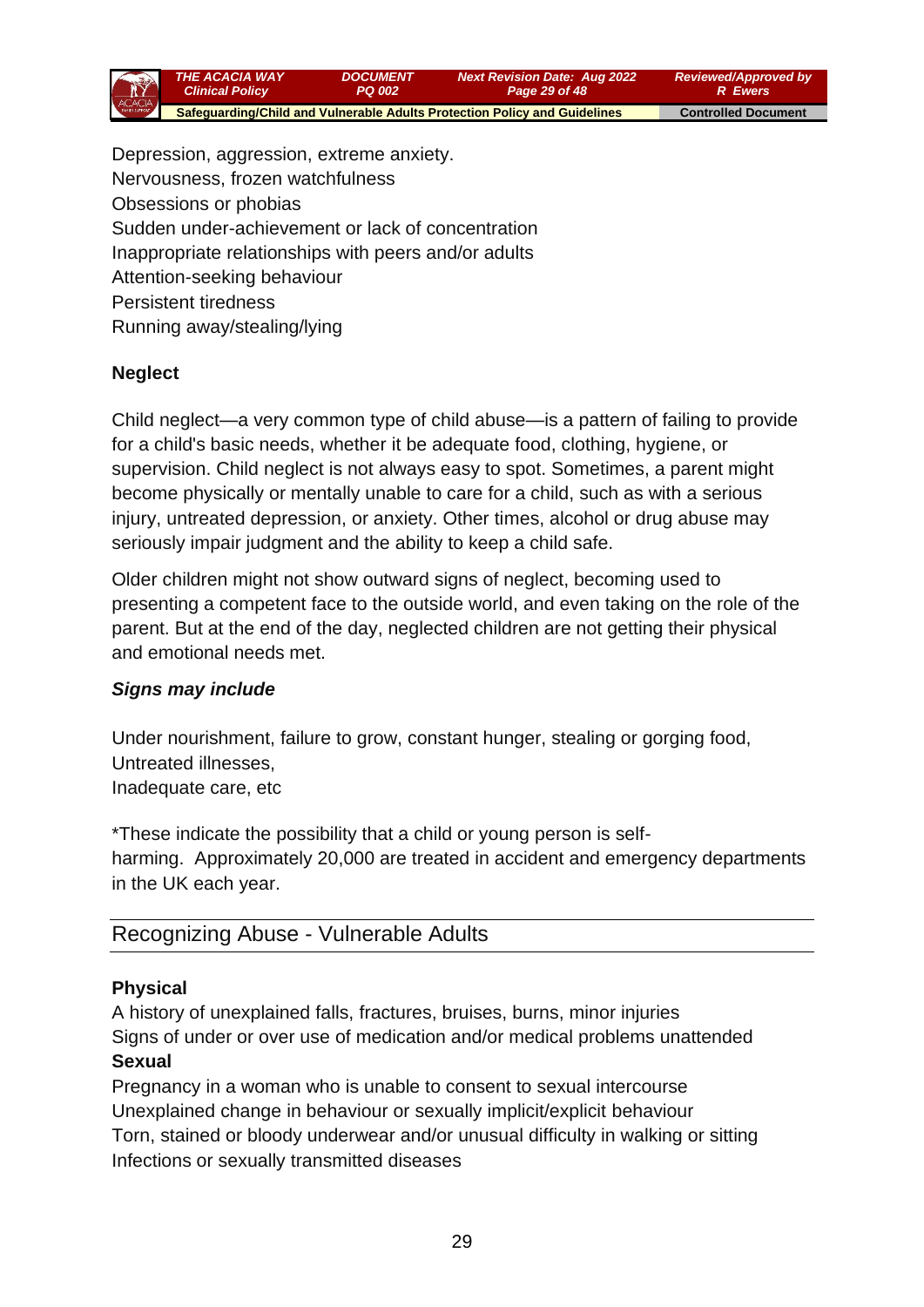

Depression, aggression, extreme anxiety. Nervousness, frozen watchfulness Obsessions or phobias Sudden under-achievement or lack of concentration Inappropriate relationships with peers and/or adults Attention-seeking behaviour Persistent tiredness Running away/stealing/lying

## **Neglect**

Child neglect—a very common type of child abuse—is a pattern of failing to provide for a child's basic needs, whether it be adequate food, clothing, hygiene, or supervision. Child neglect is not always easy to spot. Sometimes, a parent might become physically or mentally unable to care for a child, such as with a serious injury, untreated depression, or anxiety. Other times, alcohol or drug abuse may seriously impair judgment and the ability to keep a child safe.

Older children might not show outward signs of neglect, becoming used to presenting a competent face to the outside world, and even taking on the role of the parent. But at the end of the day, neglected children are not getting their physical and emotional needs met.

### *Signs may include*

Under nourishment, failure to grow, constant hunger, stealing or gorging food, Untreated illnesses, Inadequate care, etc

\*These indicate the possibility that a child or young person is selfharming. Approximately 20,000 are treated in accident and emergency departments in the UK each year.

## Recognizing Abuse - Vulnerable Adults

#### **Physical**

A history of unexplained falls, fractures, bruises, burns, minor injuries Signs of under or over use of medication and/or medical problems unattended **Sexual**

## Pregnancy in a woman who is unable to consent to sexual intercourse Unexplained change in behaviour or sexually implicit/explicit behaviour Torn, stained or bloody underwear and/or unusual difficulty in walking or sitting Infections or sexually transmitted diseases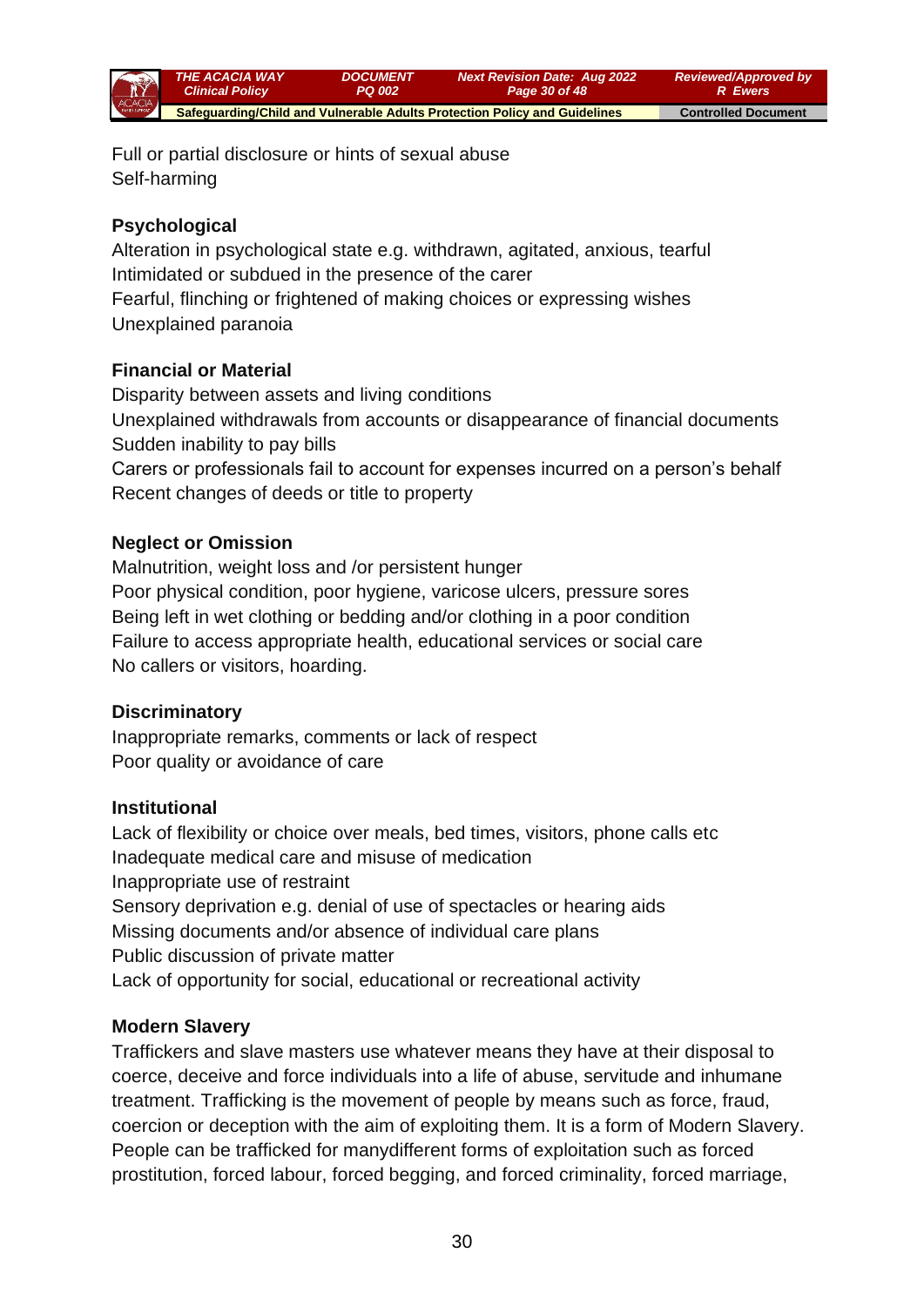

Full or partial disclosure or hints of sexual abuse Self-harming

## **Psychological**

Alteration in psychological state e.g. withdrawn, agitated, anxious, tearful Intimidated or subdued in the presence of the carer Fearful, flinching or frightened of making choices or expressing wishes Unexplained paranoia

## **Financial or Material**

Disparity between assets and living conditions Unexplained withdrawals from accounts or disappearance of financial documents Sudden inability to pay bills Carers or professionals fail to account for expenses incurred on a person's behalf Recent changes of deeds or title to property

## **Neglect or Omission**

Malnutrition, weight loss and /or persistent hunger Poor physical condition, poor hygiene, varicose ulcers, pressure sores Being left in wet clothing or bedding and/or clothing in a poor condition Failure to access appropriate health, educational services or social care No callers or visitors, hoarding.

### **Discriminatory**

Inappropriate remarks, comments or lack of respect Poor quality or avoidance of care

### **Institutional**

Lack of flexibility or choice over meals, bed times, visitors, phone calls etc Inadequate medical care and misuse of medication Inappropriate use of restraint Sensory deprivation e.g. denial of use of spectacles or hearing aids Missing documents and/or absence of individual care plans Public discussion of private matter Lack of opportunity for social, educational or recreational activity

### **Modern Slavery**

Traffickers and slave masters use whatever means they have at their disposal to coerce, deceive and force individuals into a life of abuse, servitude and inhumane treatment. Trafficking is the movement of people by means such as force, fraud, coercion or deception with the aim of exploiting them. It is a form of Modern Slavery. People can be trafficked for manydifferent forms of exploitation such as forced prostitution, forced labour, forced begging, and forced criminality, forced marriage,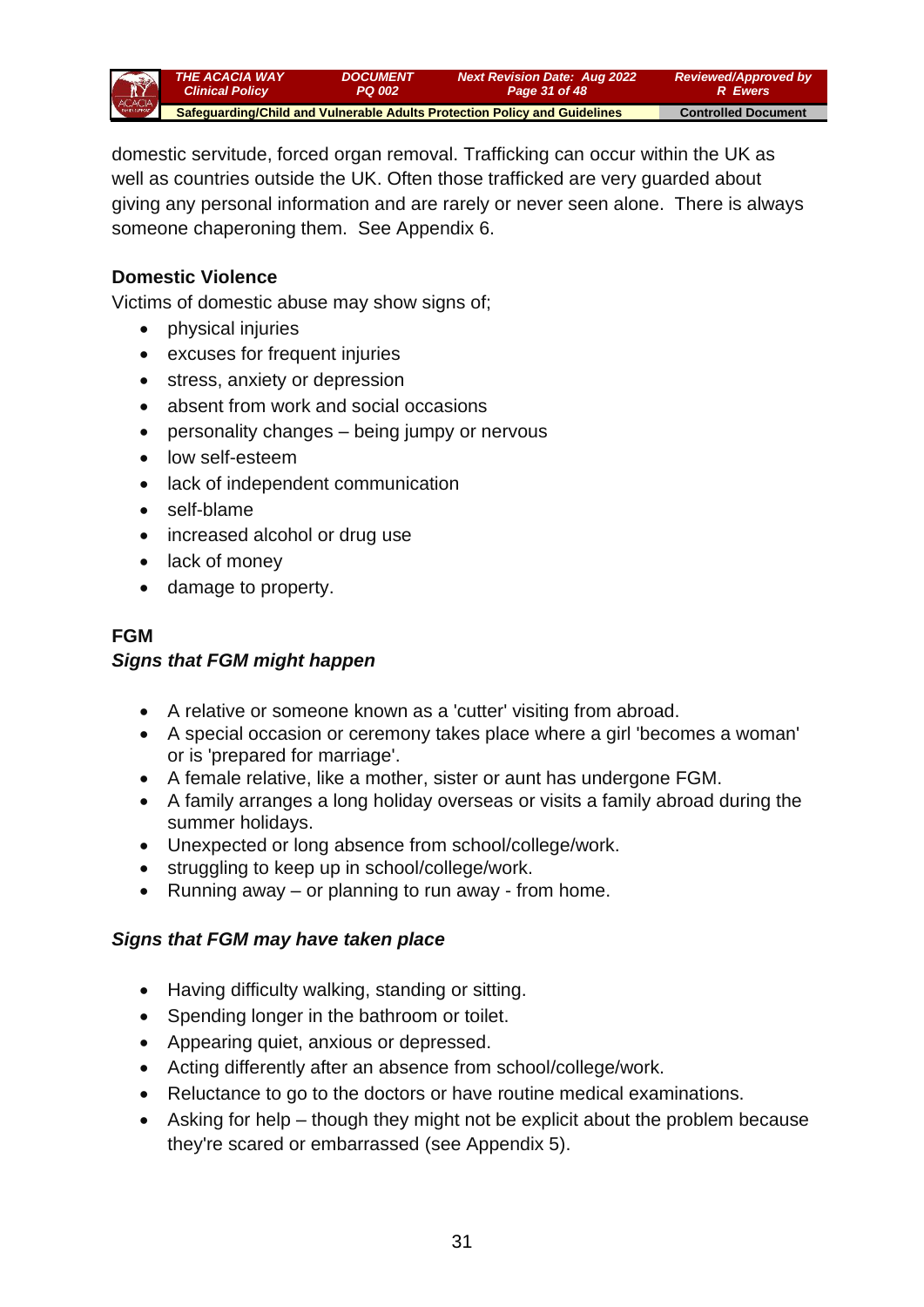

domestic servitude, forced organ removal. Trafficking can occur within the UK as well as countries outside the UK. Often those trafficked are very guarded about giving any personal information and are rarely or never seen alone. There is always someone chaperoning them. See Appendix 6.

### **Domestic Violence**

Victims of domestic abuse may show signs of;

- physical injuries
- excuses for frequent injuries
- stress, anxiety or depression
- absent from work and social occasions
- personality changes being jumpy or nervous
- low self-esteem
- lack of independent communication
- self-blame
- increased alcohol or drug use
- lack of money
- damage to property.

## **FGM**

### *Signs that FGM might happen*

- A relative or someone known as a 'cutter' visiting from abroad.
- A special occasion or ceremony takes place where a girl 'becomes a woman' or is 'prepared for marriage'.
- A female relative, like a mother, sister or aunt has undergone FGM.
- A family arranges a long holiday overseas or visits a family abroad during the summer holidays.
- Unexpected or long absence from school/college/work.
- struggling to keep up in school/college/work.
- Running away or planning to run away from home.

### *Signs that FGM may have taken place*

- Having difficulty walking, standing or sitting.
- Spending longer in the bathroom or toilet.
- Appearing quiet, anxious or depressed.
- Acting differently after an absence from school/college/work.
- Reluctance to go to the doctors or have routine medical examinations.
- Asking for help though they might not be explicit about the problem because they're scared or embarrassed (see Appendix 5).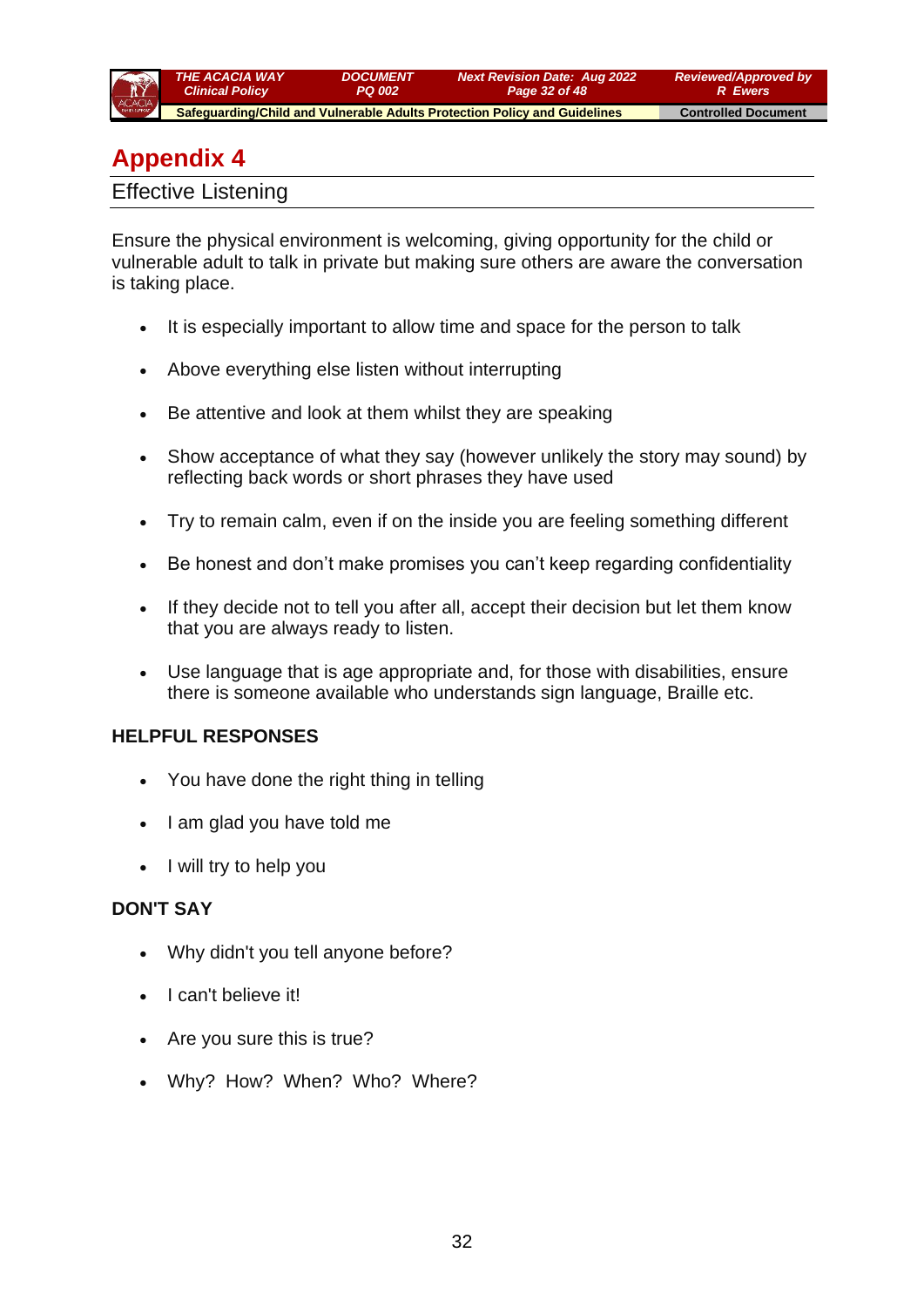

# **Appendix 4**

Effective Listening

Ensure the physical environment is welcoming, giving opportunity for the child or vulnerable adult to talk in private but making sure others are aware the conversation is taking place.

- It is especially important to allow time and space for the person to talk
- Above everything else listen without interrupting
- Be attentive and look at them whilst they are speaking
- Show acceptance of what they say (however unlikely the story may sound) by reflecting back words or short phrases they have used
- Try to remain calm, even if on the inside you are feeling something different
- Be honest and don't make promises you can't keep regarding confidentiality
- If they decide not to tell you after all, accept their decision but let them know that you are always ready to listen.
- Use language that is age appropriate and, for those with disabilities, ensure there is someone available who understands sign language, Braille etc.

### **HELPFUL RESPONSES**

- You have done the right thing in telling
- I am glad you have told me
- I will try to help you

### **DON'T SAY**

- Why didn't you tell anyone before?
- I can't believe it!
- Are you sure this is true?
- Why? How? When? Who? Where?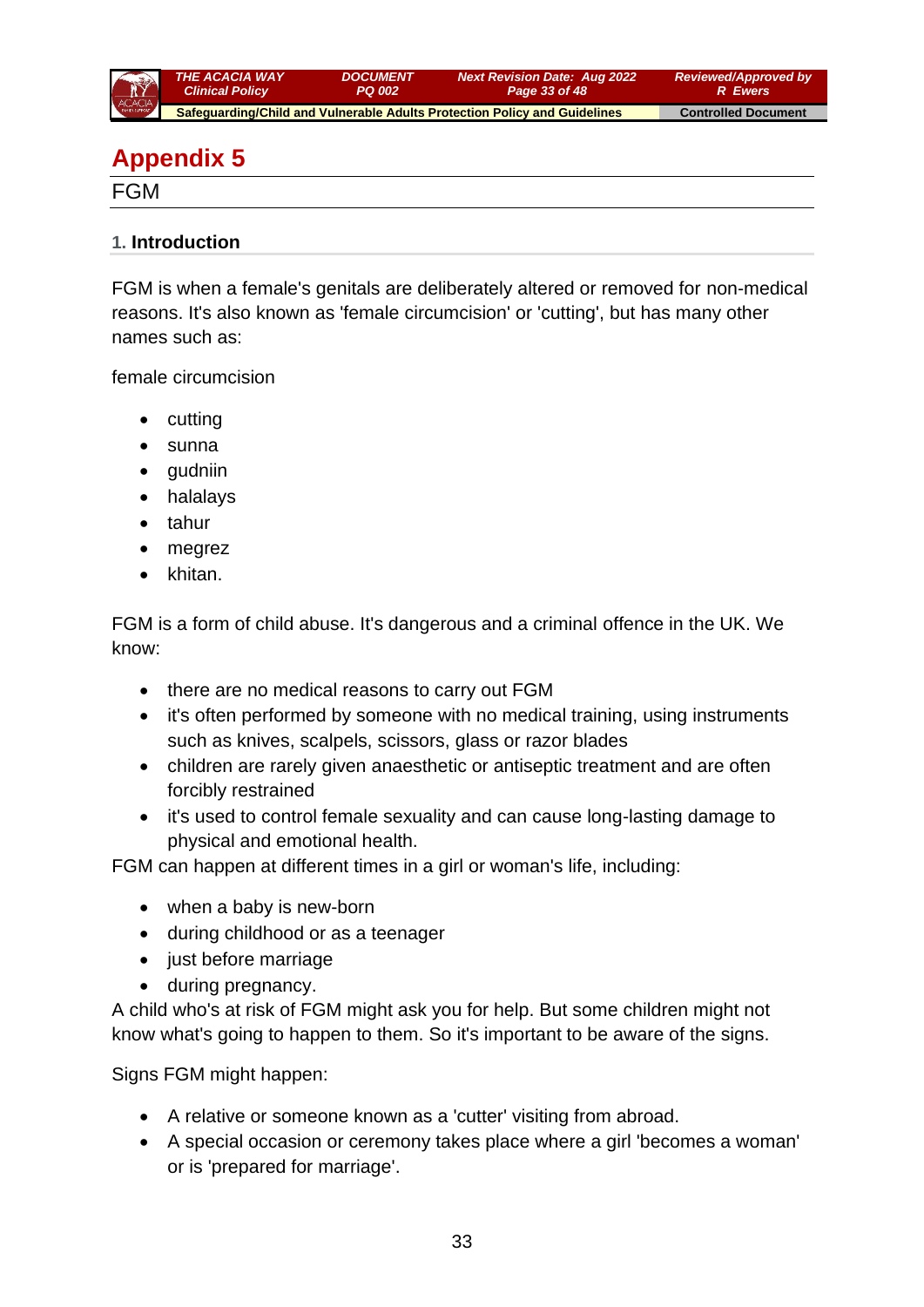

# **Appendix 5**

FGM

#### **1. Introduction**

FGM is when a female's genitals are deliberately altered or removed for non-medical reasons. It's also known as 'female circumcision' or 'cutting', but has many other names such as:

female circumcision

- cutting
- sunna
- gudniin
- halalays
- tahur
- megrez
- khitan.

FGM is a form of child abuse. It's dangerous and a criminal offence in the UK. We know:

- there are no medical reasons to carry out FGM
- it's often performed by someone with no medical training, using instruments such as knives, scalpels, scissors, glass or razor blades
- children are rarely given anaesthetic or antiseptic treatment and are often forcibly restrained
- it's used to control female sexuality and can cause long-lasting damage to physical and emotional health.

FGM can happen at different times in a girl or woman's life, including:

- when a baby is new-born
- during childhood or as a teenager
- just before marriage
- during pregnancy.

A child who's at risk of FGM might ask you for help. But some children might not know what's going to happen to them. So it's important to be aware of the signs.

Signs FGM might happen:

- A relative or someone known as a 'cutter' visiting from abroad.
- A special occasion or ceremony takes place where a girl 'becomes a woman' or is 'prepared for marriage'.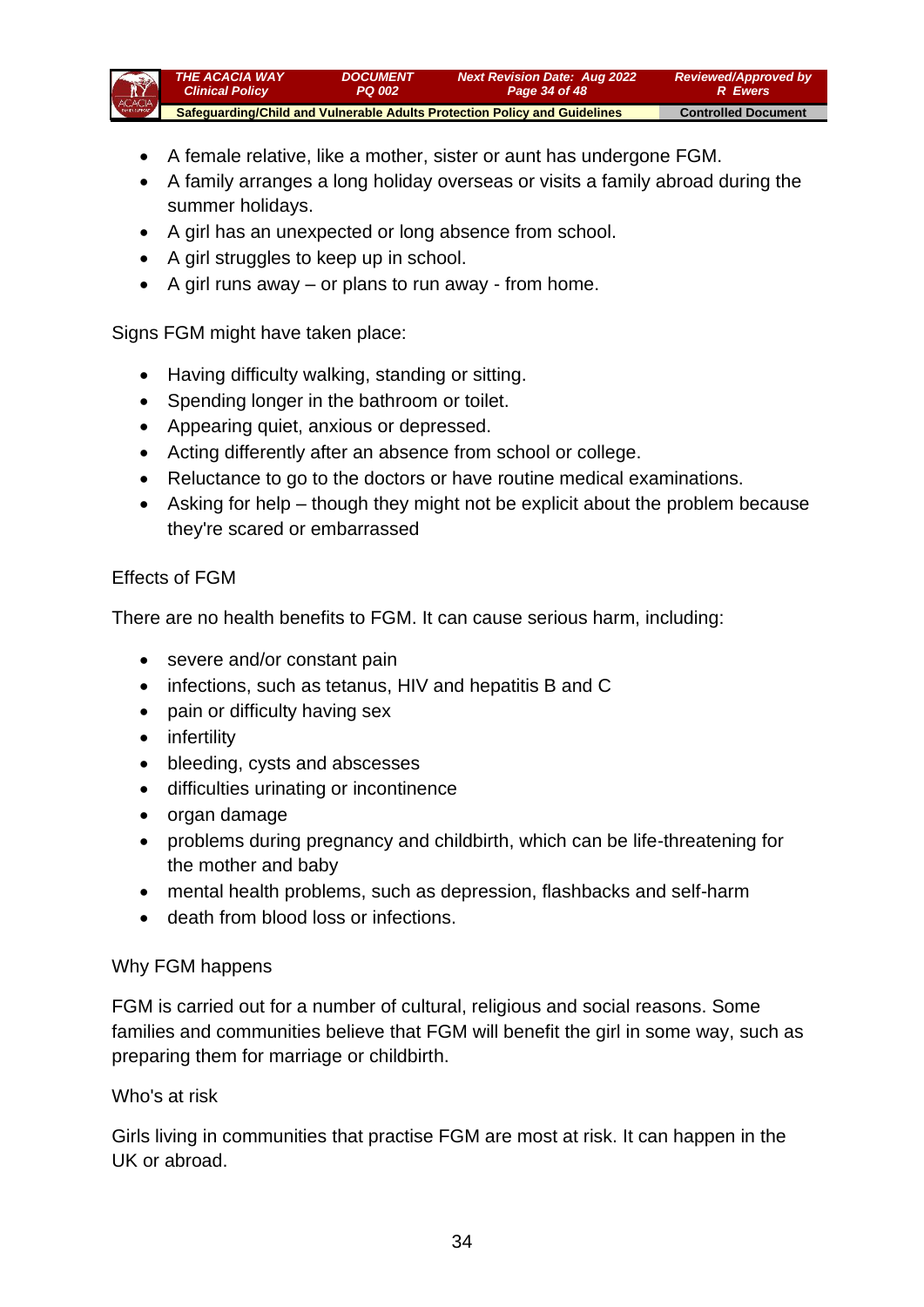

- A female relative, like a mother, sister or aunt has undergone FGM.
- A family arranges a long holiday overseas or visits a family abroad during the summer holidays.
- A girl has an unexpected or long absence from school.
- A girl struggles to keep up in school.
- A girl runs away  $-$  or plans to run away  $-$  from home.

### Signs FGM might have taken place:

- Having difficulty walking, standing or sitting.
- Spending longer in the bathroom or toilet.
- Appearing quiet, anxious or depressed.
- Acting differently after an absence from school or college.
- Reluctance to go to the doctors or have routine medical examinations.
- Asking for help though they might not be explicit about the problem because they're scared or embarrassed

#### Effects of FGM

There are no health benefits to FGM. It can cause serious harm, including:

- severe and/or constant pain
- infections, such as tetanus, HIV and hepatitis B and C
- pain or difficulty having sex
- infertility
- bleeding, cysts and abscesses
- difficulties urinating or incontinence
- organ damage
- problems during pregnancy and childbirth, which can be life-threatening for the mother and baby
- mental health problems, such as depression, flashbacks and self-harm
- death from blood loss or infections.

#### Why FGM happens

FGM is carried out for a number of cultural, religious and social reasons. Some families and communities believe that FGM will benefit the girl in some way, such as preparing them for marriage or childbirth.

#### Who's at risk

Girls living in communities that practise FGM are most at risk. It can happen in the UK or abroad.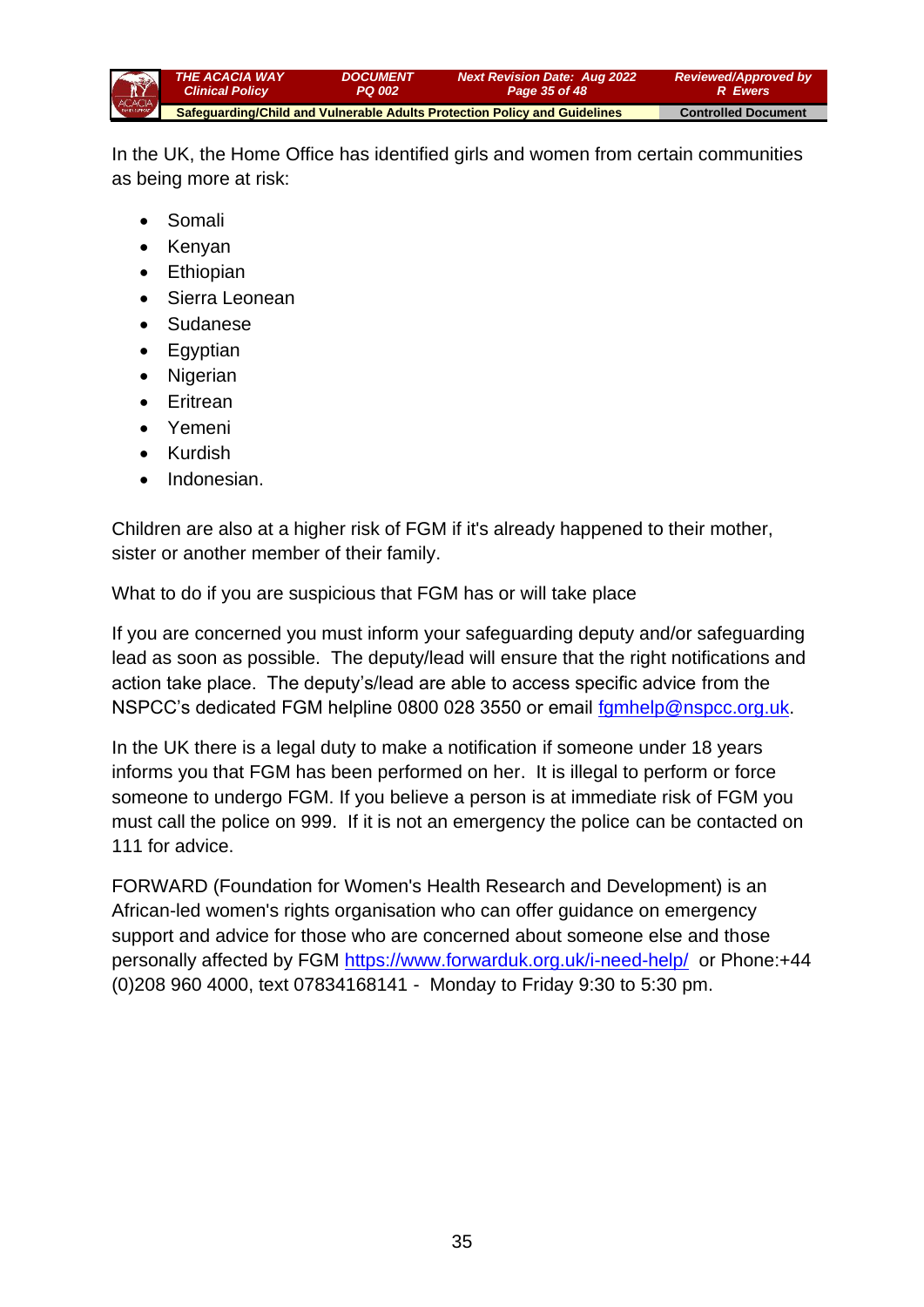

In the UK, the Home Office has identified girls and women from certain communities as being more at risk:

- Somali
- Kenyan
- Ethiopian
- Sierra Leonean
- Sudanese
- Egyptian
- Nigerian
- Eritrean
- Yemeni
- Kurdish
- Indonesian.

Children are also at a higher risk of FGM if it's already happened to their mother, sister or another member of their family.

What to do if you are suspicious that FGM has or will take place

If you are concerned you must inform your safeguarding deputy and/or safeguarding lead as soon as possible. The deputy/lead will ensure that the right notifications and action take place. The deputy's/lead are able to access specific advice from the NSPCC's dedicated FGM helpline 0800 028 3550 or email [fgmhelp@nspcc.org.uk.](mailto:fgmhelp@nspcc.org.uk)

In the UK there is a legal duty to make a notification if someone under 18 years informs you that FGM has been performed on her. It is illegal to perform or force someone to undergo FGM. If you believe a person is at immediate risk of FGM you must call the police on 999. If it is not an emergency the police can be contacted on 111 for advice.

FORWARD (Foundation for Women's Health Research and Development) is an African-led women's rights organisation who can offer guidance on emergency support and advice for those who are concerned about someone else and those personally affected by FGM<https://www.forwarduk.org.uk/i-need-help/>or Phone:+44 (0)208 960 4000, text 07834168141 - Monday to Friday 9:30 to 5:30 pm.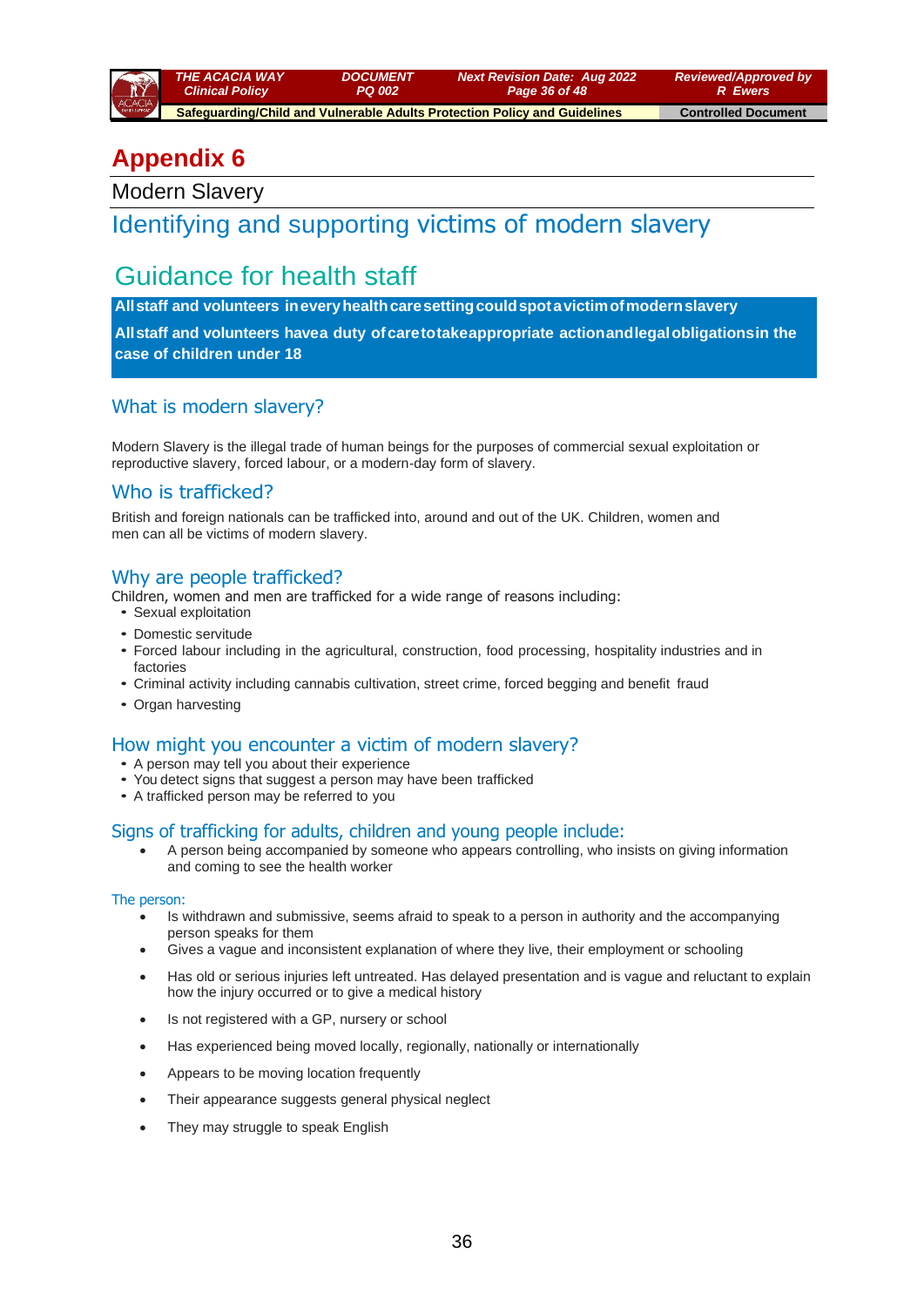

 **Safeguarding/Child and Vulnerable Adults Protection Policy and Guidelines Controlled Document** 

# **Appendix 6**

Modern Slavery

# Identifying and supporting victims of modern slavery

# Guidance for health staff

**Allstaff and volunteers ineveryhealthcaresettingcouldspotavictimofmodernslavery**

**All staff and volunteers havea duty of care totakeappropriate actionandlegal obligationsin the case of children under 18**

### What is modern slavery?

Modern Slavery is the illegal trade of human beings for the purposes of commercial sexual exploitation or reproductive slavery, forced labour, or a modern-day form of slavery.

#### Who is trafficked?

British and foreign nationals can be trafficked into, around and out of the UK. Children, women and men can all be victims of modern slavery.

#### Why are people trafficked?

Children, women and men are trafficked for a wide range of reasons including:

- Sexual exploitation
- Domestic servitude
- Forced labour including in the agricultural, construction, food processing, hospitality industries and in factories
- Criminal activity including cannabis cultivation, street crime, forced begging and benefit fraud
- Organ harvesting

#### How might you encounter a victim of modern slavery?

- A person may tell you about their experience
- You detect signs that suggest a person may have been trafficked
- A trafficked person may be referred to you

#### Signs of trafficking for adults, children and young people include:

• A person being accompanied by someone who appears controlling, who insists on giving information and coming to see the health worker

#### The person:

- Is withdrawn and submissive, seems afraid to speak to a person in authority and the accompanying person speaks for them
- Gives a vague and inconsistent explanation of where they live, their employment or schooling
- Has old or serious injuries left untreated. Has delayed presentation and is vague and reluctant to explain how the injury occurred or to give a medical history
- Is not registered with a GP, nursery or school
- Has experienced being moved locally, regionally, nationally or internationally
- Appears to be moving location frequently
- Their appearance suggests general physical neglect
- They may struggle to speak English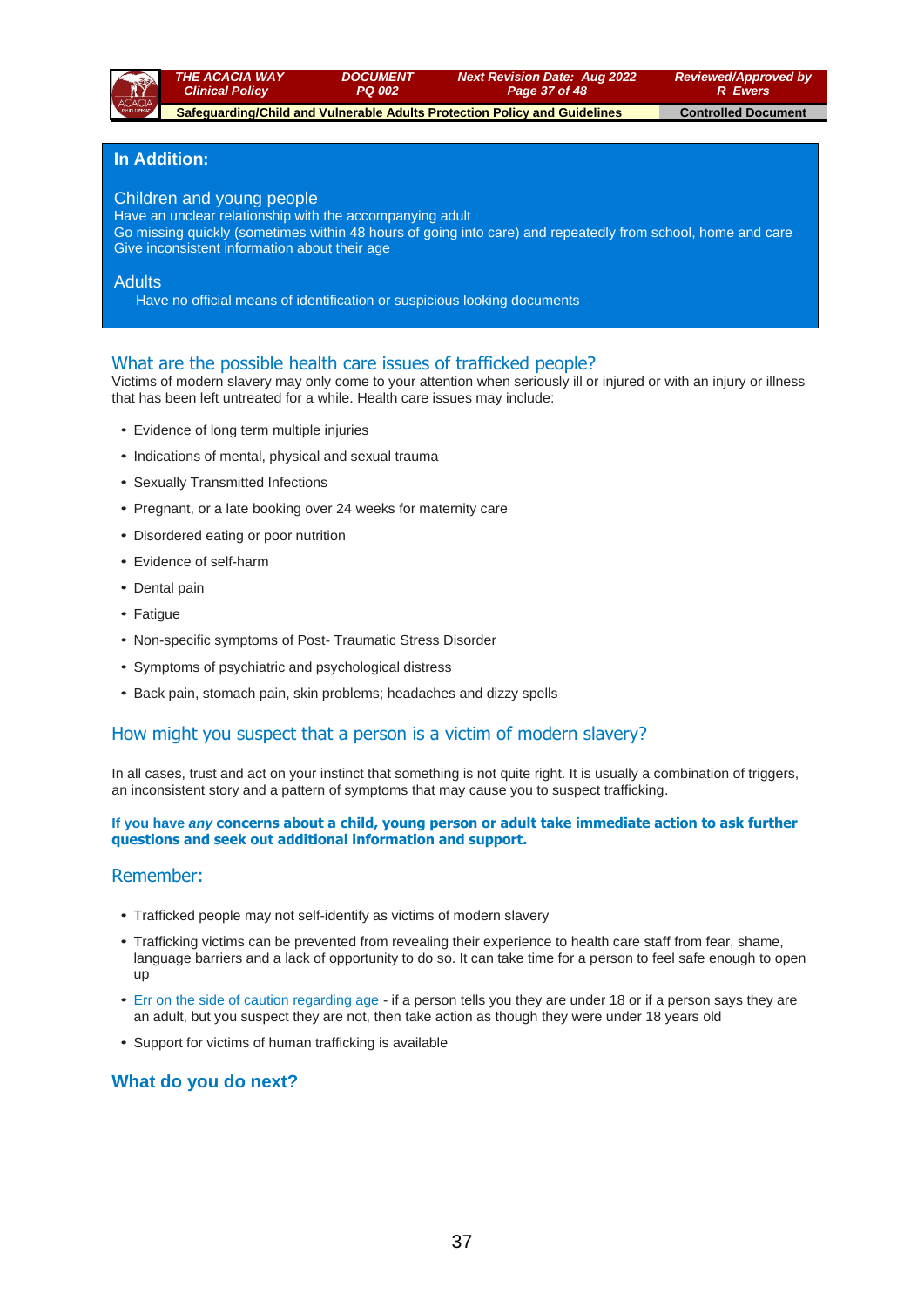

*Reviewed/Approved by R Ewers*

 **Safeguarding/Child and Vulnerable Adults Protection Policy and Guidelines Controlled Document** 

*DOCUMENT PQ 002*

#### **In Addition:**

#### Children and young people

Have an unclear relationship with the accompanying adult

Go missing quickly (sometimes within 48 hours of going into care) and repeatedly from school, home and care Give inconsistent information about their age

#### **Adults**

Have no official means of identification or suspicious looking documents

#### What are the possible health care issues of trafficked people?

Victims of modern slavery may only come to your attention when seriously ill or injured or with an injury or illness that has been left untreated for a while. Health care issues may include:

- Evidence of long term multiple injuries
- Indications of mental, physical and sexual trauma r **not** .
- Sexually Transmitted Infections
- Pregnant, or a late booking over 24 weeks for maternity care • Pregnant, or a late booking over 24 weeks for maternity care
- Disordered eating or poor nutrition Adults
- Evidence of self-harm
- Dental pain
- Fatigue
- Non-specific symptoms of Post- Traumatic Stress Disorder
- Symptoms of psychiatric and psychological distress
- Back pain, stomach pain, skin problems; headaches and dizzy spells

#### How might you suspect that a person is a victim of modern slavery?

In all cases, trust and act on your instinct that something is not quite right. It is usually a combination of triggers, an inconsistent story and a pattern of symptoms that may cause you to suspect trafficking.

#### If you have *any* concerns about a child, young person or adult take immediate action to ask further **questions and seek out additional information and support.**

# Remember:

- Trafficked people may not self-identify as victims of modern slavery
- Trafficking victims can be prevented from revealing their experience to health care staff from fear, shame, r language barriers and a lack of opportunity to do so. It can take time for a person to feel safe enough to open up not .
- Err on the side of caution regarding age if a person tells you they are under 18 or if a person says they are an adult, but you suspect they are not, then take action as though they were under 18 years old
- Support for victims of human trafficking is available

#### **What do you do next?**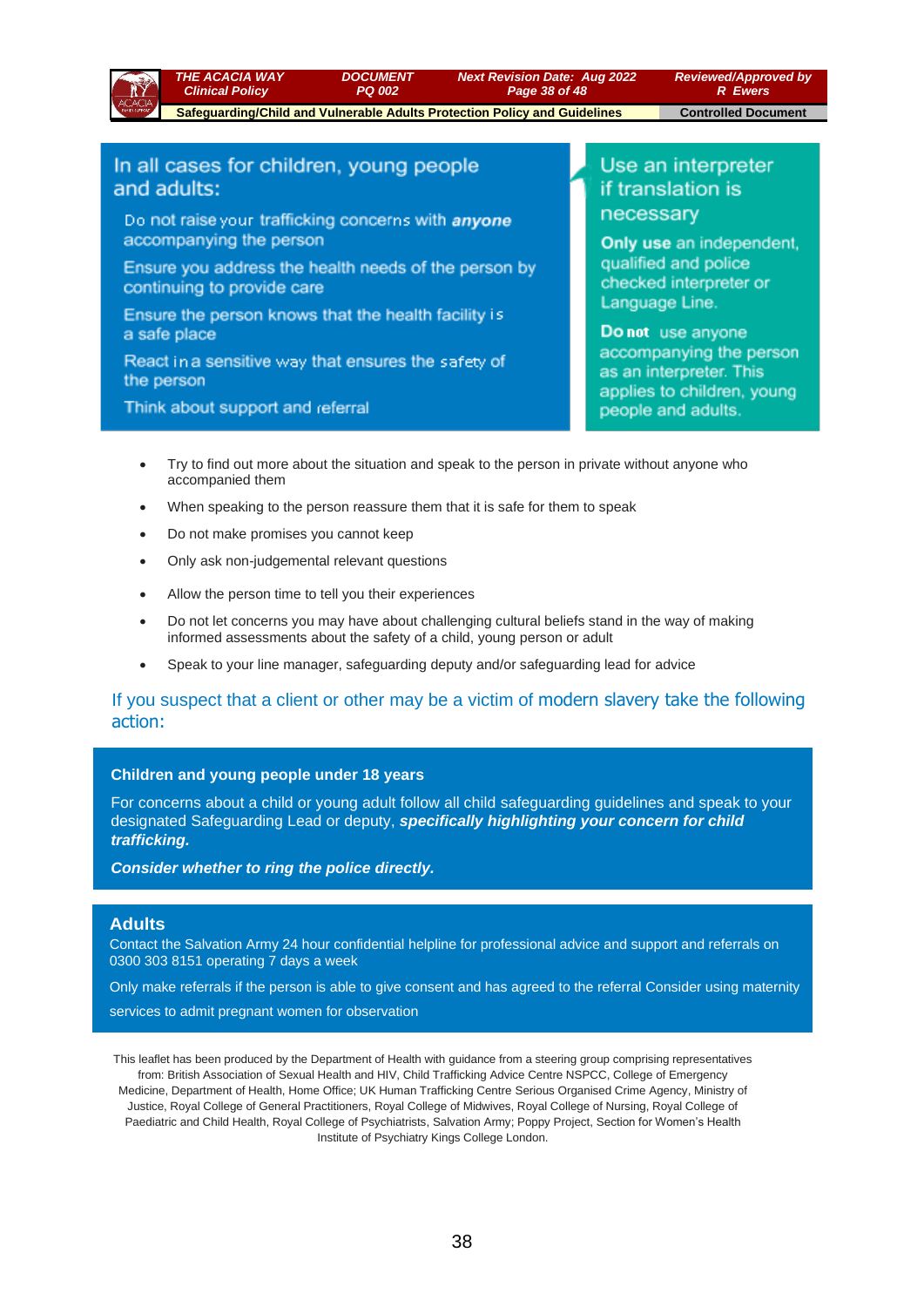

*Page 38 of 48*

*Next Revision Date: Aug 2022*

*Reviewed/Approved by R Ewers*  **Safeguarding/Child and Vulnerable Adults Protection Policy and Guidelines Controlled Document** 

#### In all cases for children, young people and adults:

Do not raise your trafficking concerns with anyone accompanying the person

Ensure you address the health needs of the person by continuing to provide care

*DOCUMENT PQ 002*

Ensure the person knows that the health facility is a safe place

React in a sensitive way that ensures the safety of the person

Think about support and referral

Use an interpreter if translation is necessary

Only use an independent, qualified and police checked interpreter or Language Line.

Do not use anyone accompanying the person as an interpreter. This applies to children, young people and adults.

- Try to find out more about the situation and speak to the person in private without anyone who accompanied them
- When speaking to the person reassure them that it is safe for them to speak
- Do not make promises you cannot keep
- Only ask non-judgemental relevant questions
- Allow the person time to tell you their experiences
- Do not let concerns you may have about challenging cultural beliefs stand in the way of making informed assessments about the safety of a child, young person or adult
- Speak to your line manager, safeguarding deputy and/or safeguarding lead for advice

#### If you suspect that a client or other may be a victim of modern slavery take the following action:

#### **Children and young people under 18 years**

For concerns about a child or young adult follow all child safeguarding guidelines and speak to your designated Safeguarding Lead or deputy, *specifically highlighting your concern for child trafficking.* 

#### *Consider whether to ring the police directly.*

#### **Adults**

Contact the Salvation Army 24 hour confidential helpline for professional advice and support and referrals on 0300 303 8151 operating 7 days a week

Only make referrals if the person is able to give consent and has agreed to the referral Consider using maternity

services to admit pregnant women for observation

This leaflet has been produced by the Department of Health with guidance from a steering group comprising representatives from: British Association of Sexual Health and HIV, Child Trafficking Advice Centre NSPCC, College of Emergency Medicine, Department of Health, Home Office; UK Human Trafficking Centre Serious Organised Crime Agency, Ministry of Justice, Royal College of General Practitioners, Royal College of Midwives, Royal College of Nursing, Royal College of Paediatric and Child Health, Royal College of Psychiatrists, Salvation Army; Poppy Project, Section for Women's Health Institute of Psychiatry Kings College London.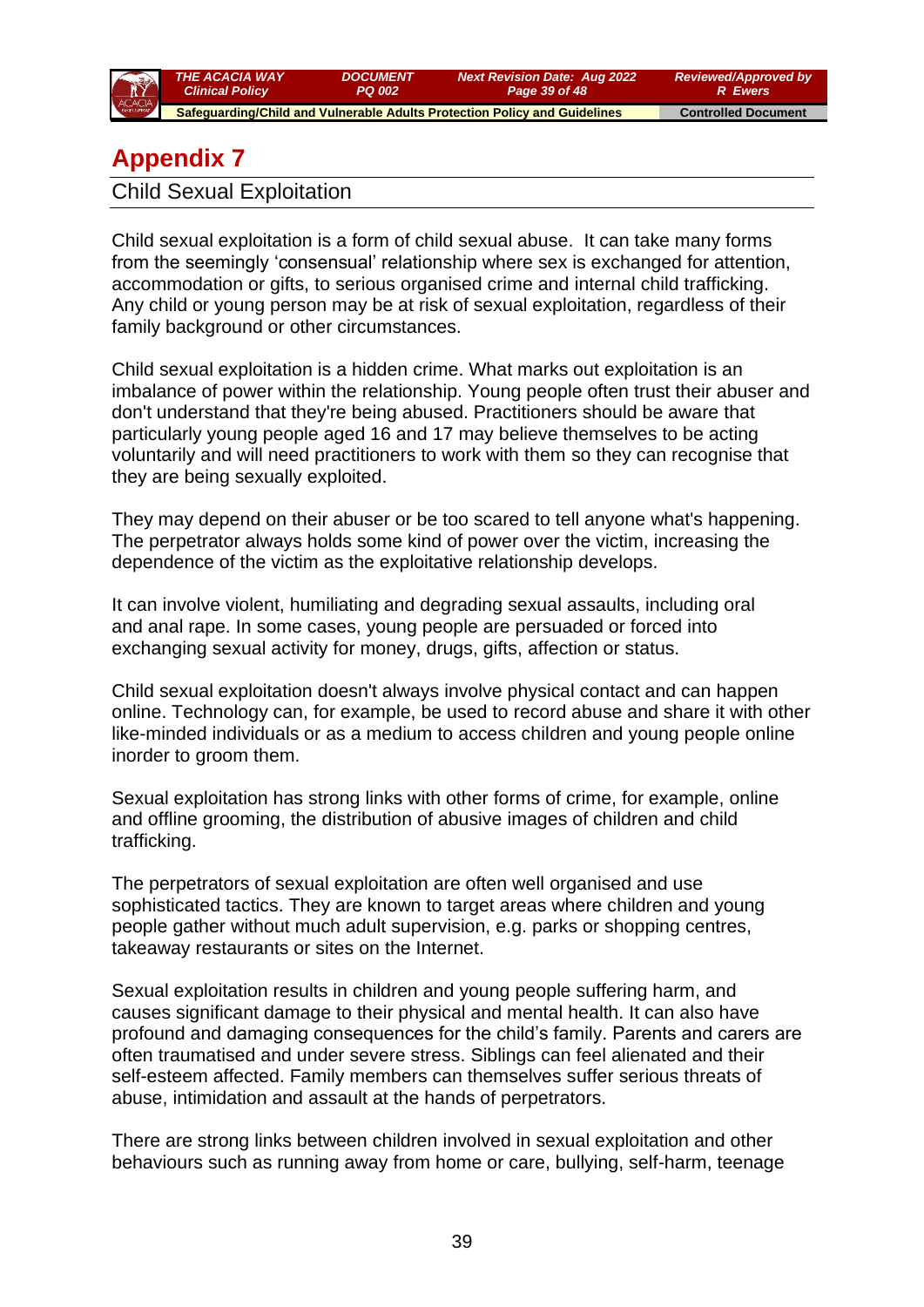

# **Appendix 7**

Child Sexual Exploitation

Child sexual exploitation is a form of child sexual abuse. It can take many forms from the seemingly 'consensual' relationship where sex is exchanged for attention, accommodation or gifts, to serious organised crime and internal child trafficking. Any child or young person may be at risk of sexual exploitation, regardless of their family background or other circumstances.

Child sexual exploitation is a hidden crime. What marks out exploitation is an imbalance of power within the relationship. Young people often trust their abuser and don't understand that they're being abused. Practitioners should be aware that particularly young people aged 16 and 17 may believe themselves to be acting voluntarily and will need practitioners to work with them so they can recognise that they are being sexually exploited.

They may depend on their abuser or be too scared to tell anyone what's happening. The perpetrator always holds some kind of power over the victim, increasing the dependence of the victim as the exploitative relationship develops.

It can involve violent, humiliating and degrading sexual assaults, including oral and anal rape. In some cases, young people are persuaded or forced into exchanging sexual activity for money, drugs, gifts, affection or status.

Child sexual exploitation doesn't always involve physical contact and can happen online. Technology can, for example, be used to record abuse and share it with other like-minded individuals or as a medium to access children and young people online inorder to groom them.

Sexual exploitation has strong links with other forms of crime, for example, online and offline grooming, the distribution of abusive images of children and child trafficking.

The perpetrators of sexual exploitation are often well organised and use sophisticated tactics. They are known to target areas where children and young people gather without much adult supervision, e.g. parks or shopping centres, takeaway restaurants or sites on the Internet.

Sexual exploitation results in children and young people suffering harm, and causes significant damage to their physical and mental health. It can also have profound and damaging consequences for the child's family. Parents and carers are often traumatised and under severe stress. Siblings can feel alienated and their self-esteem affected. Family members can themselves suffer serious threats of abuse, intimidation and assault at the hands of perpetrators.

There are strong links between children involved in sexual exploitation and other behaviours such as running away from home or care, bullying, self-harm, teenage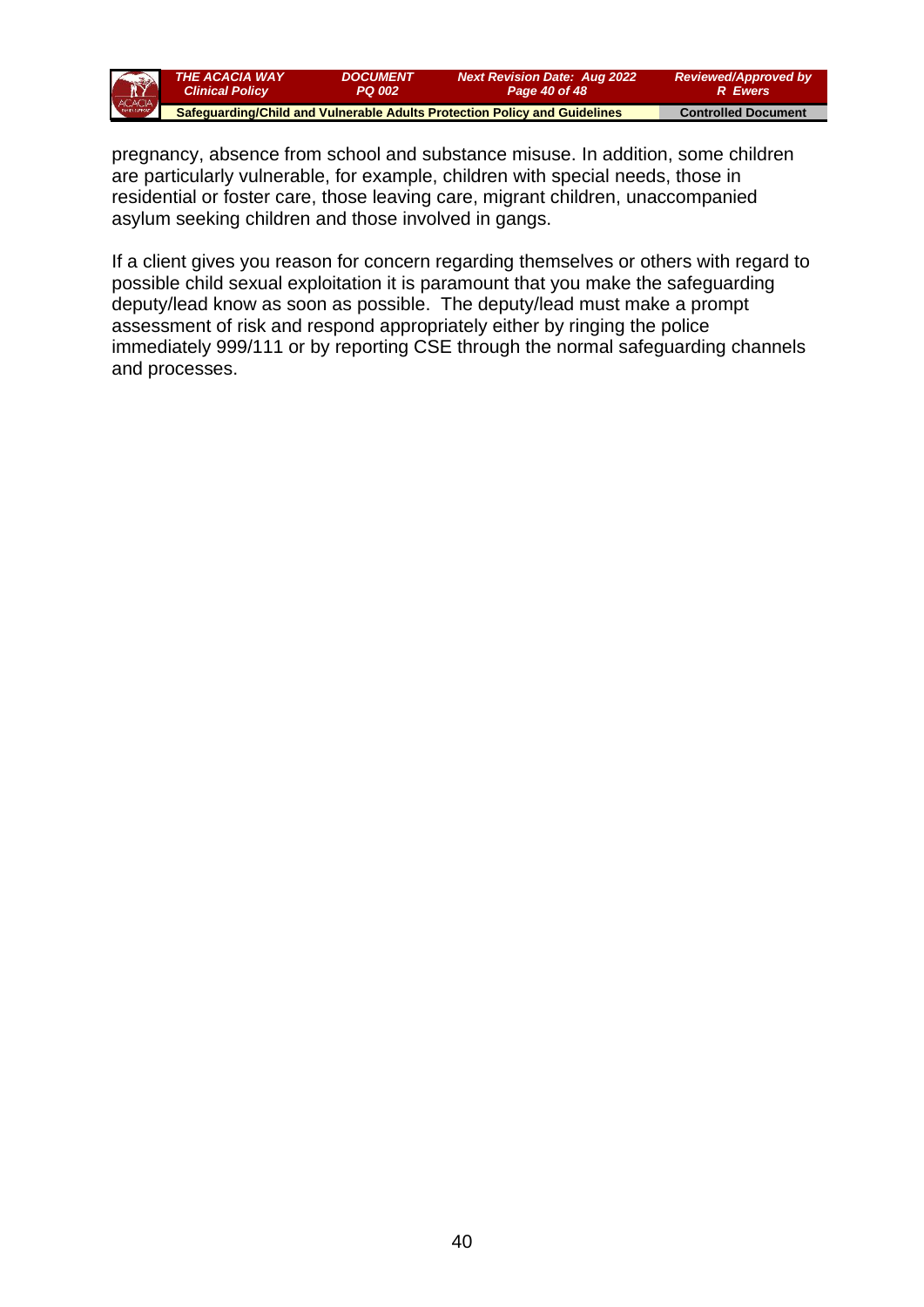

pregnancy, absence from school and substance misuse. In addition, some children are particularly vulnerable, for example, children with special needs, those in residential or foster care, those leaving care, migrant children, unaccompanied asylum seeking children and those involved in gangs.

If a client gives you reason for concern regarding themselves or others with regard to possible child sexual exploitation it is paramount that you make the safeguarding deputy/lead know as soon as possible. The deputy/lead must make a prompt assessment of risk and respond appropriately either by ringing the police immediately 999/111 or by reporting CSE through the normal safeguarding channels and processes.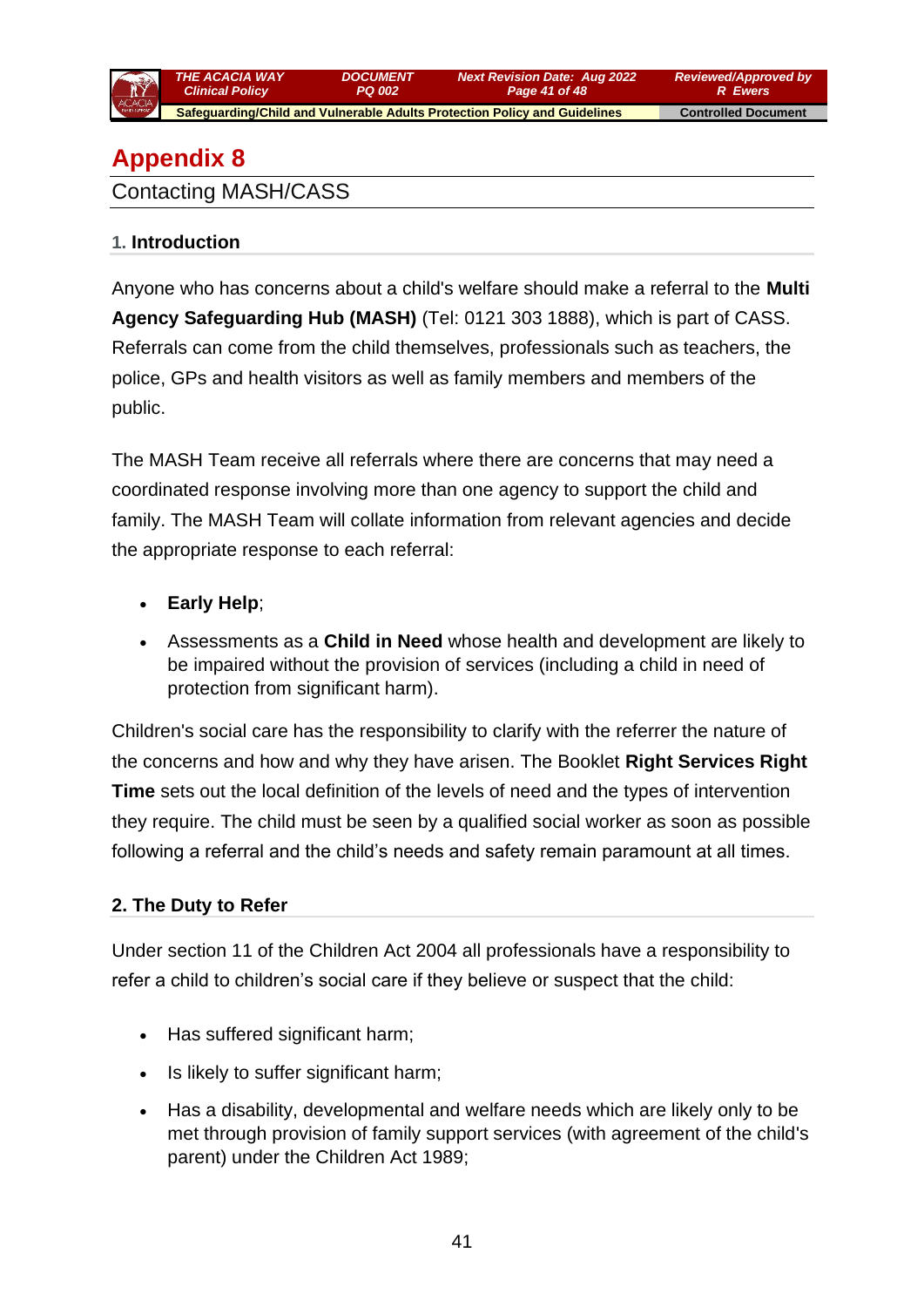

*PQ 002 Page 41 of 48*  **Safeguarding/Child and Vulnerable Adults Protection Policy and Guidelines Controlled Document** 

*Next Revision Date: Aug 2022*

*DOCUMENT*

# **Appendix 8**

Contacting MASH/CASS

## **1. Introduction**

Anyone who has concerns about a child's welfare should make a referral to the **[Multi](http://www.lscbbirmingham.org.uk/index.php/birmingham-multi-agency-safeguarding-hub-mash)  [Agency Safeguarding Hub \(MASH\)](http://www.lscbbirmingham.org.uk/index.php/birmingham-multi-agency-safeguarding-hub-mash)** (Tel: 0121 303 1888), which is part of CASS. Referrals can come from the child themselves, professionals such as teachers, the police, GPs and health visitors as well as family members and members of the public.

The MASH Team receive all referrals where there are concerns that may need a coordinated response involving more than one agency to support the child and family. The MASH Team will collate information from relevant agencies and decide the appropriate response to each referral:

- **[Early Help](http://www.lscbbirmingham.org.uk/index.php/early-help)**;
- Assessments as a **[Child in Need](http://trixresources.proceduresonline.com/nat_key/keywords/child_in_need.html)** whose health and development are likely to be impaired without the provision of services (including a child in need of protection from significant harm).

Children's social care has the responsibility to clarify with the referrer the nature of the concerns and how and why they have arisen. The Booklet **[Right Services Right](http://www.lscbbirmingham.org.uk/index.php/delivering-effective-support)  [Time](http://www.lscbbirmingham.org.uk/index.php/delivering-effective-support)** sets out the local definition of the levels of need and the types of intervention they require. The child must be seen by a qualified social worker as soon as possible following a referral and the child's needs and safety remain paramount at all times.

## **2. The Duty to Refer**

Under section 11 of the Children Act 2004 all professionals have a responsibility to refer a child to children's social care if they believe or suspect that the child:

- Has suffered significant harm;
- Is likely to suffer significant harm;
- Has a disability, developmental and welfare needs which are likely only to be met through provision of family support services (with agreement of the child's parent) under the Children Act 1989;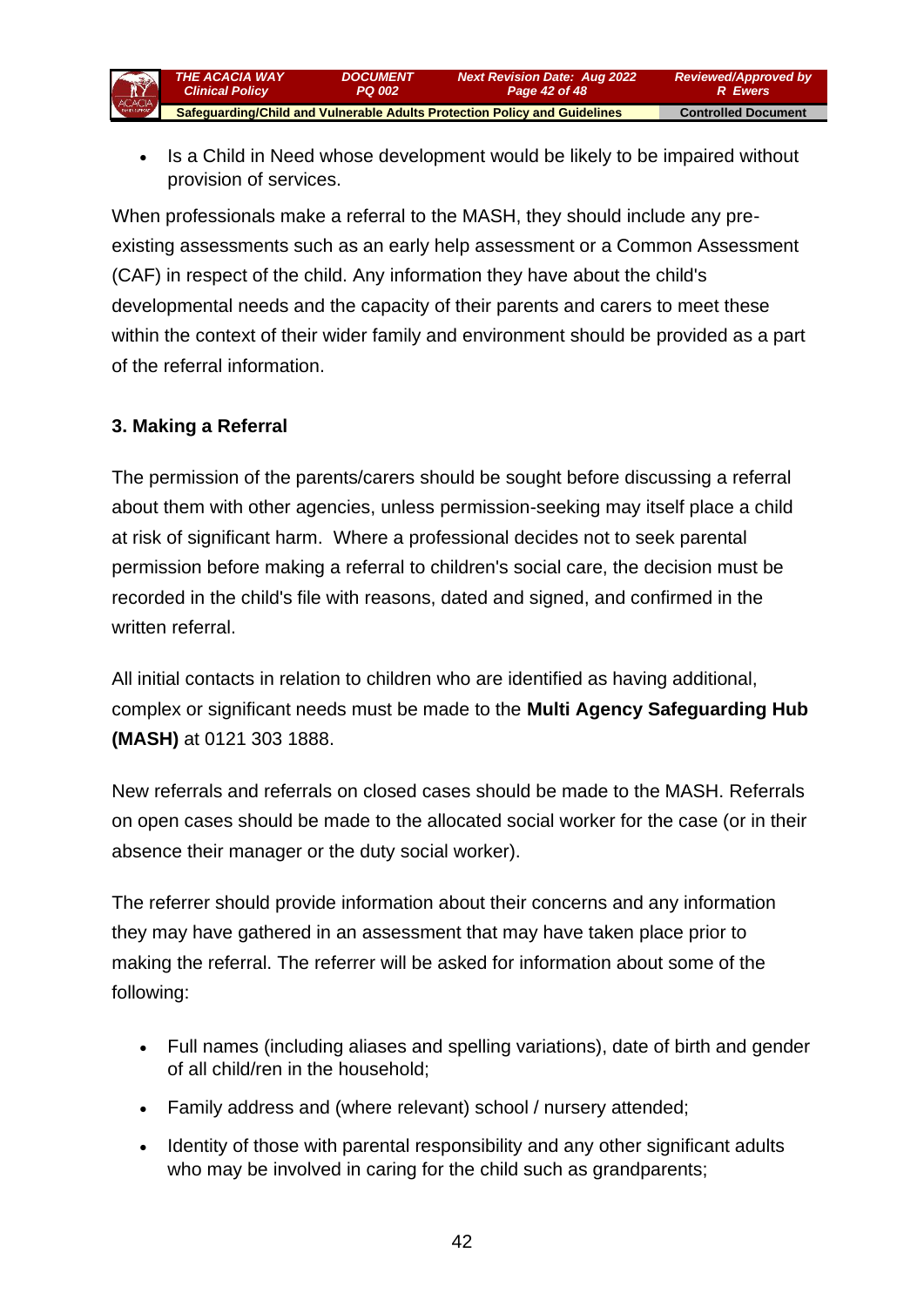

Is a Child in Need whose development would be likely to be impaired without provision of services.

When professionals make a referral to the MASH, they should include any preexisting assessments such as an early help assessment or a Common Assessment (CAF) in respect of the child. Any information they have about the child's developmental needs and the capacity of their parents and carers to meet these within the context of their wider family and environment should be provided as a part of the referral information.

## **3. Making a Referral**

The permission of the parents/carers should be sought before discussing a referral about them with other agencies, unless permission-seeking may itself place a child at risk of significant harm. Where a professional decides not to seek parental permission before making a referral to children's social care, the decision must be recorded in the child's file with reasons, dated and signed, and confirmed in the written referral.

All initial contacts in relation to children who are identified as having additional, complex or significant needs must be made to the **[Multi Agency Safeguarding Hub](http://www.lscbbirmingham.org.uk/index.php/birmingham-multi-agency-safeguarding-hub-mash)  [\(MASH\)](http://www.lscbbirmingham.org.uk/index.php/birmingham-multi-agency-safeguarding-hub-mash)** at 0121 303 1888.

New referrals and referrals on closed cases should be made to the MASH. Referrals on open cases should be made to the allocated social worker for the case (or in their absence their manager or the duty social worker).

The referrer should provide information about their concerns and any information they may have gathered in an assessment that may have taken place prior to making the referral. The referrer will be asked for information about some of the following:

- Full names (including aliases and spelling variations), date of birth and gender of all child/ren in the household;
- Family address and (where relevant) school / nursery attended;
- Identity of those with parental responsibility and any other significant adults who may be involved in caring for the child such as grandparents;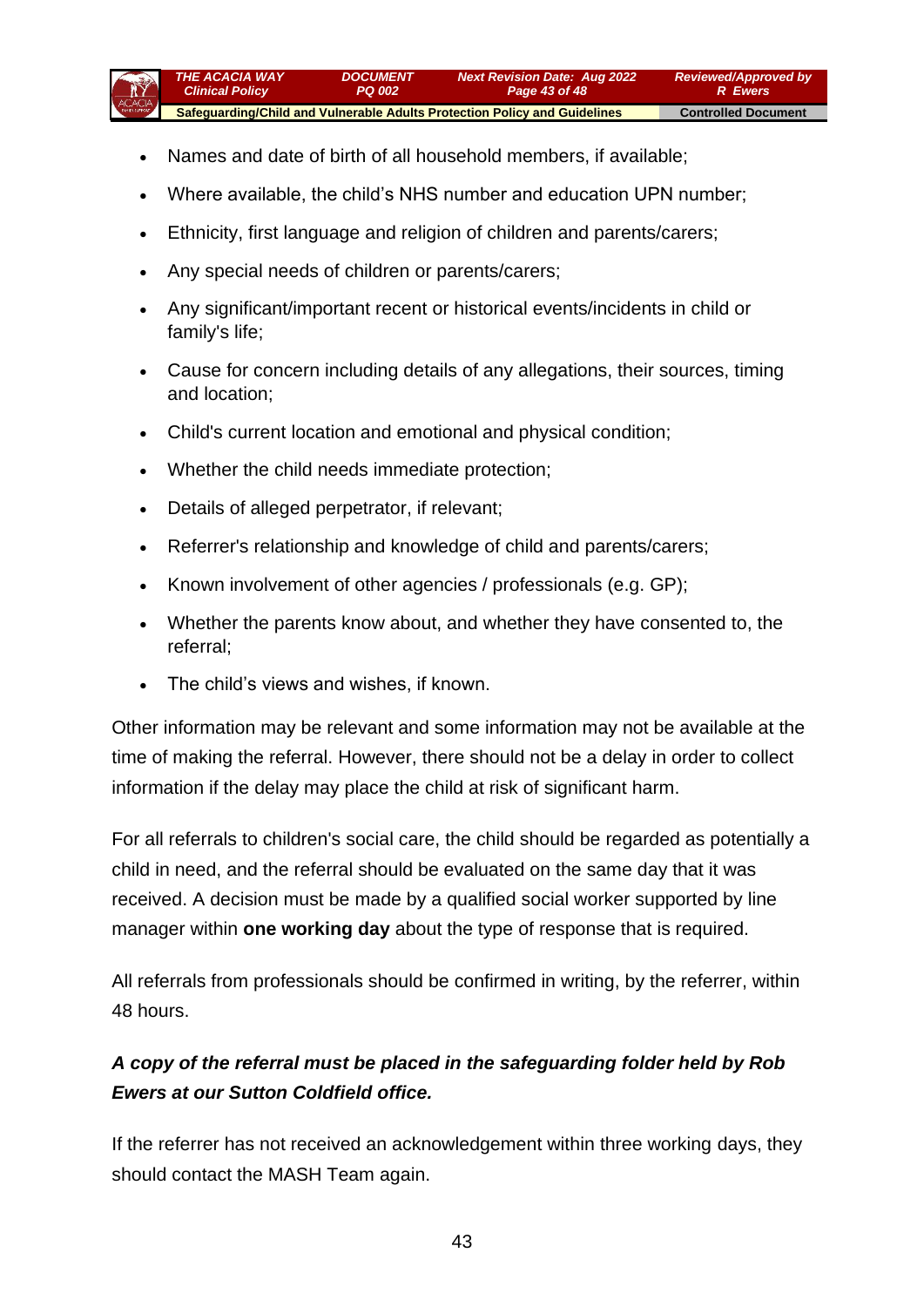

- Names and date of birth of all household members, if available;
- Where available, the child's NHS number and education UPN number;
- Ethnicity, first language and religion of children and parents/carers;
- Any special needs of children or parents/carers;
- Any significant/important recent or historical events/incidents in child or family's life;
- Cause for concern including details of any allegations, their sources, timing and location;
- Child's current location and emotional and physical condition;
- Whether the child needs immediate protection;
- Details of alleged perpetrator, if relevant;
- Referrer's relationship and knowledge of child and parents/carers;
- Known involvement of other agencies / professionals (e.g. GP);
- Whether the parents know about, and whether they have consented to, the referral;
- The child's views and wishes, if known.

Other information may be relevant and some information may not be available at the time of making the referral. However, there should not be a delay in order to collect information if the delay may place the child at risk of significant harm.

For all referrals to children's social care, the child should be regarded as potentially a child in need, and the referral should be evaluated on the same day that it was received. A decision must be made by a qualified social worker supported by line manager within **one working day** about the type of response that is required.

All referrals from professionals should be confirmed in writing, by the referrer, within 48 hours.

# *A copy of the referral must be placed in the safeguarding folder held by Rob Ewers at our Sutton Coldfield office.*

If the referrer has not received an acknowledgement within three working days, they should contact the MASH Team again.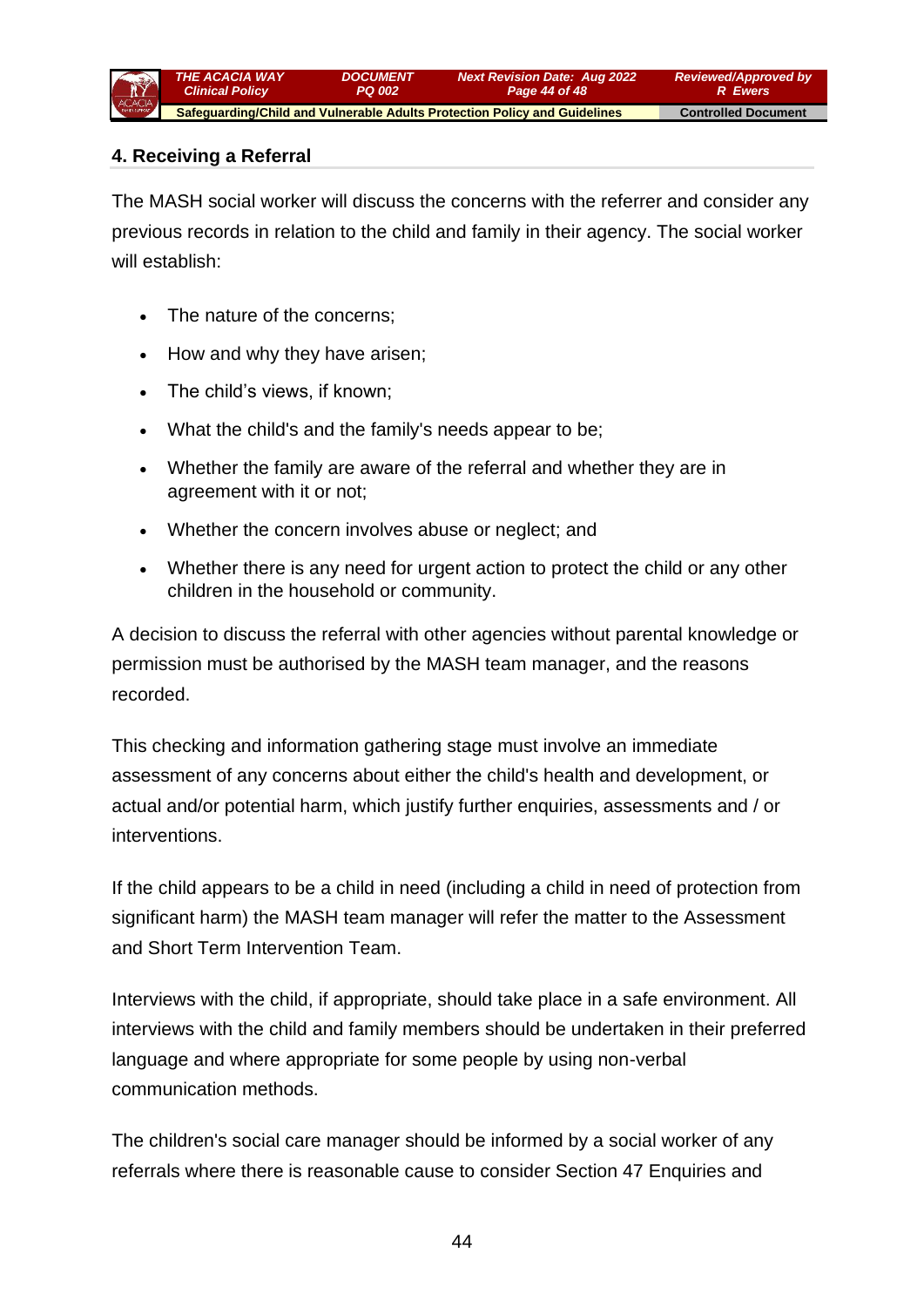## **4. Receiving a Referral**

The MASH social worker will discuss the concerns with the referrer and consider any previous records in relation to the child and family in their agency. The social worker will establish:

- The nature of the concerns:
- How and why they have arisen;
- The child's views, if known;
- What the child's and the family's needs appear to be;
- Whether the family are aware of the referral and whether they are in agreement with it or not;
- Whether the concern involves abuse or neglect; and
- Whether there is any need for urgent action to protect the child or any other children in the household or community.

A decision to discuss the referral with other agencies without parental knowledge or permission must be authorised by the MASH team manager, and the reasons recorded.

This checking and information gathering stage must involve an immediate assessment of any concerns about either the child's health and development, or actual and/or potential harm, which justify further enquiries, assessments and / or interventions.

If the child appears to be a child in need (including a child in need of protection from significant harm) the MASH team manager will refer the matter to the Assessment and Short Term Intervention Team.

Interviews with the child, if appropriate, should take place in a safe environment. All interviews with the child and family members should be undertaken in their preferred language and where appropriate for some people by using non-verbal communication methods.

The children's social care manager should be informed by a social worker of any referrals where there is reasonable cause to consider Section 47 Enquiries and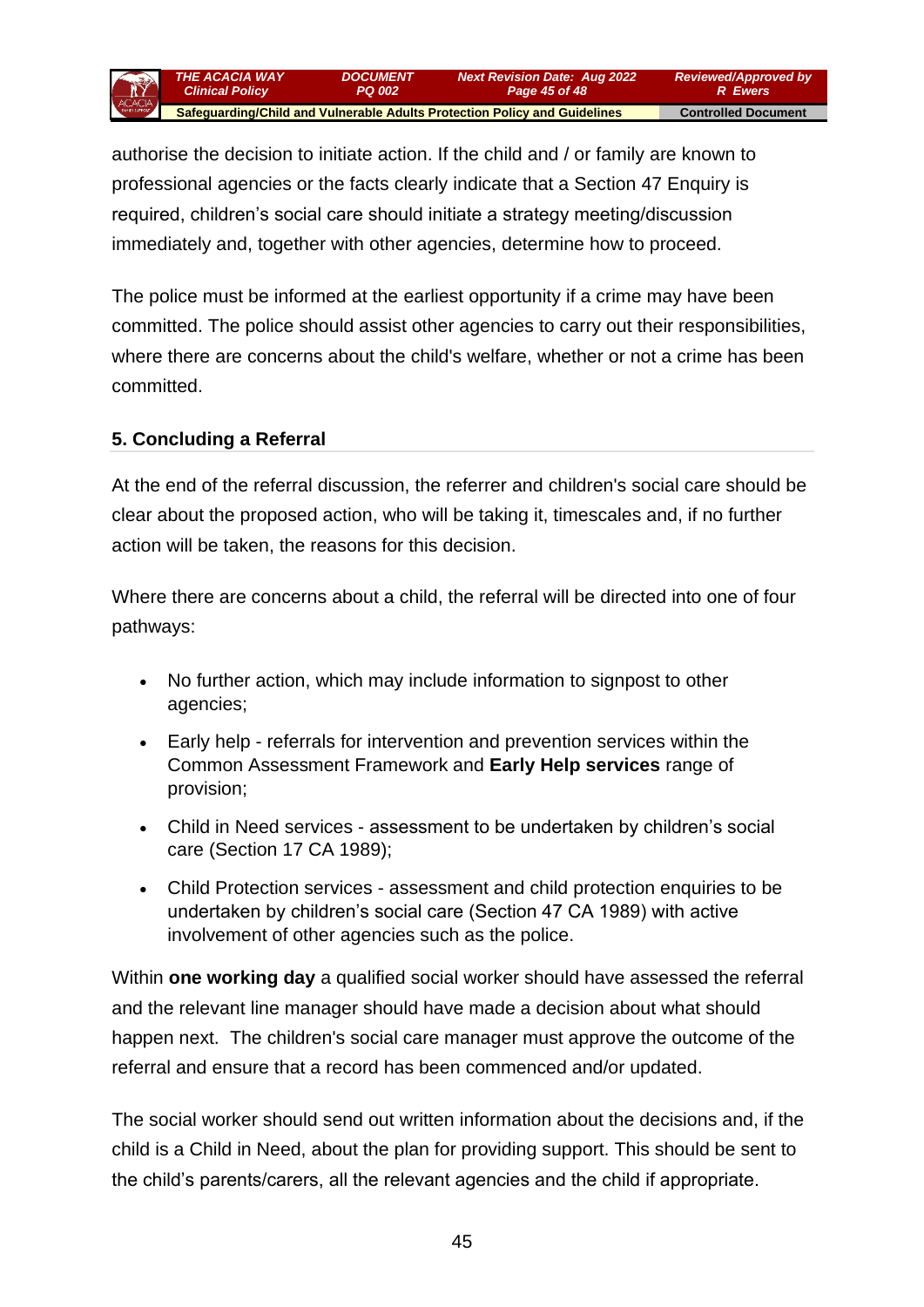

authorise the decision to initiate action. If the child and / or family are known to professional agencies or the facts clearly indicate that a Section 47 Enquiry is required, children's social care should initiate a strategy meeting/discussion immediately and, together with other agencies, determine how to proceed.

The police must be informed at the earliest opportunity if a crime may have been committed. The police should assist other agencies to carry out their responsibilities, where there are concerns about the child's welfare, whether or not a crime has been committed.

#### **5. Concluding a Referral**

At the end of the referral discussion, the referrer and children's social care should be clear about the proposed action, who will be taking it, timescales and, if no further action will be taken, the reasons for this decision.

Where there are concerns about a child, the referral will be directed into one of four pathways:

- No further action, which may include information to signpost to other agencies;
- Early help referrals for intervention and prevention services within the Common Assessment Framework and **[Early Help services](http://www.lscbbirmingham.org.uk/index.php/early-help)** range of provision;
- Child in Need services assessment to be undertaken by children's social care (Section 17 CA 1989);
- Child Protection services assessment and child protection enquiries to be undertaken by children's social care (Section 47 CA 1989) with active involvement of other agencies such as the police.

Within **one working day** a qualified social worker should have assessed the referral and the relevant line manager should have made a decision about what should happen next. The children's social care manager must approve the outcome of the referral and ensure that a record has been commenced and/or updated.

The social worker should send out written information about the decisions and, if the child is a Child in Need, about the plan for providing support. This should be sent to the child's parents/carers, all the relevant agencies and the child if appropriate.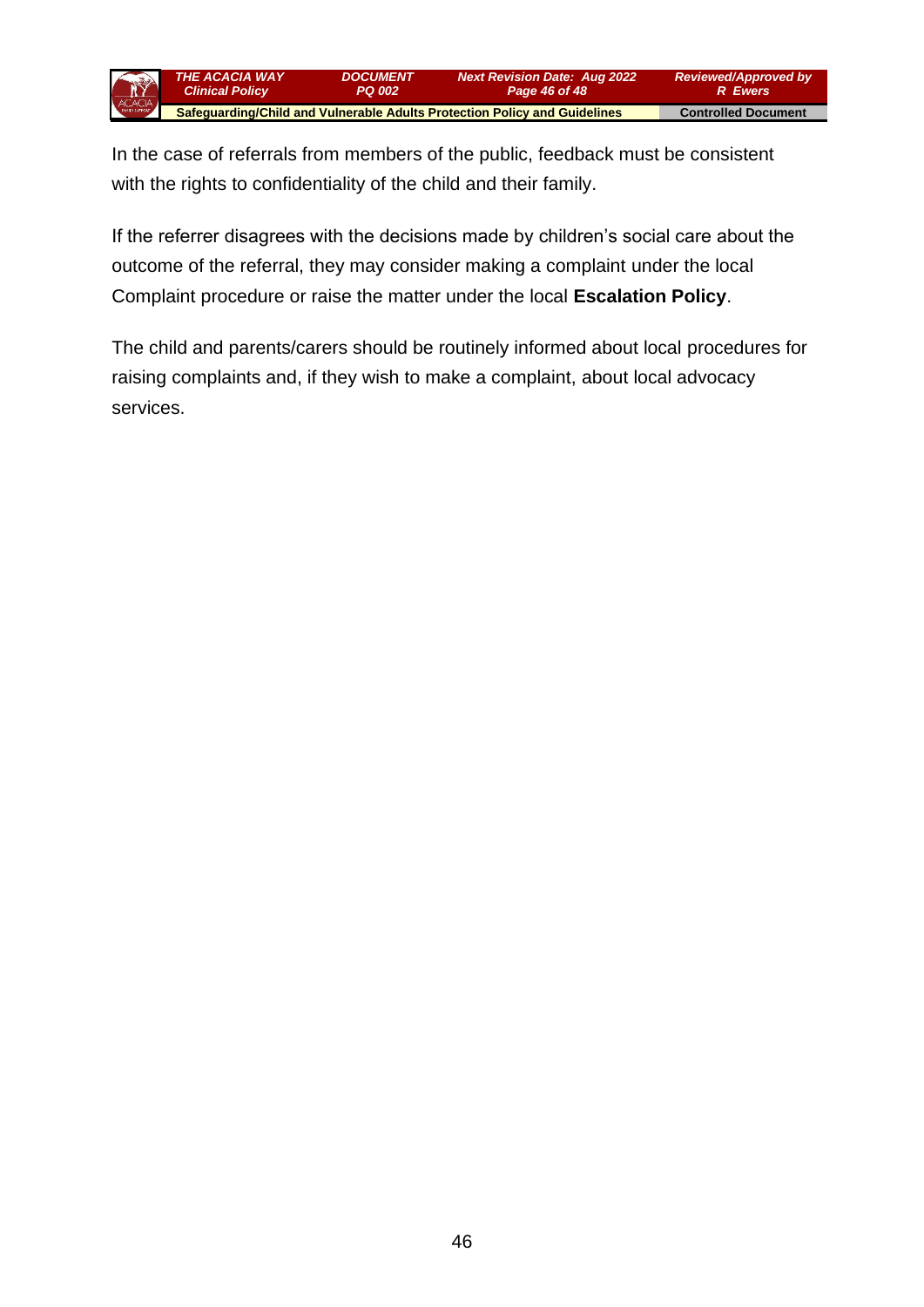

In the case of referrals from members of the public, feedback must be consistent with the rights to confidentiality of the child and their family.

If the referrer disagrees with the decisions made by children's social care about the outcome of the referral, they may consider making a complaint under the local Complaint procedure or raise the matter under the local **[Escalation Policy](http://www.proceduresonline.com/birmingham/scb/chapters/p_escalation.html)**.

The child and parents/carers should be routinely informed about local procedures for raising complaints and, if they wish to make a complaint, about local advocacy services.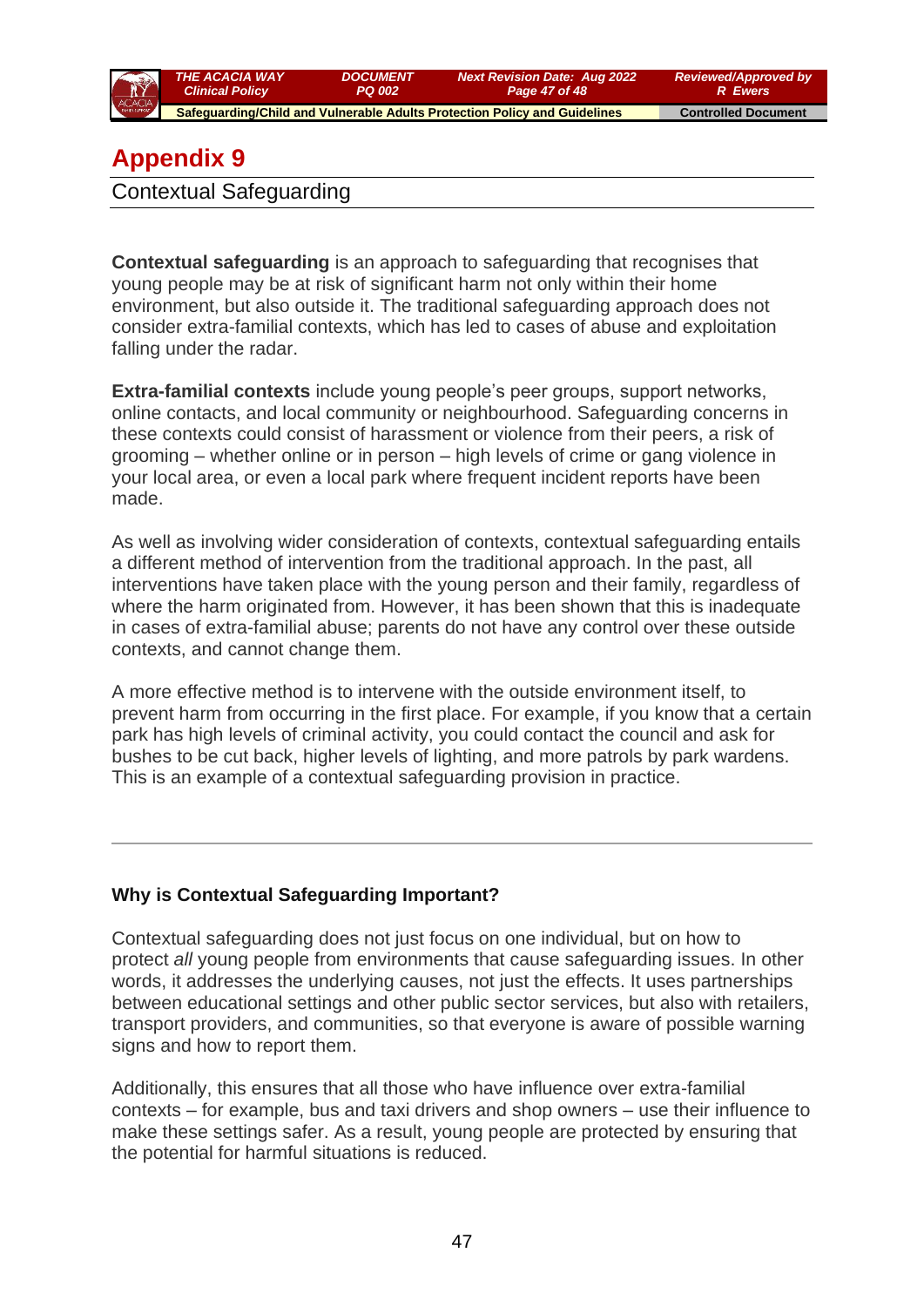

# **Appendix 9**

Contextual Safeguarding

**Contextual safeguarding** is an approach to safeguarding that recognises that young people may be at risk of significant harm not only within their home environment, but also outside it. The traditional safeguarding approach does not consider extra-familial contexts, which has led to cases of abuse and exploitation falling under the radar.

**Extra-familial contexts** include young people's peer groups, support networks, online contacts, and local community or neighbourhood. Safeguarding concerns in these contexts could consist of harassment or violence from their peers, a risk of grooming – whether online or in person – high levels of crime or gang violence in your local area, or even a local park where frequent incident reports have been made.

As well as involving wider consideration of contexts, contextual safeguarding entails a different method of intervention from the traditional approach. In the past, all interventions have taken place with the young person and their family, regardless of where the harm originated from. However, it has been shown that this is inadequate in cases of extra-familial abuse; parents do not have any control over these outside contexts, and cannot change them.

A more effective method is to intervene with the outside environment itself, to prevent harm from occurring in the first place. For example, if you know that a certain park has high levels of criminal activity, you could contact the council and ask for bushes to be cut back, higher levels of lighting, and more patrols by park wardens. This is an example of a contextual safeguarding provision in practice.

### **Why is Contextual Safeguarding Important?**

Contextual safeguarding does not just focus on one individual, but on how to protect *all* young people from environments that cause safeguarding issues. In other words, it addresses the underlying causes, not just the effects. It uses partnerships between educational settings and other public sector services, but also with retailers, transport providers, and communities, so that everyone is aware of possible warning signs and how to report them.

Additionally, this ensures that all those who have influence over extra-familial contexts – for example, bus and taxi drivers and shop owners – use their influence to make these settings safer. As a result, young people are protected by ensuring that the potential for harmful situations is reduced.